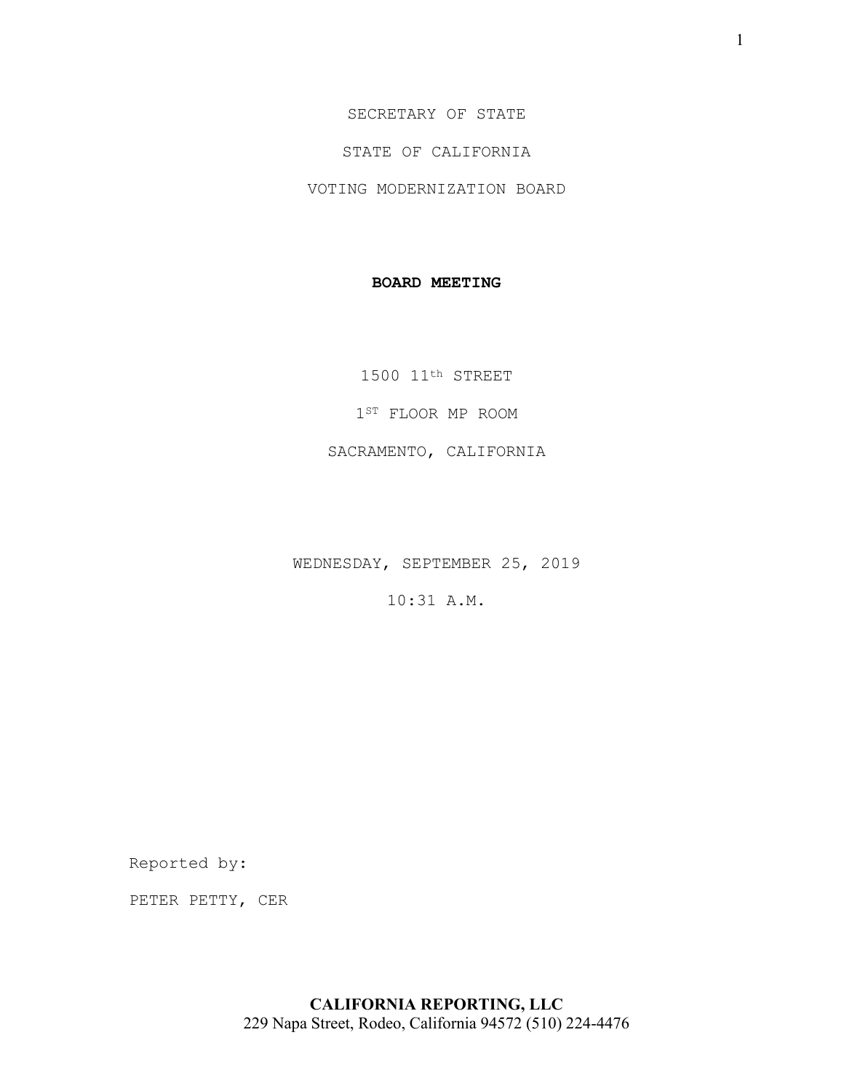SECRETARY OF STATE

STATE OF CALIFORNIA

VOTING MODERNIZATION BOARD

### **BOARD MEETING**

1500 11th STREET

1ST FLOOR MP ROOM

SACRAMENTO, CALIFORNIA

WEDNESDAY, SEPTEMBER 25, 2019

10:31 A.M.

Reported by:

PETER PETTY, CER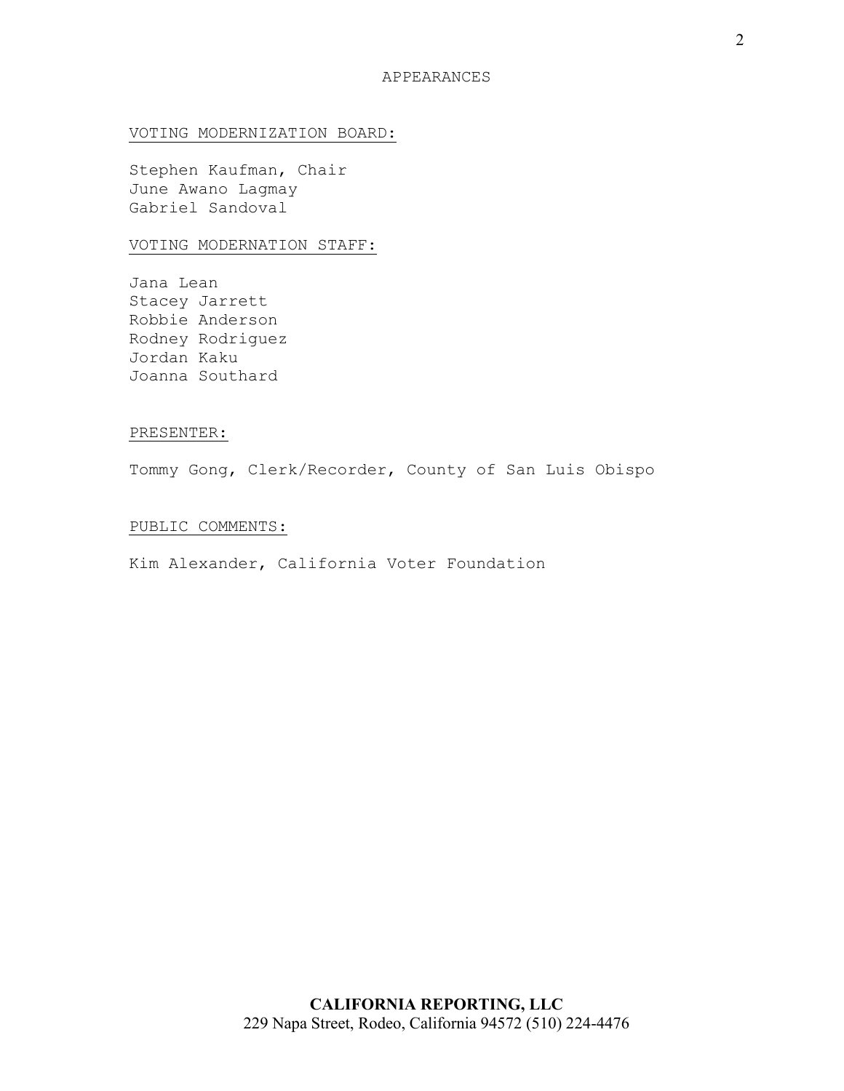### VOTING MODERNIZATION BOARD:

Stephen Kaufman, Chair June Awano Lagmay Gabriel Sandoval

### VOTING MODERNATION STAFF:

Jana Lean Stacey Jarrett Robbie Anderson Rodney Rodriguez Jordan Kaku Joanna Southard

#### PRESENTER:

Tommy Gong, Clerk/Recorder, County of San Luis Obispo

### PUBLIC COMMENTS:

Kim Alexander, California Voter Foundation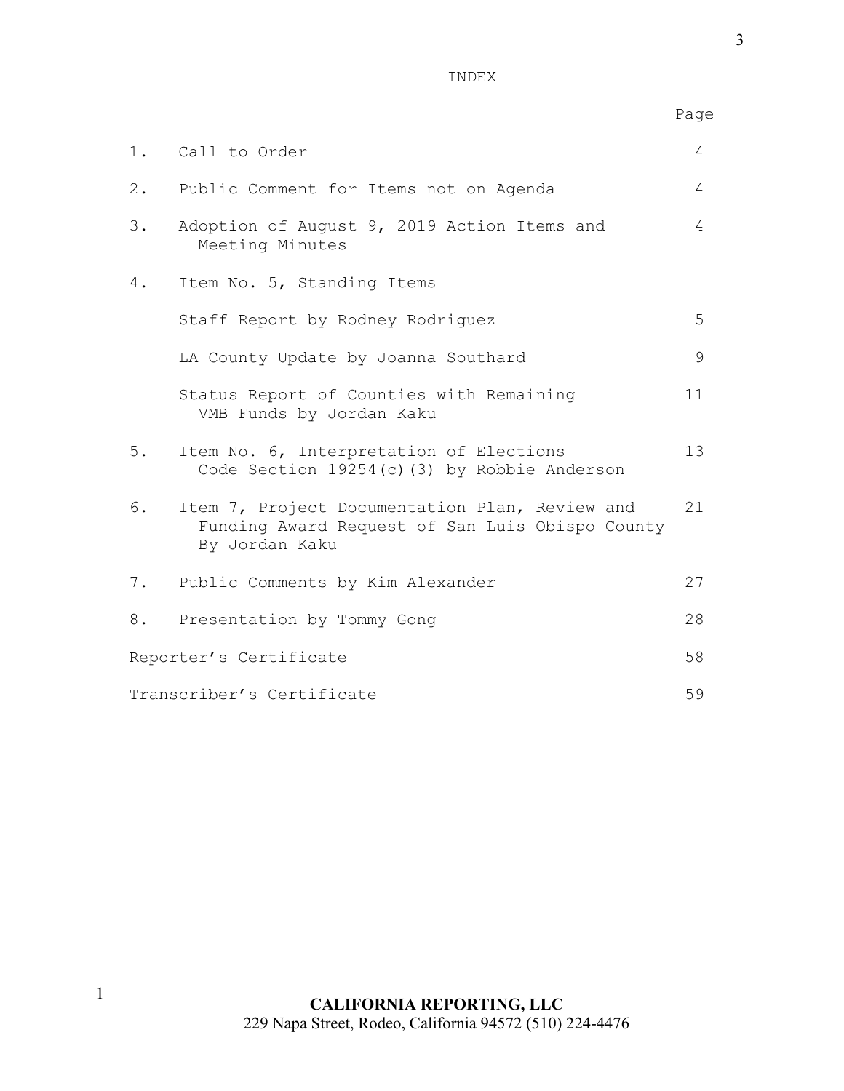INDEX

| ï<br>. . |               |  |
|----------|---------------|--|
| ×.       | ۹             |  |
| ×        | ۰,<br>I<br>۰. |  |

Page

|                           | 1. Call to Order                                                                                                    | 4  |
|---------------------------|---------------------------------------------------------------------------------------------------------------------|----|
| 2.                        | Public Comment for Items not on Agenda                                                                              | 4  |
| 3.                        | Adoption of August 9, 2019 Action Items and<br>Meeting Minutes                                                      | 4  |
| 4.                        | Item No. 5, Standing Items                                                                                          |    |
|                           | Staff Report by Rodney Rodriguez                                                                                    | 5  |
|                           | LA County Update by Joanna Southard                                                                                 | 9  |
|                           | Status Report of Counties with Remaining<br>VMB Funds by Jordan Kaku                                                | 11 |
| 5.                        | Item No. 6, Interpretation of Elections<br>Code Section 19254(c)(3) by Robbie Anderson                              | 13 |
| 6.                        | Item 7, Project Documentation Plan, Review and<br>Funding Award Request of San Luis Obispo County<br>By Jordan Kaku | 21 |
| 7.                        | Public Comments by Kim Alexander                                                                                    | 27 |
| 8.                        | Presentation by Tommy Gong                                                                                          | 28 |
| Reporter's Certificate    |                                                                                                                     | 58 |
| Transcriber's Certificate |                                                                                                                     | 59 |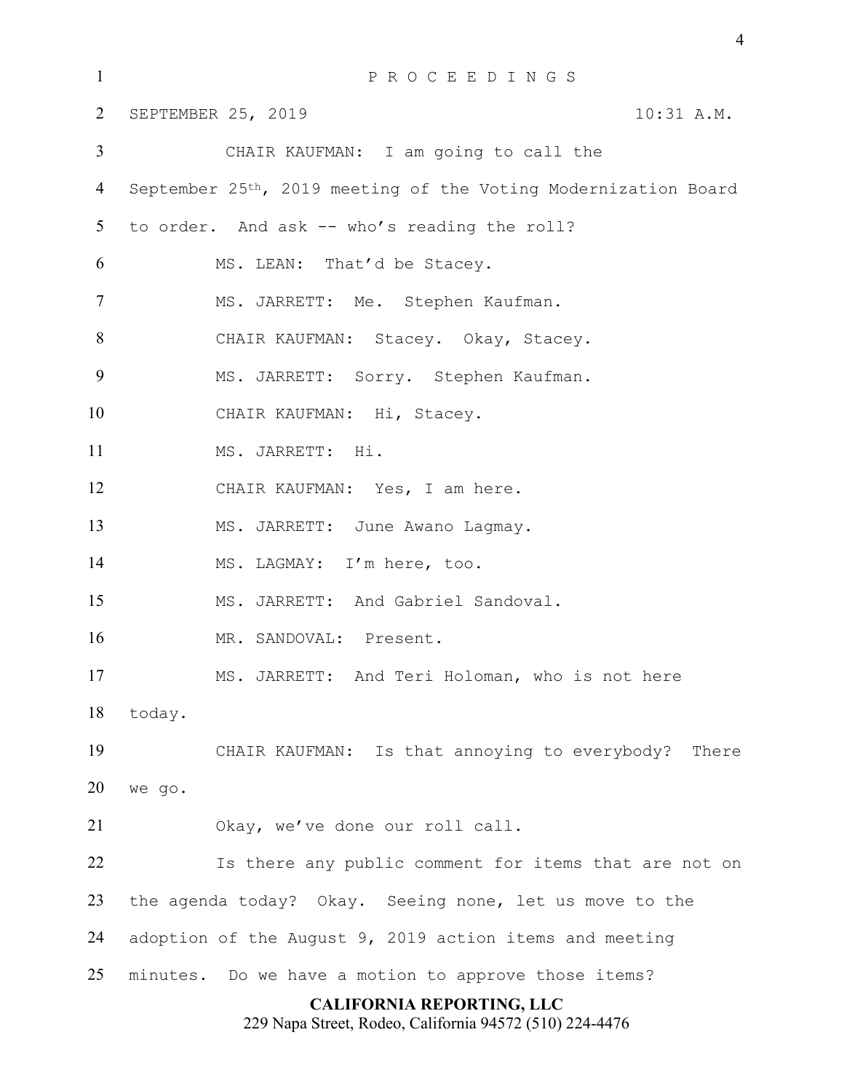| $\mathbf{1}$   | PROCEEDINGS                                                    |  |  |  |  |  |  |
|----------------|----------------------------------------------------------------|--|--|--|--|--|--|
| $\overline{2}$ | SEPTEMBER 25, 2019<br>10:31 A.M.                               |  |  |  |  |  |  |
| $\mathfrak{Z}$ | CHAIR KAUFMAN: I am going to call the                          |  |  |  |  |  |  |
| $\overline{4}$ | September 25th, 2019 meeting of the Voting Modernization Board |  |  |  |  |  |  |
| 5 <sup>5</sup> | to order. And ask -- who's reading the roll?                   |  |  |  |  |  |  |
| 6              | MS. LEAN: That'd be Stacey.                                    |  |  |  |  |  |  |
| $\overline{7}$ | MS. JARRETT: Me. Stephen Kaufman.                              |  |  |  |  |  |  |
| 8              | CHAIR KAUFMAN: Stacey. Okay, Stacey.                           |  |  |  |  |  |  |
| 9              | MS. JARRETT: Sorry. Stephen Kaufman.                           |  |  |  |  |  |  |
| 10             | CHAIR KAUFMAN: Hi, Stacey.                                     |  |  |  |  |  |  |
| 11             | MS. JARRETT: Hi.                                               |  |  |  |  |  |  |
| 12             | CHAIR KAUFMAN: Yes, I am here.                                 |  |  |  |  |  |  |
| 13             | MS. JARRETT: June Awano Lagmay.                                |  |  |  |  |  |  |
| 14             | MS. LAGMAY: I'm here, too.                                     |  |  |  |  |  |  |
| 15             | MS. JARRETT: And Gabriel Sandoval.                             |  |  |  |  |  |  |
| 16             | MR. SANDOVAL: Present.                                         |  |  |  |  |  |  |
| 17             | MS. JARRETT: And Teri Holoman, who is not here                 |  |  |  |  |  |  |
| 18             | today.                                                         |  |  |  |  |  |  |
| 19             | CHAIR KAUFMAN: Is that annoying to everybody? There            |  |  |  |  |  |  |
| 20             | we go.                                                         |  |  |  |  |  |  |
| 21             | Okay, we've done our roll call.                                |  |  |  |  |  |  |
| 22             | Is there any public comment for items that are not on          |  |  |  |  |  |  |
| 23             | the agenda today? Okay. Seeing none, let us move to the        |  |  |  |  |  |  |
| 24             | adoption of the August 9, 2019 action items and meeting        |  |  |  |  |  |  |
| 25             | minutes. Do we have a motion to approve those items?           |  |  |  |  |  |  |
|                | <b>CALIFORNIA REPORTING, LLC</b>                               |  |  |  |  |  |  |

229 Napa Street, Rodeo, California 94572 (510) 224-4476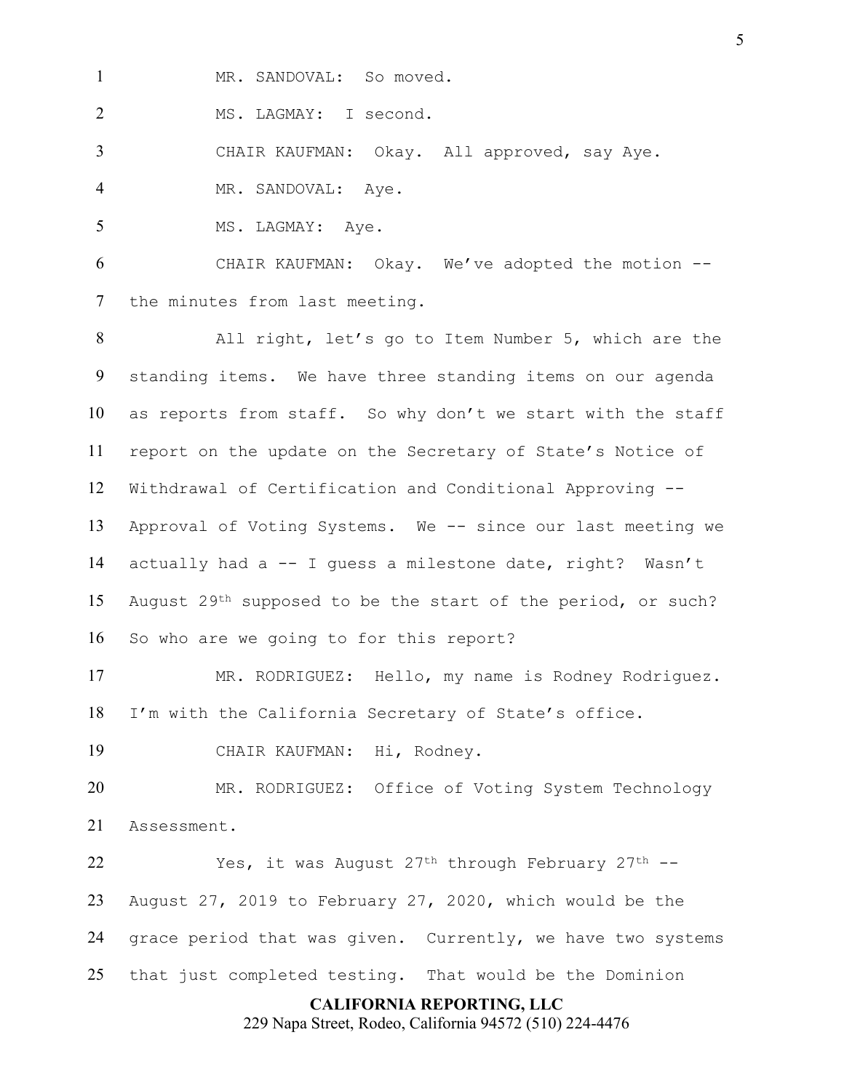1 MR. SANDOVAL: So moved.

MS. LAGMAY: I second.

CHAIR KAUFMAN: Okay. All approved, say Aye.

4 MR. SANDOVAL: Aye.

5 MS. LAGMAY: Aye.

 CHAIR KAUFMAN: Okay. We've adopted the motion -- the minutes from last meeting.

 All right, let's go to Item Number 5, which are the standing items. We have three standing items on our agenda as reports from staff. So why don't we start with the staff report on the update on the Secretary of State's Notice of Withdrawal of Certification and Conditional Approving -- Approval of Voting Systems. We -- since our last meeting we actually had a -- I guess a milestone date, right? Wasn't 15 August 29<sup>th</sup> supposed to be the start of the period, or such? So who are we going to for this report?

 MR. RODRIGUEZ: Hello, my name is Rodney Rodriguez. I'm with the California Secretary of State's office.

CHAIR KAUFMAN: Hi, Rodney.

 MR. RODRIGUEZ: Office of Voting System Technology Assessment.

 Yes, it was August 27th through February 27th -- August 27, 2019 to February 27, 2020, which would be the grace period that was given. Currently, we have two systems that just completed testing. That would be the Dominion

### **CALIFORNIA REPORTING, LLC**

229 Napa Street, Rodeo, California 94572 (510) 224-4476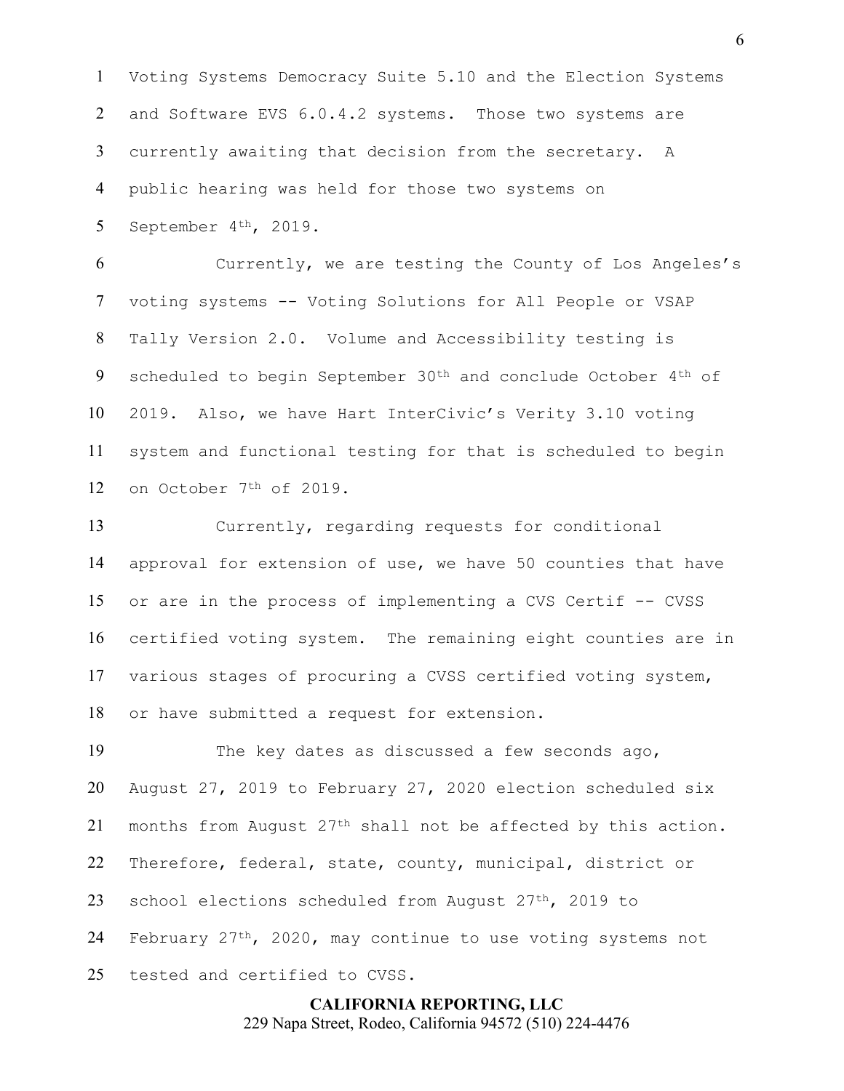Voting Systems Democracy Suite 5.10 and the Election Systems 2 and Software EVS 6.0.4.2 systems. Those two systems are currently awaiting that decision from the secretary. A public hearing was held for those two systems on September 4th, 2019.

 Currently, we are testing the County of Los Angeles's voting systems -- Voting Solutions for All People or VSAP Tally Version 2.0. Volume and Accessibility testing is 9 scheduled to begin September 30<sup>th</sup> and conclude October 4<sup>th</sup> of 2019. Also, we have Hart InterCivic's Verity 3.10 voting system and functional testing for that is scheduled to begin on October 7th of 2019.

 Currently, regarding requests for conditional approval for extension of use, we have 50 counties that have or are in the process of implementing a CVS Certif -- CVSS certified voting system. The remaining eight counties are in various stages of procuring a CVSS certified voting system, or have submitted a request for extension.

 The key dates as discussed a few seconds ago, August 27, 2019 to February 27, 2020 election scheduled six 21 months from August  $27<sup>th</sup>$  shall not be affected by this action. Therefore, federal, state, county, municipal, district or 23 school elections scheduled from August 27<sup>th</sup>, 2019 to 24 February  $27^{th}$ , 2020, may continue to use voting systems not tested and certified to CVSS.

> **CALIFORNIA REPORTING, LLC** 229 Napa Street, Rodeo, California 94572 (510) 224-4476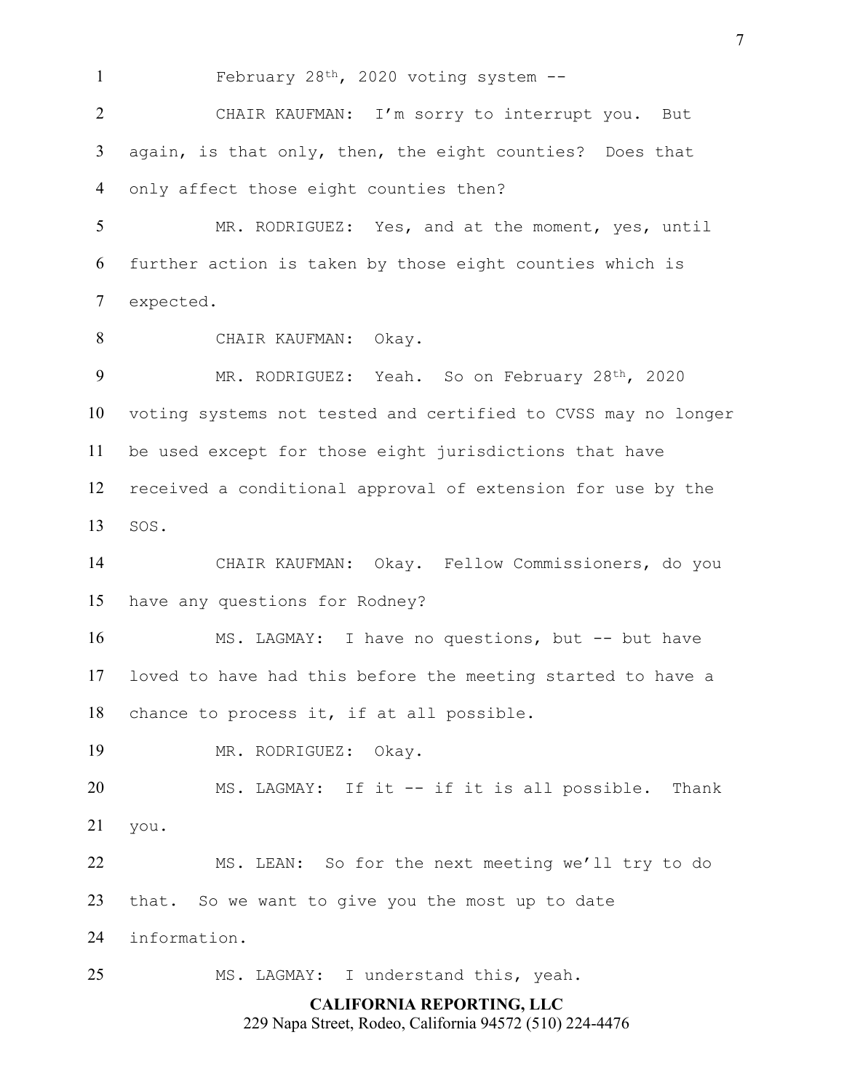February 28th, 2020 voting system --

 CHAIR KAUFMAN: I'm sorry to interrupt you. But again, is that only, then, the eight counties? Does that only affect those eight counties then?

 MR. RODRIGUEZ: Yes, and at the moment, yes, until further action is taken by those eight counties which is expected.

CHAIR KAUFMAN: Okay.

9 MR. RODRIGUEZ: Yeah. So on February 28<sup>th</sup>, 2020 voting systems not tested and certified to CVSS may no longer be used except for those eight jurisdictions that have received a conditional approval of extension for use by the SOS.

 CHAIR KAUFMAN: Okay. Fellow Commissioners, do you have any questions for Rodney?

 MS. LAGMAY: I have no questions, but -- but have loved to have had this before the meeting started to have a chance to process it, if at all possible.

MR. RODRIGUEZ: Okay.

 MS. LAGMAY: If it -- if it is all possible. Thank you.

 MS. LEAN: So for the next meeting we'll try to do that. So we want to give you the most up to date

information.

MS. LAGMAY: I understand this, yeah.

## **CALIFORNIA REPORTING, LLC**

229 Napa Street, Rodeo, California 94572 (510) 224-4476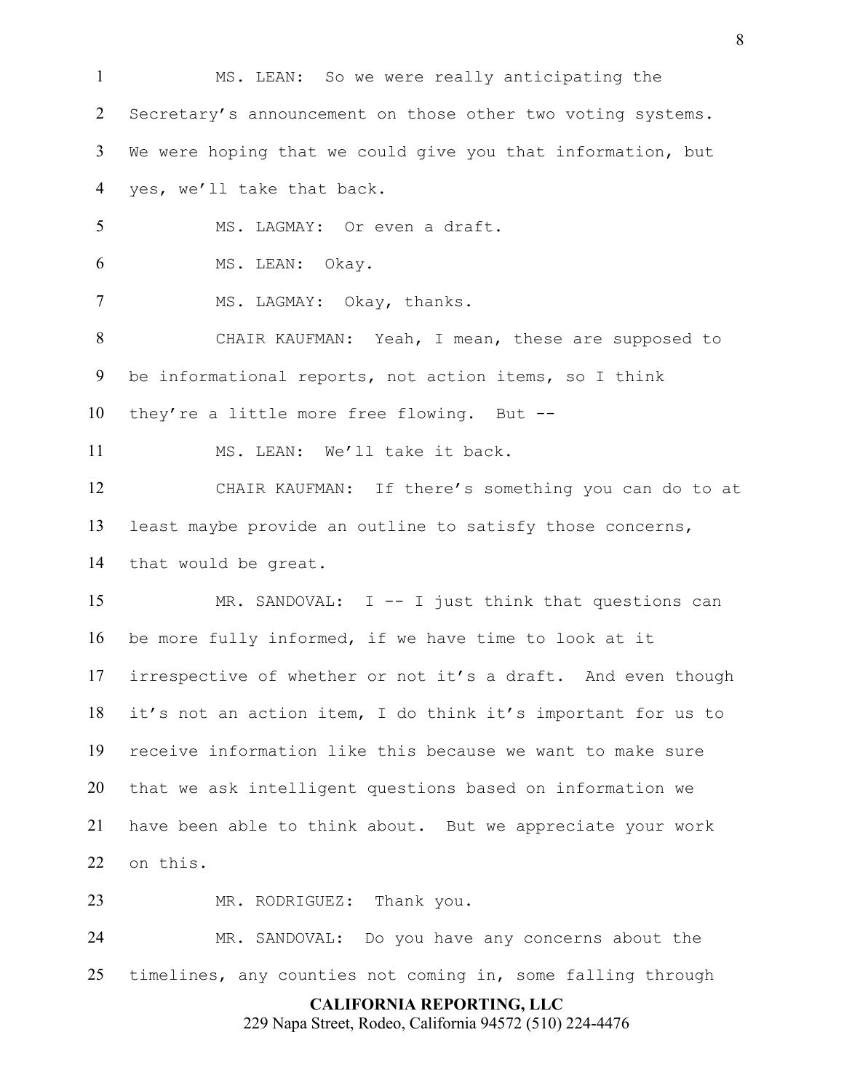MS. LEAN: So we were really anticipating the 2 Secretary's announcement on those other two voting systems. We were hoping that we could give you that information, but yes, we'll take that back. MS. LAGMAY: Or even a draft. MS. LEAN: Okay. 7 MS. LAGMAY: Okay, thanks. CHAIR KAUFMAN: Yeah, I mean, these are supposed to be informational reports, not action items, so I think they're a little more free flowing. But -- MS. LEAN: We'll take it back. CHAIR KAUFMAN: If there's something you can do to at least maybe provide an outline to satisfy those concerns, that would be great. MR. SANDOVAL: I -- I just think that questions can be more fully informed, if we have time to look at it irrespective of whether or not it's a draft. And even though it's not an action item, I do think it's important for us to receive information like this because we want to make sure that we ask intelligent questions based on information we have been able to think about. But we appreciate your work on this. 23 MR. RODRIGUEZ: Thank you. MR. SANDOVAL: Do you have any concerns about the

timelines, any counties not coming in, some falling through

**CALIFORNIA REPORTING, LLC**

229 Napa Street, Rodeo, California 94572 (510) 224-4476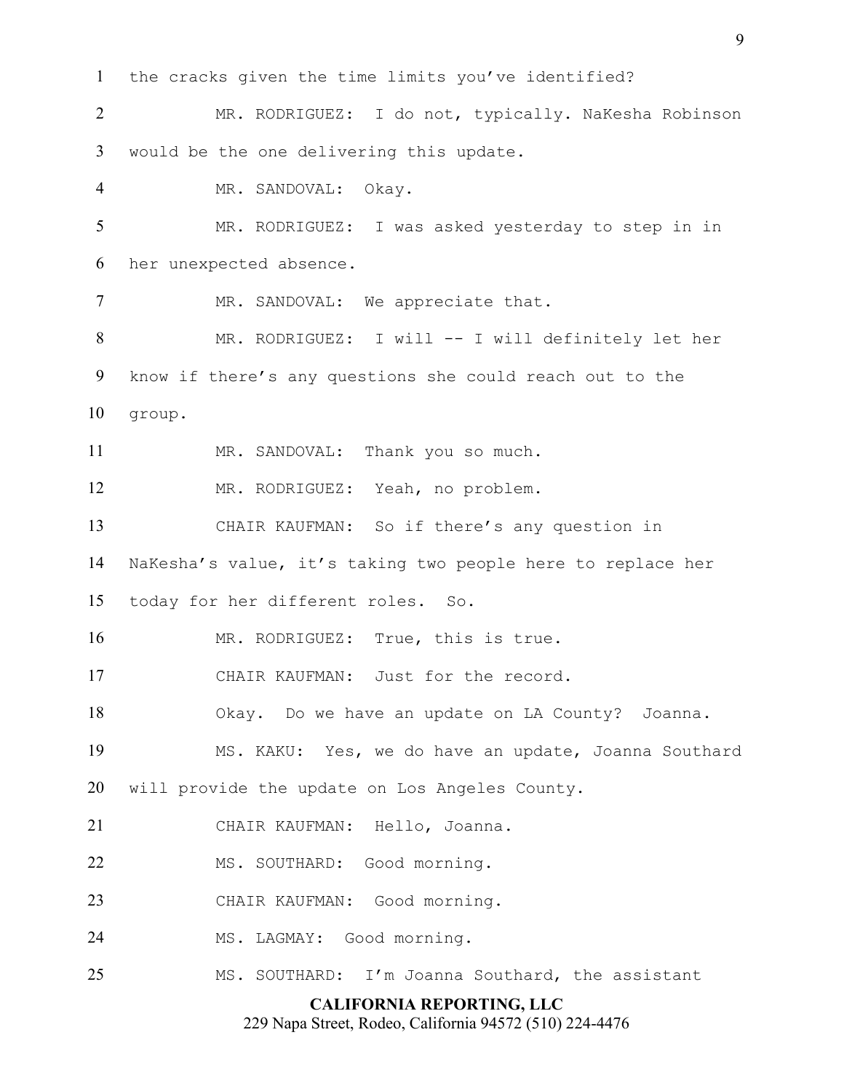**CALIFORNIA REPORTING, LLC** the cracks given the time limits you've identified? MR. RODRIGUEZ: I do not, typically. NaKesha Robinson would be the one delivering this update. MR. SANDOVAL: Okay. MR. RODRIGUEZ: I was asked yesterday to step in in her unexpected absence. 7 MR. SANDOVAL: We appreciate that. MR. RODRIGUEZ: I will -- I will definitely let her know if there's any questions she could reach out to the group. MR. SANDOVAL: Thank you so much. MR. RODRIGUEZ: Yeah, no problem. CHAIR KAUFMAN: So if there's any question in NaKesha's value, it's taking two people here to replace her today for her different roles. So. 16 MR. RODRIGUEZ: True, this is true. CHAIR KAUFMAN: Just for the record. Okay. Do we have an update on LA County? Joanna. MS. KAKU: Yes, we do have an update, Joanna Southard will provide the update on Los Angeles County. CHAIR KAUFMAN: Hello, Joanna. 22 MS. SOUTHARD: Good morning. CHAIR KAUFMAN: Good morning. MS. LAGMAY: Good morning. MS. SOUTHARD: I'm Joanna Southard, the assistant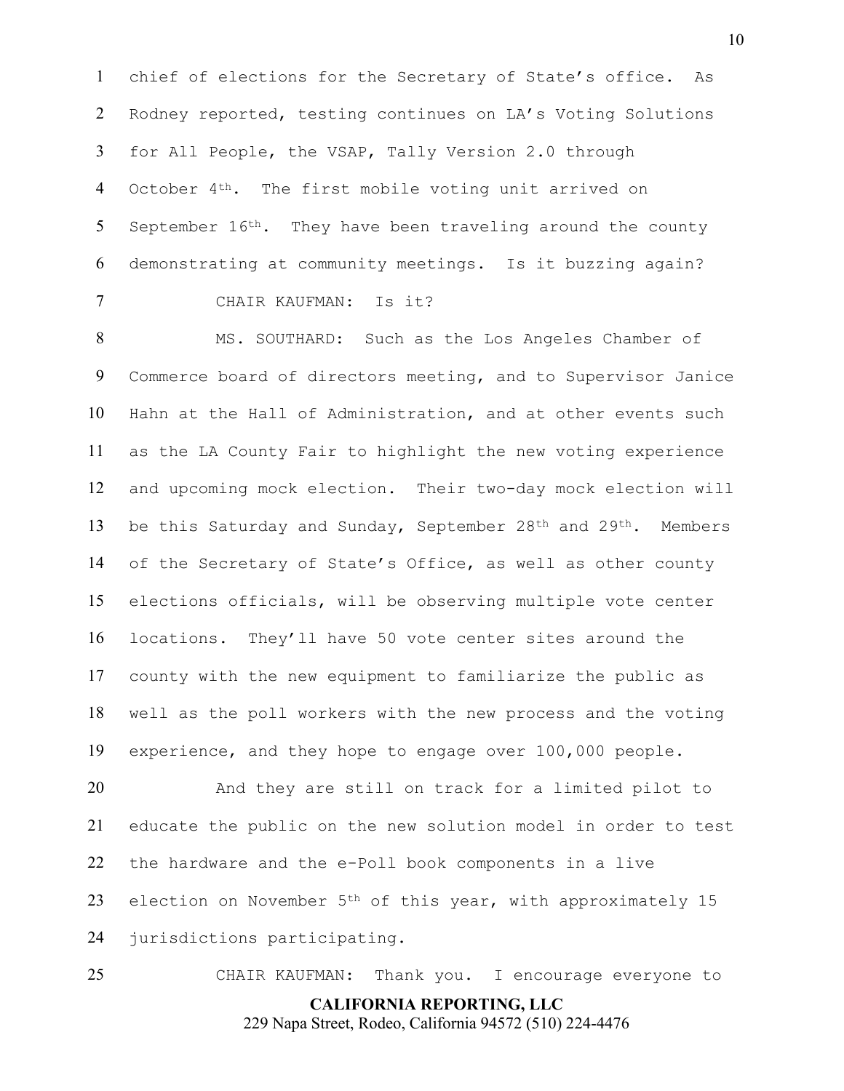chief of elections for the Secretary of State's office. As Rodney reported, testing continues on LA's Voting Solutions for All People, the VSAP, Tally Version 2.0 through 4 October 4<sup>th</sup>. The first mobile voting unit arrived on 5 September  $16<sup>th</sup>$ . They have been traveling around the county demonstrating at community meetings. Is it buzzing again? CHAIR KAUFMAN: Is it?

 MS. SOUTHARD: Such as the Los Angeles Chamber of Commerce board of directors meeting, and to Supervisor Janice Hahn at the Hall of Administration, and at other events such as the LA County Fair to highlight the new voting experience and upcoming mock election. Their two-day mock election will 13 be this Saturday and Sunday, September 28<sup>th</sup> and 29<sup>th</sup>. Members of the Secretary of State's Office, as well as other county elections officials, will be observing multiple vote center locations. They'll have 50 vote center sites around the county with the new equipment to familiarize the public as well as the poll workers with the new process and the voting experience, and they hope to engage over 100,000 people.

 And they are still on track for a limited pilot to educate the public on the new solution model in order to test the hardware and the e-Poll book components in a live 23 election on November 5<sup>th</sup> of this year, with approximately 15 jurisdictions participating.

**CALIFORNIA REPORTING, LLC** 229 Napa Street, Rodeo, California 94572 (510) 224-4476 CHAIR KAUFMAN: Thank you. I encourage everyone to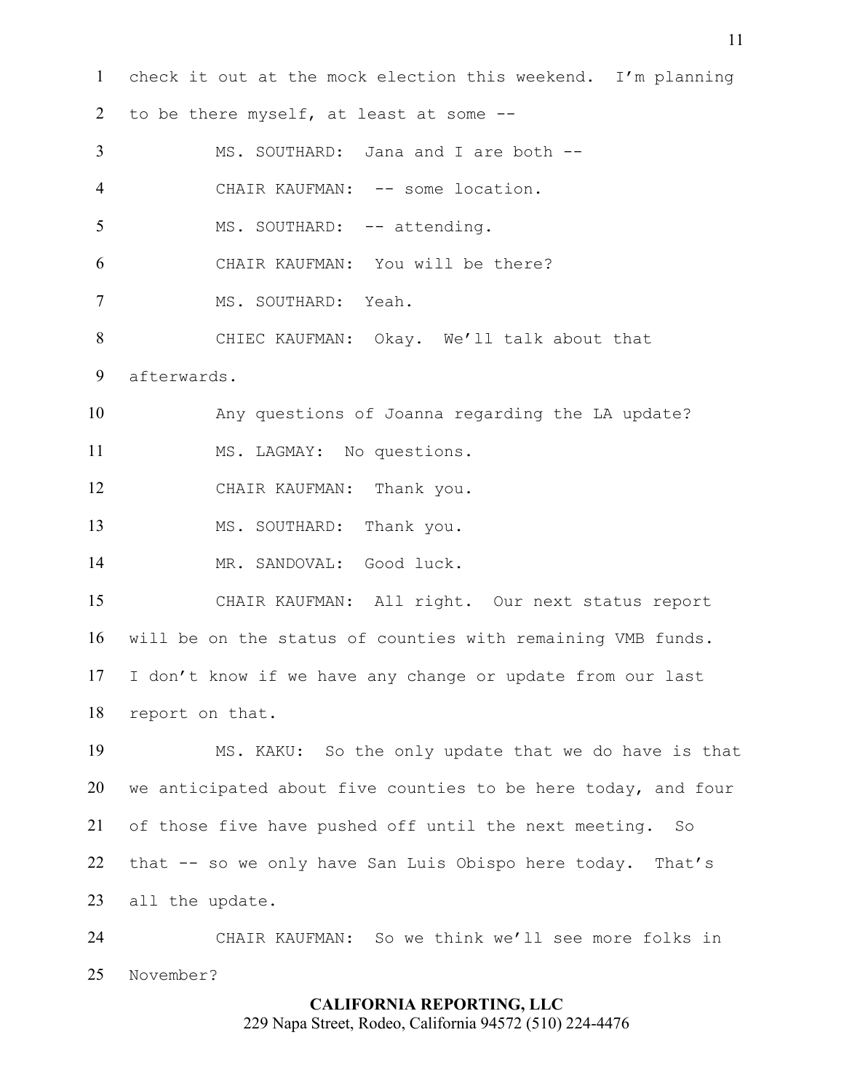check it out at the mock election this weekend. I'm planning 2 to be there myself, at least at some -- MS. SOUTHARD: Jana and I are both -- 4 CHAIR KAUFMAN: -- some location. 5 MS. SOUTHARD: -- attending. CHAIR KAUFMAN: You will be there? MS. SOUTHARD: Yeah. CHIEC KAUFMAN: Okay. We'll talk about that afterwards. Any questions of Joanna regarding the LA update? MS. LAGMAY: No questions. CHAIR KAUFMAN: Thank you. MS. SOUTHARD: Thank you. MR. SANDOVAL: Good luck. CHAIR KAUFMAN: All right. Our next status report will be on the status of counties with remaining VMB funds. I don't know if we have any change or update from our last report on that. MS. KAKU: So the only update that we do have is that we anticipated about five counties to be here today, and four of those five have pushed off until the next meeting. So that -- so we only have San Luis Obispo here today. That's all the update. CHAIR KAUFMAN: So we think we'll see more folks in November?

# **CALIFORNIA REPORTING, LLC** 229 Napa Street, Rodeo, California 94572 (510) 224-4476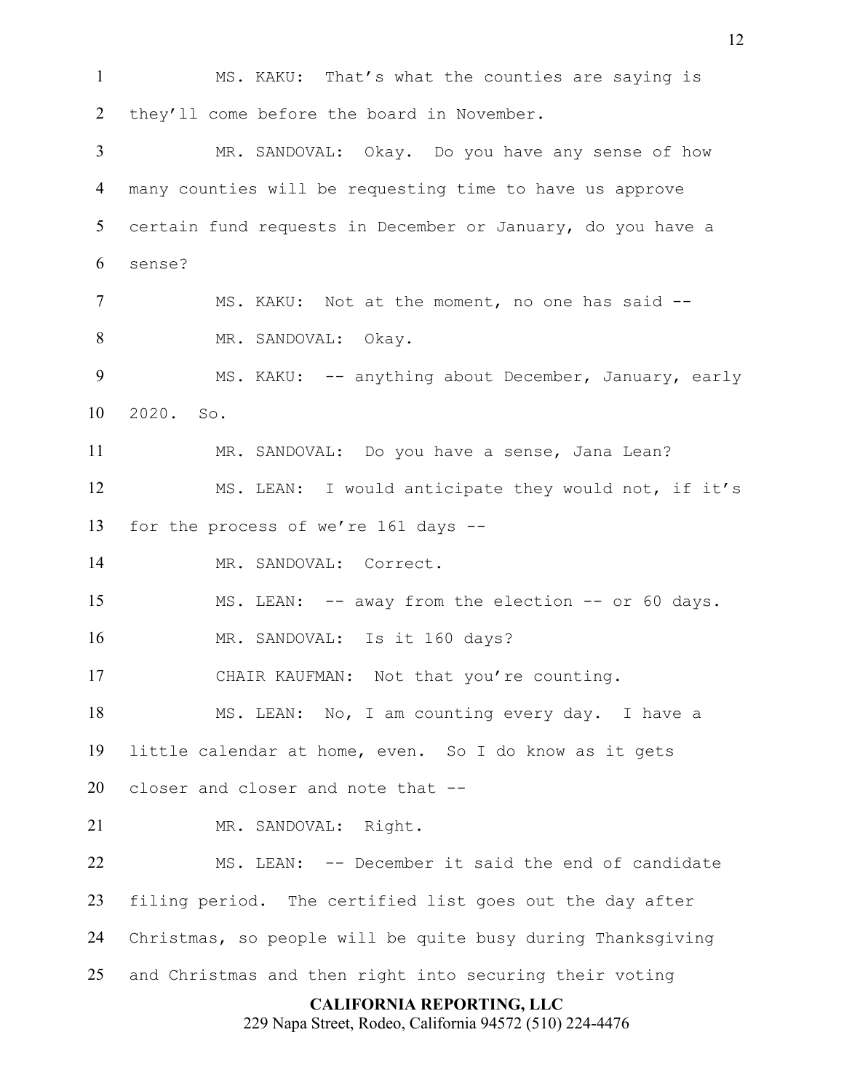**CALIFORNIA REPORTING, LLC** 229 Napa Street, Rodeo, California 94572 (510) 224-4476 MS. KAKU: That's what the counties are saying is 2 they'll come before the board in November. MR. SANDOVAL: Okay. Do you have any sense of how many counties will be requesting time to have us approve certain fund requests in December or January, do you have a sense? 7 MS. KAKU: Not at the moment, no one has said -- MR. SANDOVAL: Okay. 9 MS. KAKU: -- anything about December, January, early 2020. So. MR. SANDOVAL: Do you have a sense, Jana Lean? MS. LEAN: I would anticipate they would not, if it's for the process of we're 161 days -- MR. SANDOVAL: Correct. MS. LEAN: -- away from the election -- or 60 days. MR. SANDOVAL: Is it 160 days? 17 CHAIR KAUFMAN: Not that you're counting. MS. LEAN: No, I am counting every day. I have a little calendar at home, even. So I do know as it gets closer and closer and note that -- MR. SANDOVAL: Right. MS. LEAN: -- December it said the end of candidate filing period. The certified list goes out the day after Christmas, so people will be quite busy during Thanksgiving and Christmas and then right into securing their voting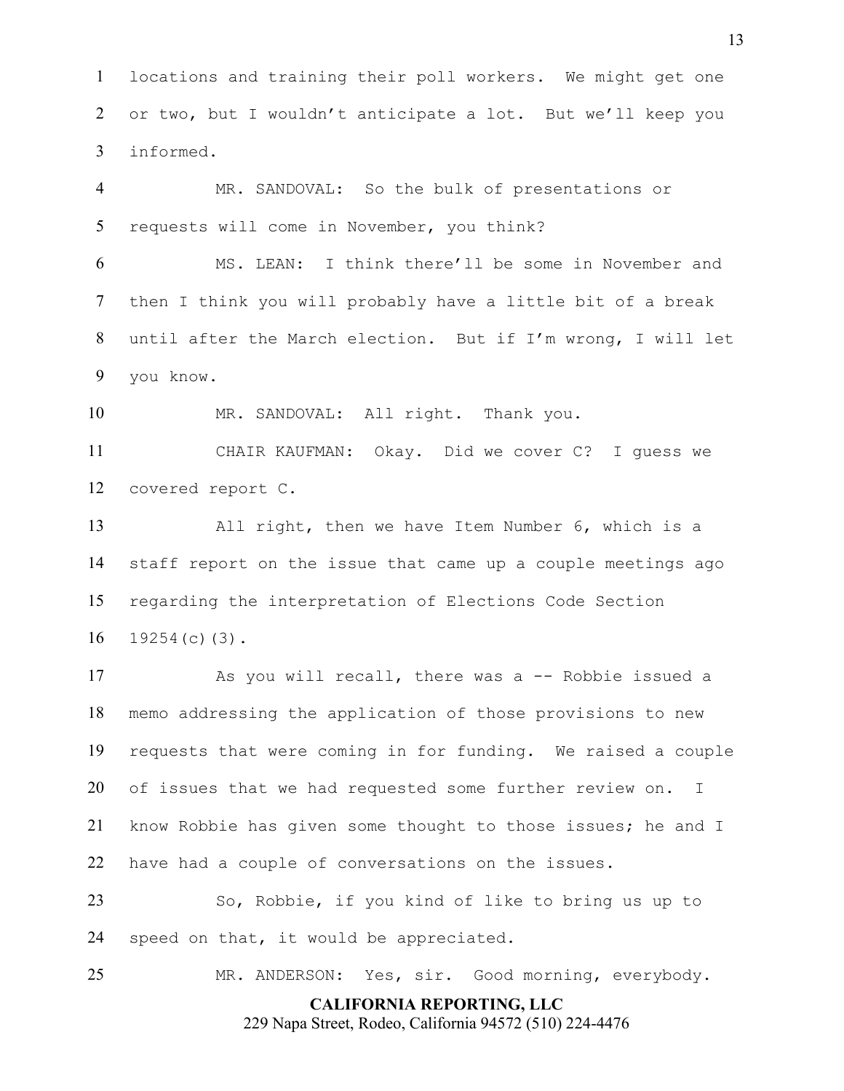locations and training their poll workers. We might get one 2 or two, but I wouldn't anticipate a lot. But we'll keep you informed.

 MR. SANDOVAL: So the bulk of presentations or requests will come in November, you think?

 MS. LEAN: I think there'll be some in November and then I think you will probably have a little bit of a break until after the March election. But if I'm wrong, I will let you know.

MR. SANDOVAL: All right. Thank you.

 CHAIR KAUFMAN: Okay. Did we cover C? I guess we covered report C.

 All right, then we have Item Number 6, which is a staff report on the issue that came up a couple meetings ago regarding the interpretation of Elections Code Section 19254(c)(3).

 As you will recall, there was a -- Robbie issued a memo addressing the application of those provisions to new requests that were coming in for funding. We raised a couple of issues that we had requested some further review on. I know Robbie has given some thought to those issues; he and I have had a couple of conversations on the issues.

 So, Robbie, if you kind of like to bring us up to speed on that, it would be appreciated.

MR. ANDERSON: Yes, sir. Good morning, everybody.

**CALIFORNIA REPORTING, LLC**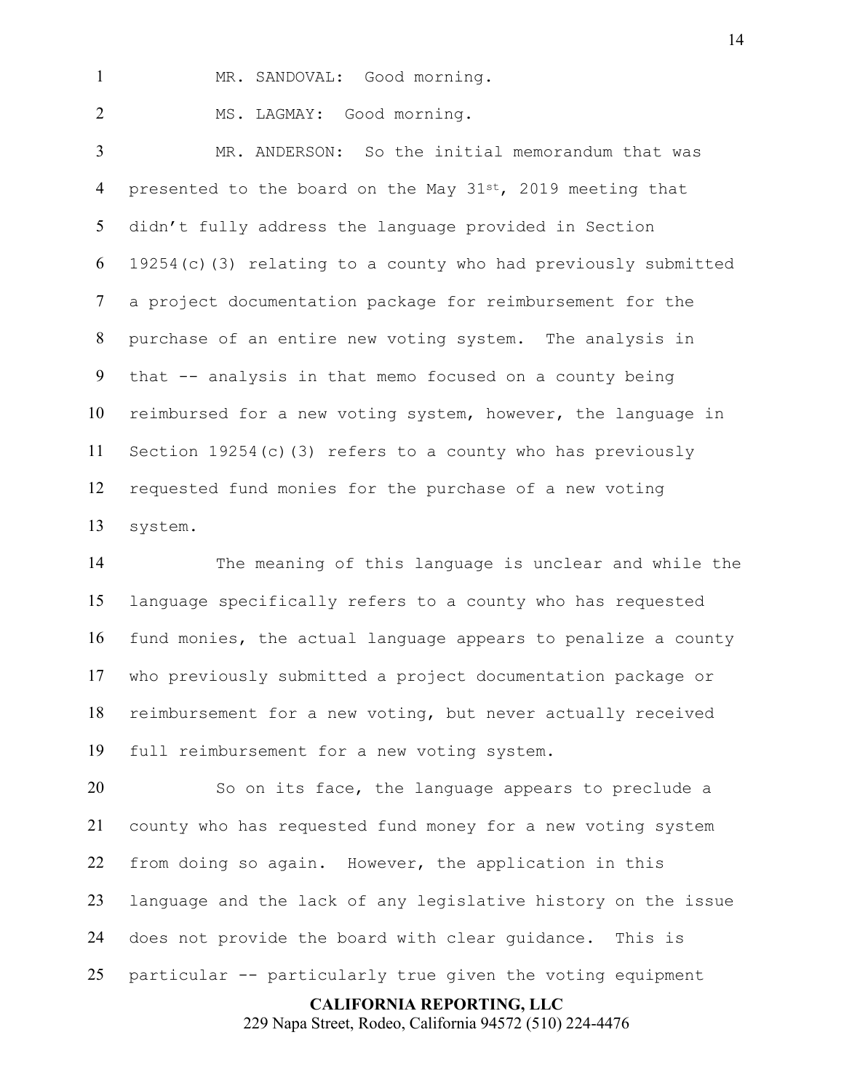1 MR. SANDOVAL: Good morning.

2 MS. LAGMAY: Good morning.

 MR. ANDERSON: So the initial memorandum that was 4 presented to the board on the May  $31^{st}$ , 2019 meeting that didn't fully address the language provided in Section 19254(c)(3) relating to a county who had previously submitted a project documentation package for reimbursement for the purchase of an entire new voting system. The analysis in that -- analysis in that memo focused on a county being reimbursed for a new voting system, however, the language in Section 19254(c)(3) refers to a county who has previously requested fund monies for the purchase of a new voting system.

 The meaning of this language is unclear and while the language specifically refers to a county who has requested fund monies, the actual language appears to penalize a county who previously submitted a project documentation package or reimbursement for a new voting, but never actually received full reimbursement for a new voting system.

 So on its face, the language appears to preclude a county who has requested fund money for a new voting system from doing so again. However, the application in this language and the lack of any legislative history on the issue does not provide the board with clear guidance. This is particular -- particularly true given the voting equipment

**CALIFORNIA REPORTING, LLC**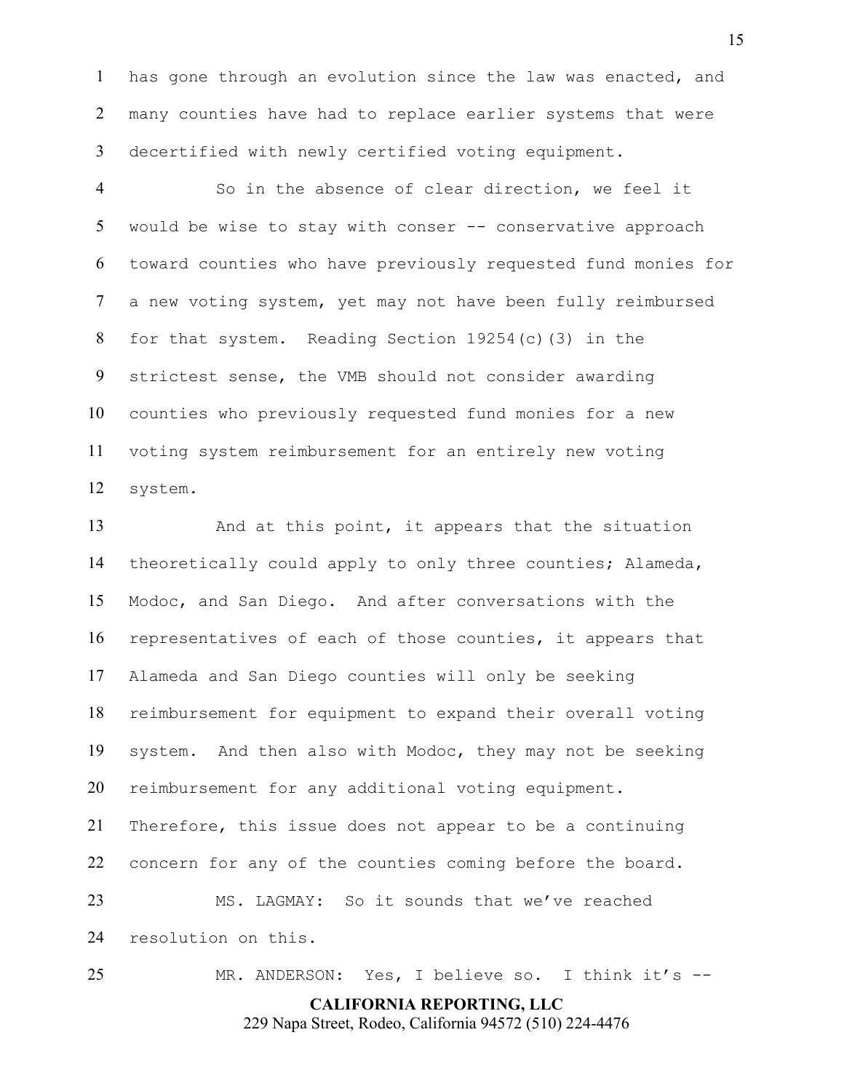has gone through an evolution since the law was enacted, and many counties have had to replace earlier systems that were decertified with newly certified voting equipment.

 So in the absence of clear direction, we feel it 5 would be wise to stay with conser -- conservative approach toward counties who have previously requested fund monies for a new voting system, yet may not have been fully reimbursed for that system. Reading Section 19254(c)(3) in the strictest sense, the VMB should not consider awarding counties who previously requested fund monies for a new voting system reimbursement for an entirely new voting system.

 And at this point, it appears that the situation theoretically could apply to only three counties; Alameda, Modoc, and San Diego. And after conversations with the representatives of each of those counties, it appears that Alameda and San Diego counties will only be seeking reimbursement for equipment to expand their overall voting system. And then also with Modoc, they may not be seeking reimbursement for any additional voting equipment. Therefore, this issue does not appear to be a continuing concern for any of the counties coming before the board. MS. LAGMAY: So it sounds that we've reached resolution on this.

MR. ANDERSON: Yes, I believe so. I think it's --

**CALIFORNIA REPORTING, LLC**

229 Napa Street, Rodeo, California 94572 (510) 224-4476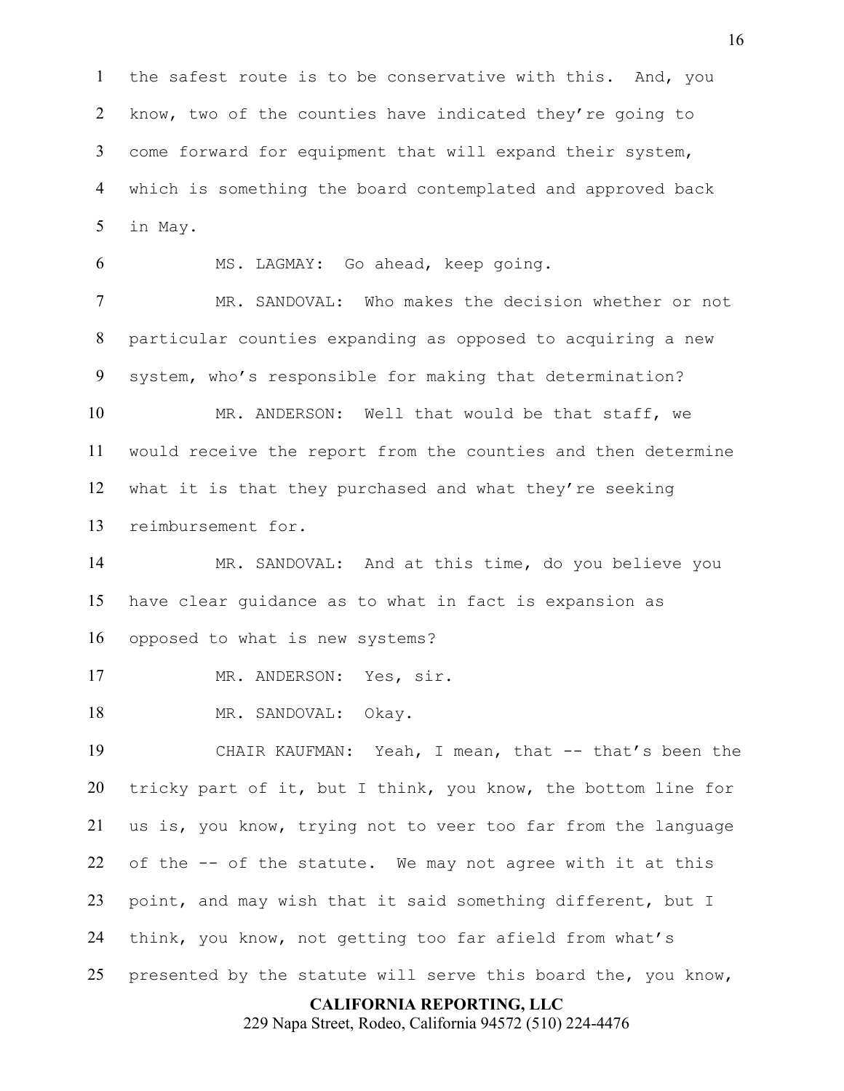the safest route is to be conservative with this. And, you know, two of the counties have indicated they're going to come forward for equipment that will expand their system, which is something the board contemplated and approved back in May.

MS. LAGMAY: Go ahead, keep going.

 MR. SANDOVAL: Who makes the decision whether or not particular counties expanding as opposed to acquiring a new system, who's responsible for making that determination?

 MR. ANDERSON: Well that would be that staff, we would receive the report from the counties and then determine what it is that they purchased and what they're seeking reimbursement for.

 MR. SANDOVAL: And at this time, do you believe you have clear guidance as to what in fact is expansion as opposed to what is new systems?

17 MR. ANDERSON: Yes, sir.

18 MR. SANDOVAL: Okay.

 CHAIR KAUFMAN: Yeah, I mean, that -- that's been the tricky part of it, but I think, you know, the bottom line for us is, you know, trying not to veer too far from the language of the -- of the statute. We may not agree with it at this point, and may wish that it said something different, but I think, you know, not getting too far afield from what's presented by the statute will serve this board the, you know,

### **CALIFORNIA REPORTING, LLC**

229 Napa Street, Rodeo, California 94572 (510) 224-4476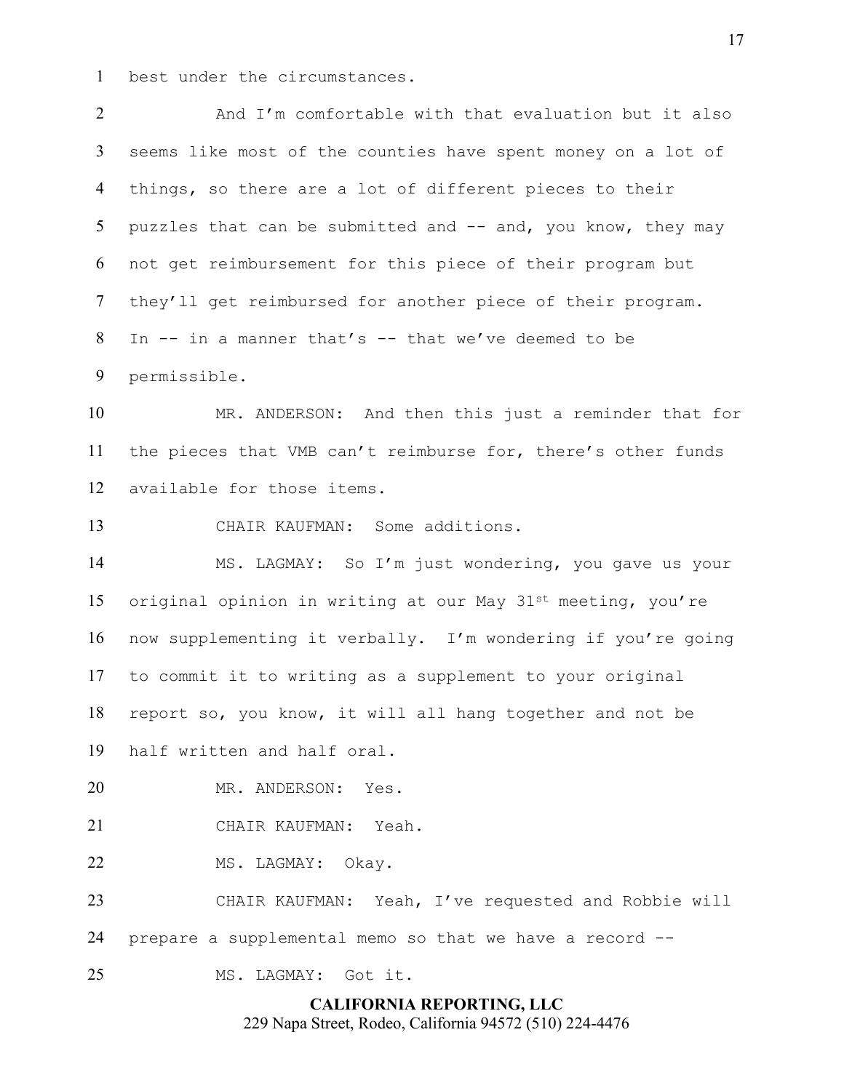best under the circumstances.

2 And I'm comfortable with that evaluation but it also seems like most of the counties have spent money on a lot of things, so there are a lot of different pieces to their 5 puzzles that can be submitted and -- and, you know, they may not get reimbursement for this piece of their program but they'll get reimbursed for another piece of their program. In -- in a manner that's -- that we've deemed to be permissible.

 MR. ANDERSON: And then this just a reminder that for the pieces that VMB can't reimburse for, there's other funds available for those items.

CHAIR KAUFMAN: Some additions.

 MS. LAGMAY: So I'm just wondering, you gave us your 15 original opinion in writing at our May 31st meeting, you're now supplementing it verbally. I'm wondering if you're going to commit it to writing as a supplement to your original report so, you know, it will all hang together and not be half written and half oral.

MR. ANDERSON: Yes.

CHAIR KAUFMAN: Yeah.

MS. LAGMAY: Okay.

 CHAIR KAUFMAN: Yeah, I've requested and Robbie will prepare a supplemental memo so that we have a record --

MS. LAGMAY: Got it.

## **CALIFORNIA REPORTING, LLC**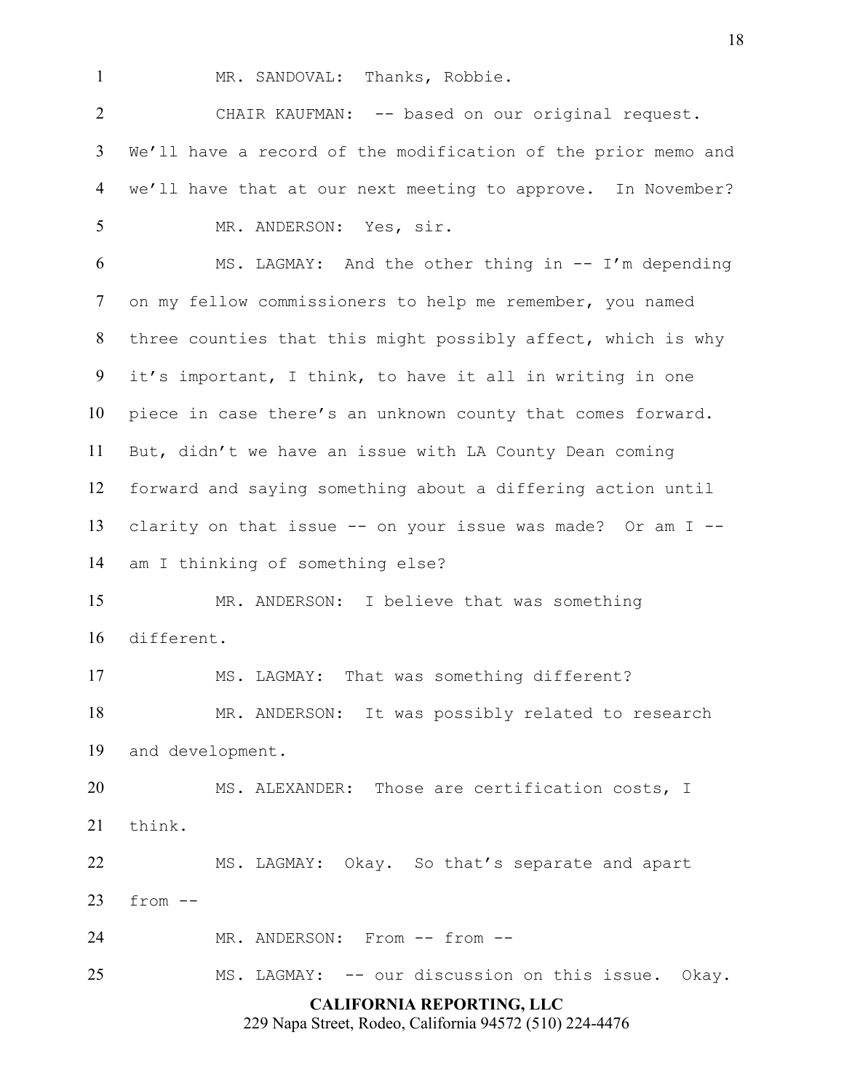1 MR. SANDOVAL: Thanks, Robbie.

 CHAIR KAUFMAN: -- based on our original request. We'll have a record of the modification of the prior memo and we'll have that at our next meeting to approve. In November? MR. ANDERSON: Yes, sir.

 MS. LAGMAY: And the other thing in -- I'm depending on my fellow commissioners to help me remember, you named three counties that this might possibly affect, which is why it's important, I think, to have it all in writing in one piece in case there's an unknown county that comes forward. But, didn't we have an issue with LA County Dean coming forward and saying something about a differing action until clarity on that issue -- on your issue was made? Or am I -- am I thinking of something else?

 MR. ANDERSON: I believe that was something different.

MS. LAGMAY: That was something different?

 MR. ANDERSON: It was possibly related to research and development.

 MS. ALEXANDER: Those are certification costs, I think.

 MS. LAGMAY: Okay. So that's separate and apart from  $-$ 

24 MR. ANDERSON: From -- from --

MS. LAGMAY: -- our discussion on this issue. Okay.

## **CALIFORNIA REPORTING, LLC**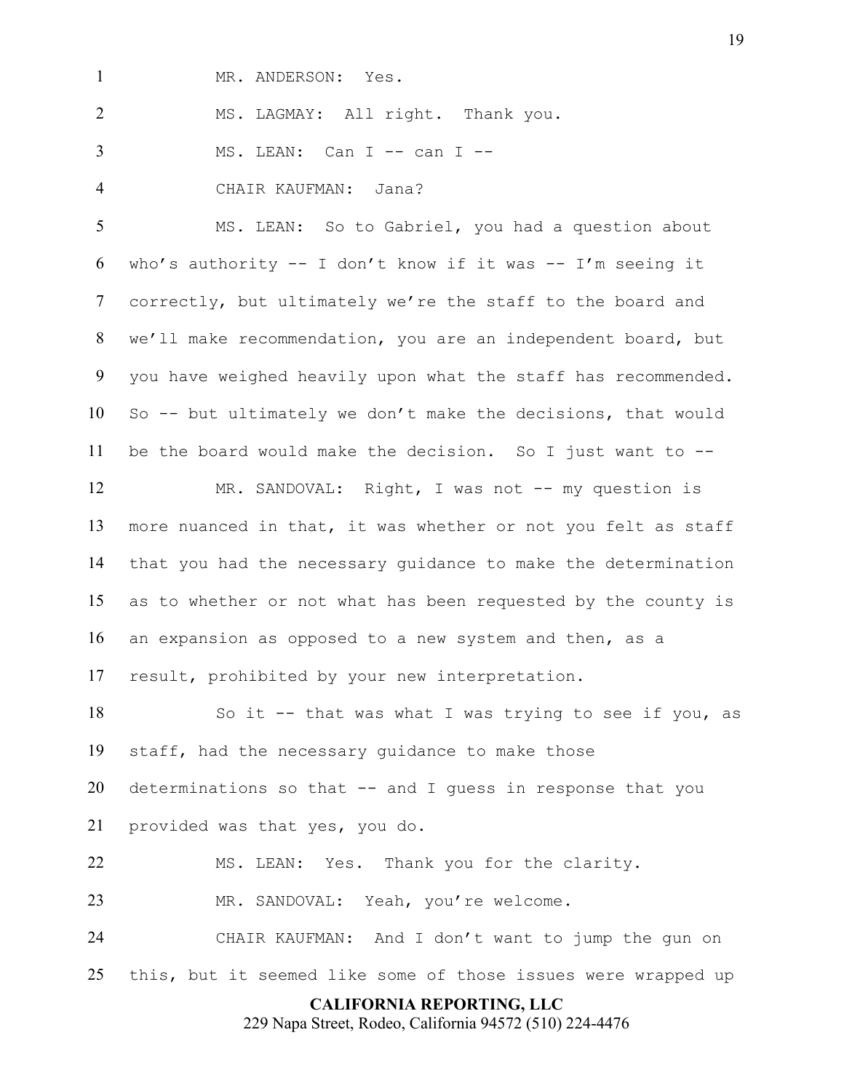1 MR. ANDERSON: Yes.

MS. LAGMAY: All right. Thank you.

3 MS. LEAN: Can I -- can I --

CHAIR KAUFMAN: Jana?

 MS. LEAN: So to Gabriel, you had a question about 6 who's authority  $-- 1$  don't know if it was  $-- 1'm$  seeing it correctly, but ultimately we're the staff to the board and we'll make recommendation, you are an independent board, but you have weighed heavily upon what the staff has recommended. So -- but ultimately we don't make the decisions, that would be the board would make the decision. So I just want to --

 MR. SANDOVAL: Right, I was not -- my question is more nuanced in that, it was whether or not you felt as staff that you had the necessary guidance to make the determination as to whether or not what has been requested by the county is an expansion as opposed to a new system and then, as a result, prohibited by your new interpretation.

 So it -- that was what I was trying to see if you, as staff, had the necessary guidance to make those determinations so that -- and I guess in response that you provided was that yes, you do.

 MS. LEAN: Yes. Thank you for the clarity. MR. SANDOVAL: Yeah, you're welcome.

 CHAIR KAUFMAN: And I don't want to jump the gun on this, but it seemed like some of those issues were wrapped up

## **CALIFORNIA REPORTING, LLC**

229 Napa Street, Rodeo, California 94572 (510) 224-4476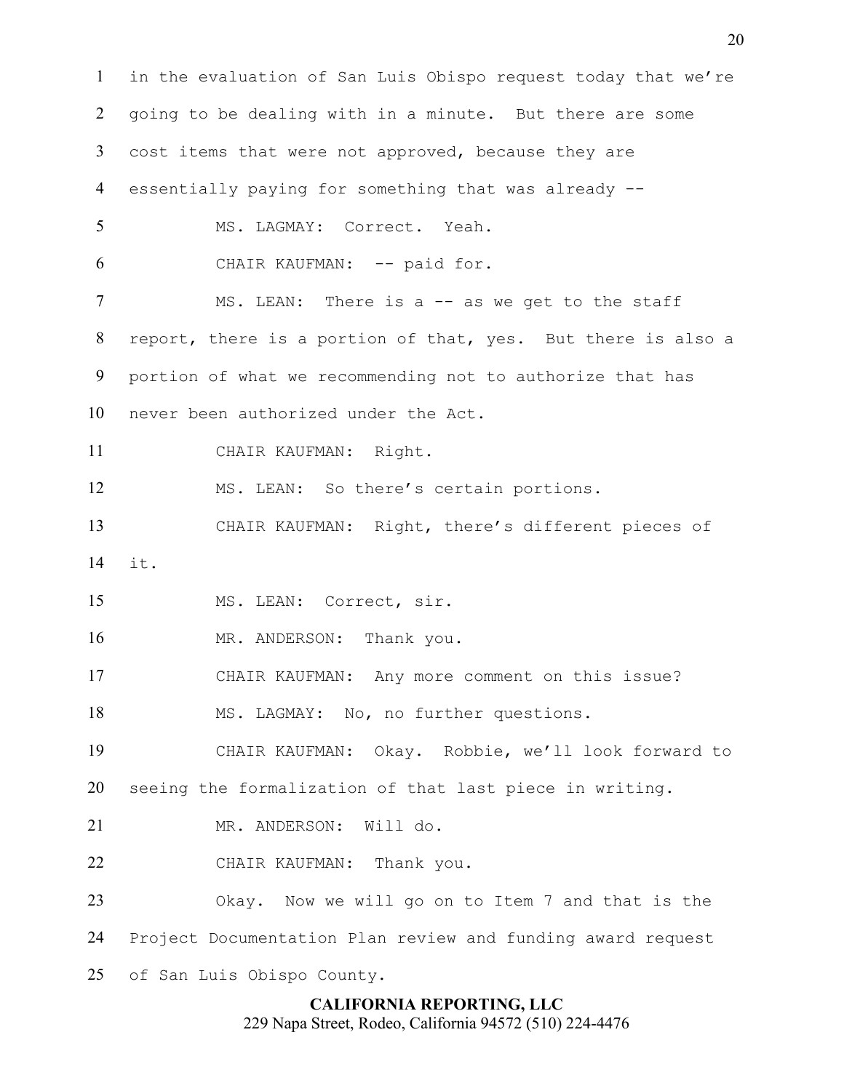**CALIFORNIA REPORTING, LLC** in the evaluation of San Luis Obispo request today that we're going to be dealing with in a minute. But there are some cost items that were not approved, because they are essentially paying for something that was already -- MS. LAGMAY: Correct. Yeah. CHAIR KAUFMAN: -- paid for. 7 MS. LEAN: There is a -- as we get to the staff report, there is a portion of that, yes. But there is also a portion of what we recommending not to authorize that has never been authorized under the Act. CHAIR KAUFMAN: Right. MS. LEAN: So there's certain portions. CHAIR KAUFMAN: Right, there's different pieces of it. MS. LEAN: Correct, sir. 16 MR. ANDERSON: Thank you. CHAIR KAUFMAN: Any more comment on this issue? MS. LAGMAY: No, no further questions. CHAIR KAUFMAN: Okay. Robbie, we'll look forward to seeing the formalization of that last piece in writing. 21 MR. ANDERSON: Will do. CHAIR KAUFMAN: Thank you. Okay. Now we will go on to Item 7 and that is the Project Documentation Plan review and funding award request of San Luis Obispo County.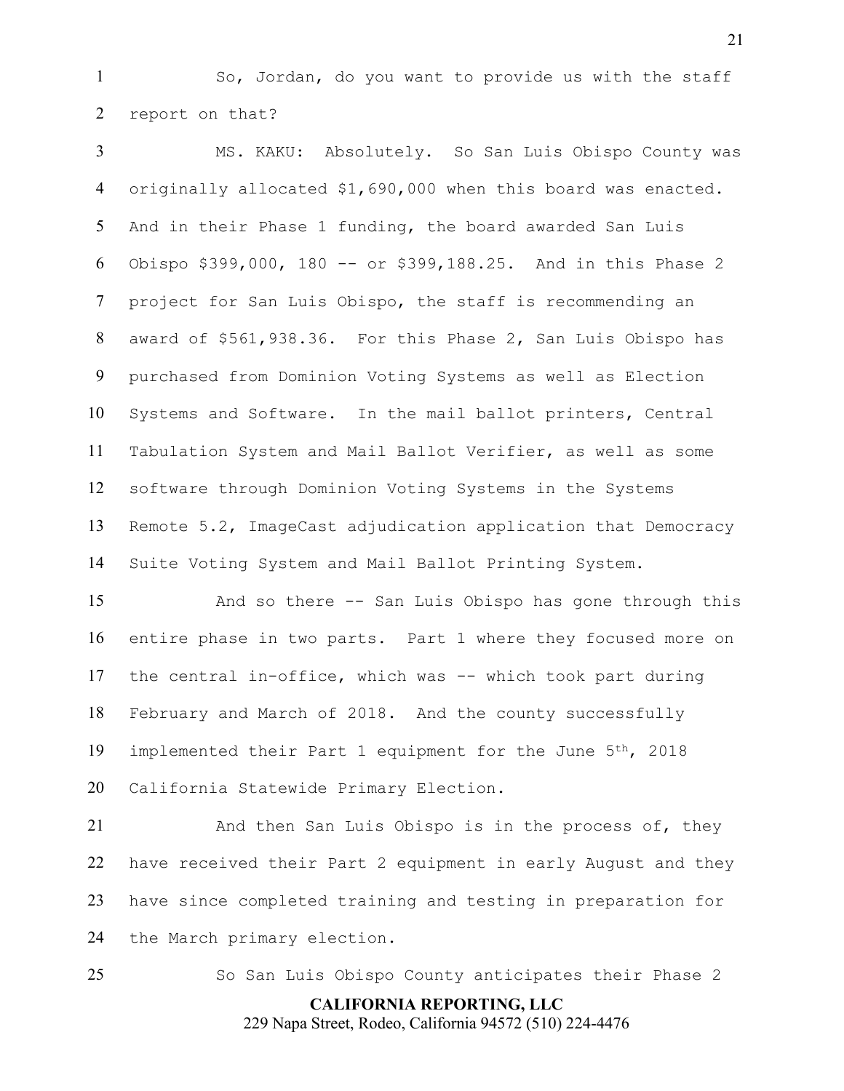So, Jordan, do you want to provide us with the staff report on that?

 MS. KAKU: Absolutely. So San Luis Obispo County was originally allocated \$1,690,000 when this board was enacted. And in their Phase 1 funding, the board awarded San Luis Obispo \$399,000, 180 -- or \$399,188.25. And in this Phase 2 project for San Luis Obispo, the staff is recommending an award of \$561,938.36. For this Phase 2, San Luis Obispo has purchased from Dominion Voting Systems as well as Election Systems and Software. In the mail ballot printers, Central Tabulation System and Mail Ballot Verifier, as well as some software through Dominion Voting Systems in the Systems Remote 5.2, ImageCast adjudication application that Democracy Suite Voting System and Mail Ballot Printing System.

 And so there -- San Luis Obispo has gone through this entire phase in two parts. Part 1 where they focused more on the central in-office, which was -- which took part during February and March of 2018. And the county successfully 19 implemented their Part 1 equipment for the June 5<sup>th</sup>, 2018 California Statewide Primary Election.

 And then San Luis Obispo is in the process of, they have received their Part 2 equipment in early August and they have since completed training and testing in preparation for the March primary election.

So San Luis Obispo County anticipates their Phase 2

**CALIFORNIA REPORTING, LLC** 229 Napa Street, Rodeo, California 94572 (510) 224-4476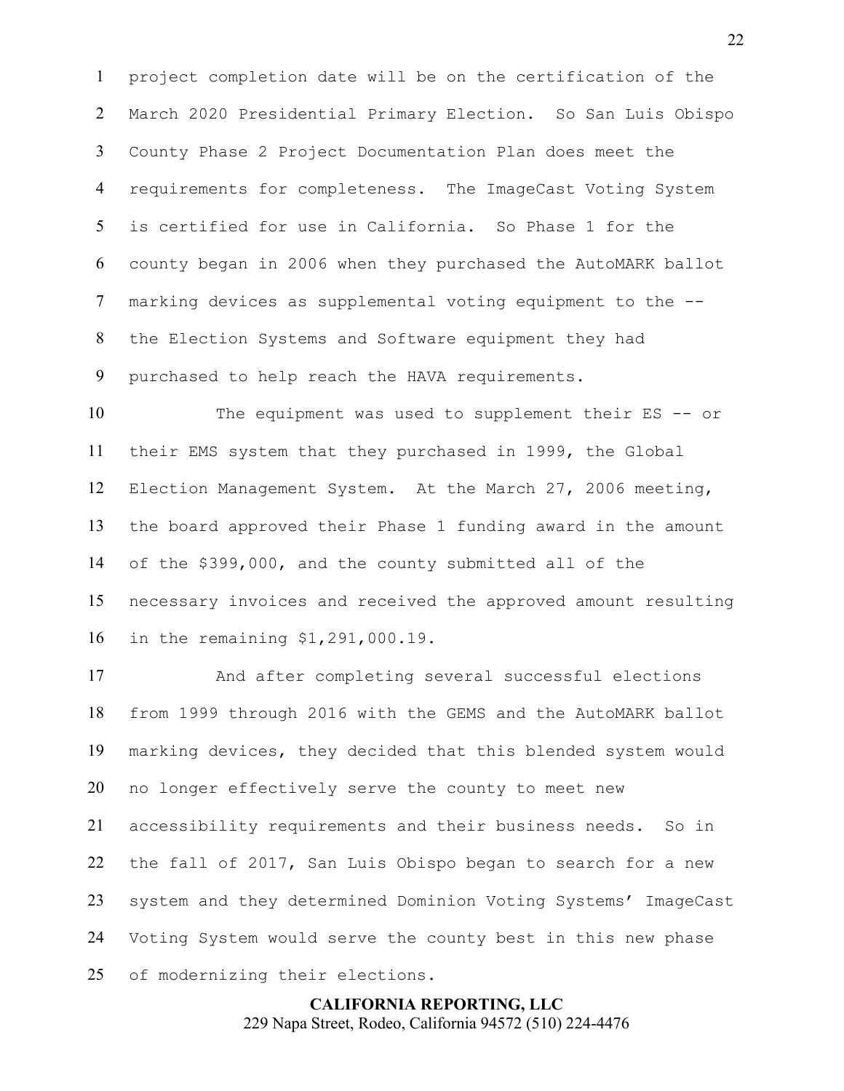project completion date will be on the certification of the March 2020 Presidential Primary Election. So San Luis Obispo County Phase 2 Project Documentation Plan does meet the requirements for completeness. The ImageCast Voting System is certified for use in California. So Phase 1 for the county began in 2006 when they purchased the AutoMARK ballot marking devices as supplemental voting equipment to the -- the Election Systems and Software equipment they had purchased to help reach the HAVA requirements.

 The equipment was used to supplement their ES -- or their EMS system that they purchased in 1999, the Global Election Management System. At the March 27, 2006 meeting, the board approved their Phase 1 funding award in the amount of the \$399,000, and the county submitted all of the necessary invoices and received the approved amount resulting in the remaining \$1,291,000.19.

 And after completing several successful elections from 1999 through 2016 with the GEMS and the AutoMARK ballot marking devices, they decided that this blended system would no longer effectively serve the county to meet new accessibility requirements and their business needs. So in the fall of 2017, San Luis Obispo began to search for a new system and they determined Dominion Voting Systems' ImageCast Voting System would serve the county best in this new phase of modernizing their elections.

> **CALIFORNIA REPORTING, LLC** 229 Napa Street, Rodeo, California 94572 (510) 224-4476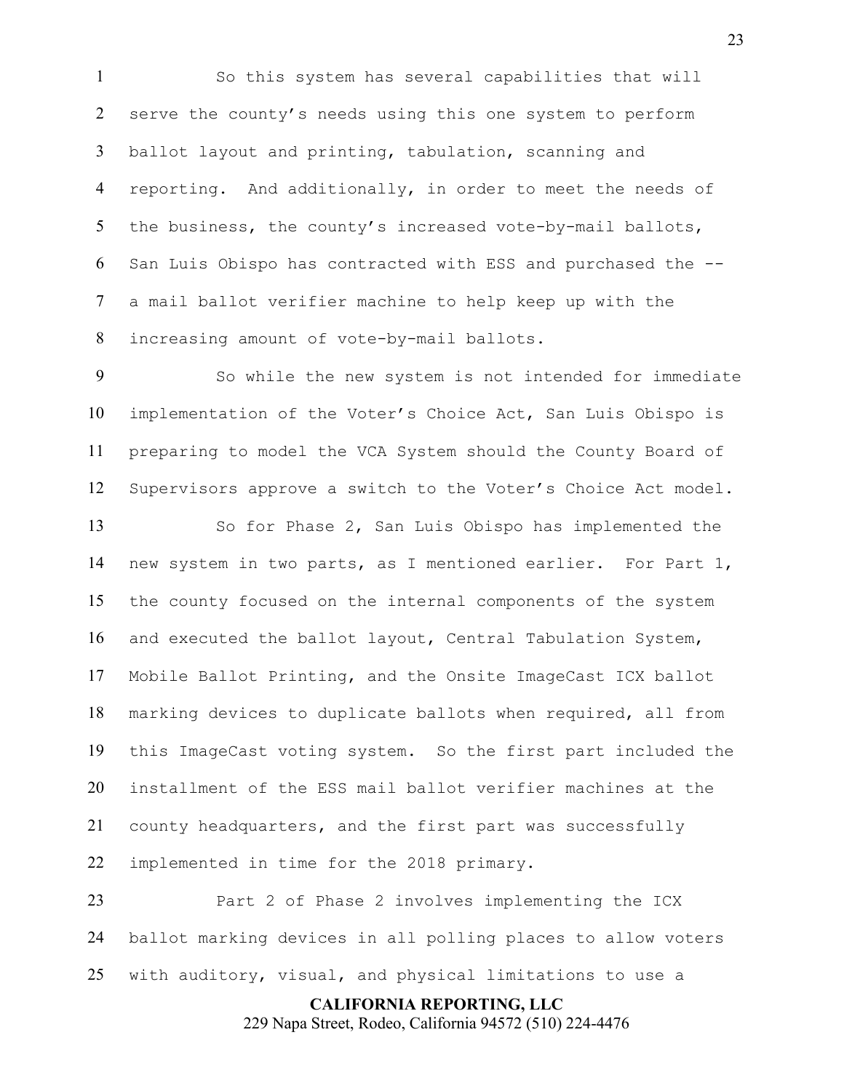So this system has several capabilities that will serve the county's needs using this one system to perform ballot layout and printing, tabulation, scanning and 4 reporting. And additionally, in order to meet the needs of 5 the business, the county's increased vote-by-mail ballots, San Luis Obispo has contracted with ESS and purchased the -- a mail ballot verifier machine to help keep up with the increasing amount of vote-by-mail ballots.

 So while the new system is not intended for immediate implementation of the Voter's Choice Act, San Luis Obispo is preparing to model the VCA System should the County Board of Supervisors approve a switch to the Voter's Choice Act model.

 So for Phase 2, San Luis Obispo has implemented the new system in two parts, as I mentioned earlier. For Part 1, the county focused on the internal components of the system and executed the ballot layout, Central Tabulation System, Mobile Ballot Printing, and the Onsite ImageCast ICX ballot marking devices to duplicate ballots when required, all from this ImageCast voting system. So the first part included the installment of the ESS mail ballot verifier machines at the county headquarters, and the first part was successfully implemented in time for the 2018 primary.

 Part 2 of Phase 2 involves implementing the ICX ballot marking devices in all polling places to allow voters with auditory, visual, and physical limitations to use a

> **CALIFORNIA REPORTING, LLC** 229 Napa Street, Rodeo, California 94572 (510) 224-4476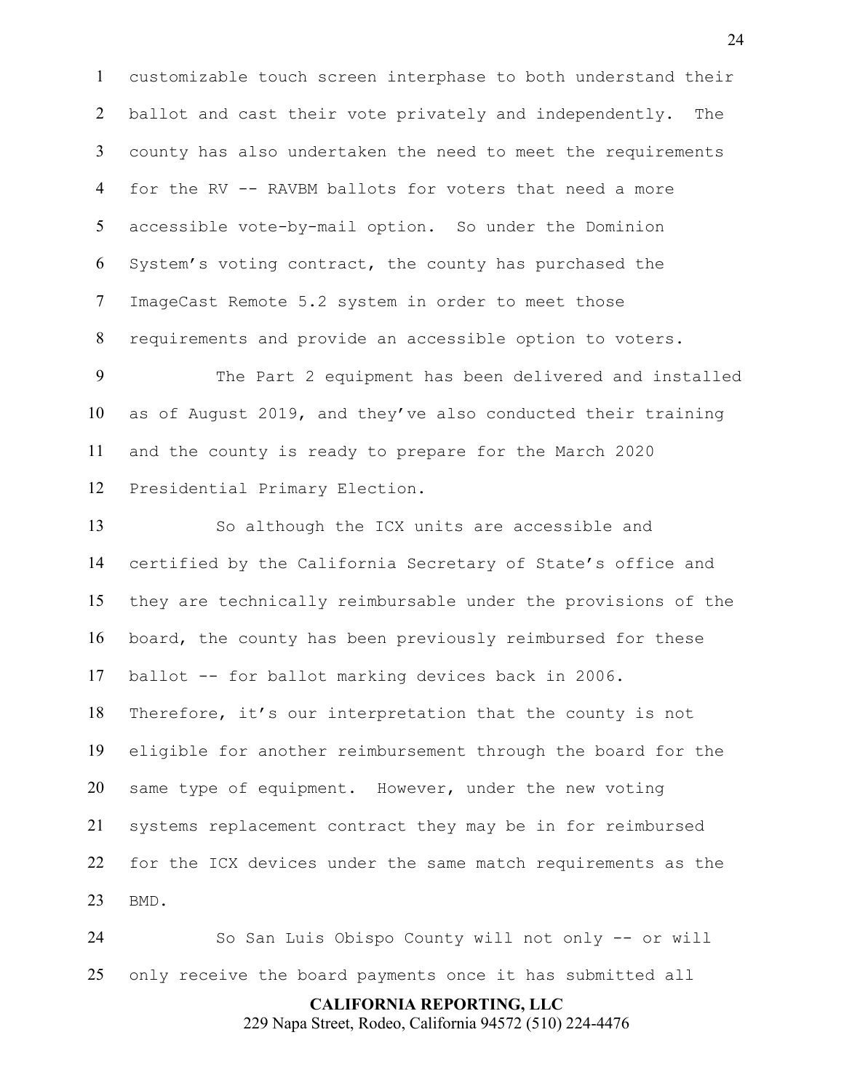customizable touch screen interphase to both understand their 2 ballot and cast their vote privately and independently. The county has also undertaken the need to meet the requirements for the RV -- RAVBM ballots for voters that need a more accessible vote-by-mail option. So under the Dominion System's voting contract, the county has purchased the ImageCast Remote 5.2 system in order to meet those requirements and provide an accessible option to voters.

 The Part 2 equipment has been delivered and installed as of August 2019, and they've also conducted their training and the county is ready to prepare for the March 2020 Presidential Primary Election.

 So although the ICX units are accessible and certified by the California Secretary of State's office and they are technically reimbursable under the provisions of the board, the county has been previously reimbursed for these ballot -- for ballot marking devices back in 2006. Therefore, it's our interpretation that the county is not eligible for another reimbursement through the board for the same type of equipment. However, under the new voting systems replacement contract they may be in for reimbursed

 for the ICX devices under the same match requirements as the BMD.

 So San Luis Obispo County will not only -- or will only receive the board payments once it has submitted all

**CALIFORNIA REPORTING, LLC**

229 Napa Street, Rodeo, California 94572 (510) 224-4476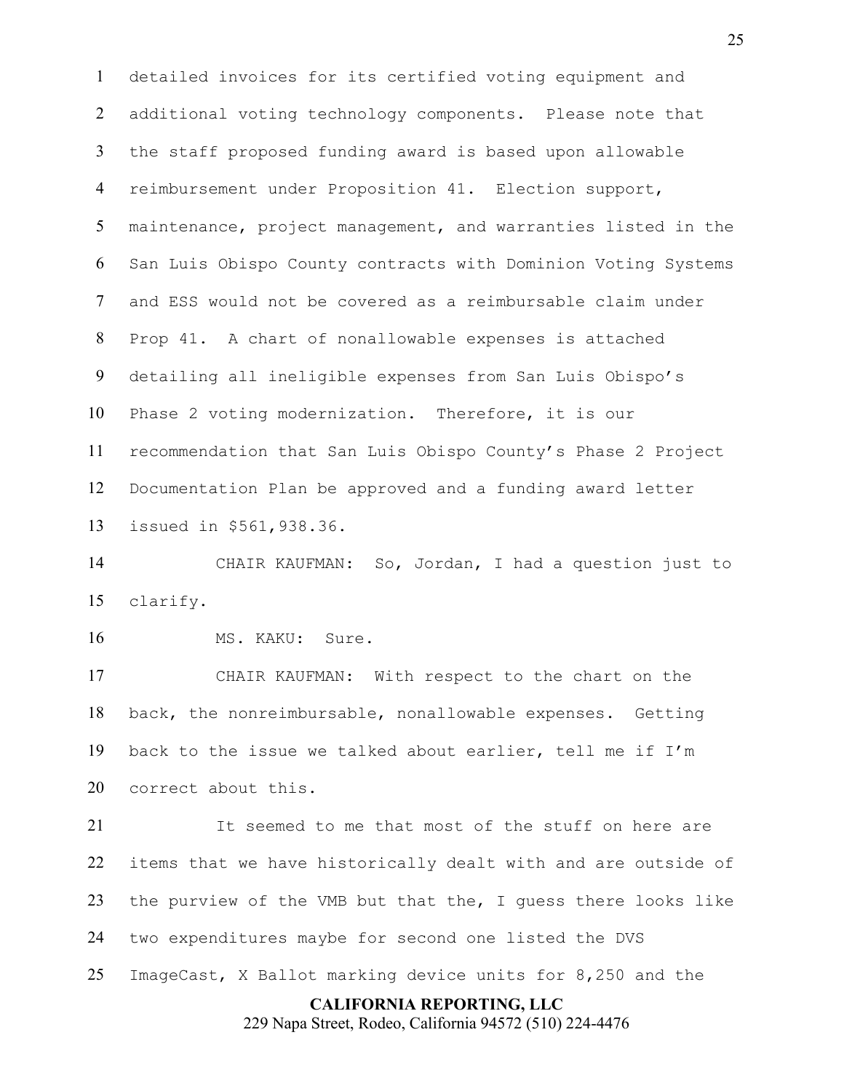detailed invoices for its certified voting equipment and additional voting technology components. Please note that the staff proposed funding award is based upon allowable reimbursement under Proposition 41. Election support, maintenance, project management, and warranties listed in the San Luis Obispo County contracts with Dominion Voting Systems and ESS would not be covered as a reimbursable claim under Prop 41. A chart of nonallowable expenses is attached detailing all ineligible expenses from San Luis Obispo's Phase 2 voting modernization. Therefore, it is our recommendation that San Luis Obispo County's Phase 2 Project Documentation Plan be approved and a funding award letter issued in \$561,938.36.

 CHAIR KAUFMAN: So, Jordan, I had a question just to clarify.

16 MS. KAKU: Sure.

 CHAIR KAUFMAN: With respect to the chart on the back, the nonreimbursable, nonallowable expenses. Getting back to the issue we talked about earlier, tell me if I'm correct about this.

 It seemed to me that most of the stuff on here are items that we have historically dealt with and are outside of the purview of the VMB but that the, I guess there looks like two expenditures maybe for second one listed the DVS ImageCast, X Ballot marking device units for 8,250 and the

### **CALIFORNIA REPORTING, LLC**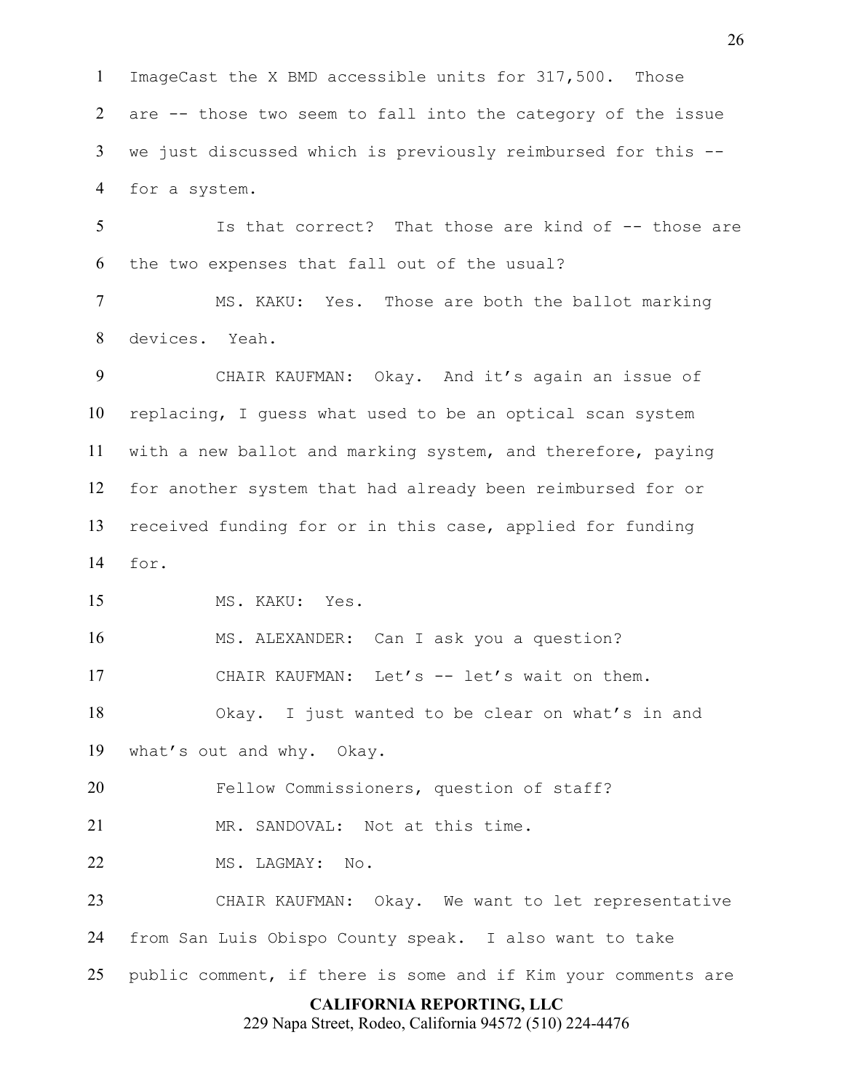ImageCast the X BMD accessible units for 317,500. Those are -- those two seem to fall into the category of the issue we just discussed which is previously reimbursed for this -- for a system.

 Is that correct? That those are kind of -- those are the two expenses that fall out of the usual?

 MS. KAKU: Yes. Those are both the ballot marking devices. Yeah.

 CHAIR KAUFMAN: Okay. And it's again an issue of replacing, I guess what used to be an optical scan system with a new ballot and marking system, and therefore, paying for another system that had already been reimbursed for or received funding for or in this case, applied for funding for.

MS. KAKU: Yes.

MS. ALEXANDER: Can I ask you a question?

17 CHAIR KAUFMAN: Let's -- let's wait on them.

 Okay. I just wanted to be clear on what's in and what's out and why. Okay.

Fellow Commissioners, question of staff?

MR. SANDOVAL: Not at this time.

MS. LAGMAY: No.

 CHAIR KAUFMAN: Okay. We want to let representative from San Luis Obispo County speak. I also want to take

public comment, if there is some and if Kim your comments are

## **CALIFORNIA REPORTING, LLC**

229 Napa Street, Rodeo, California 94572 (510) 224-4476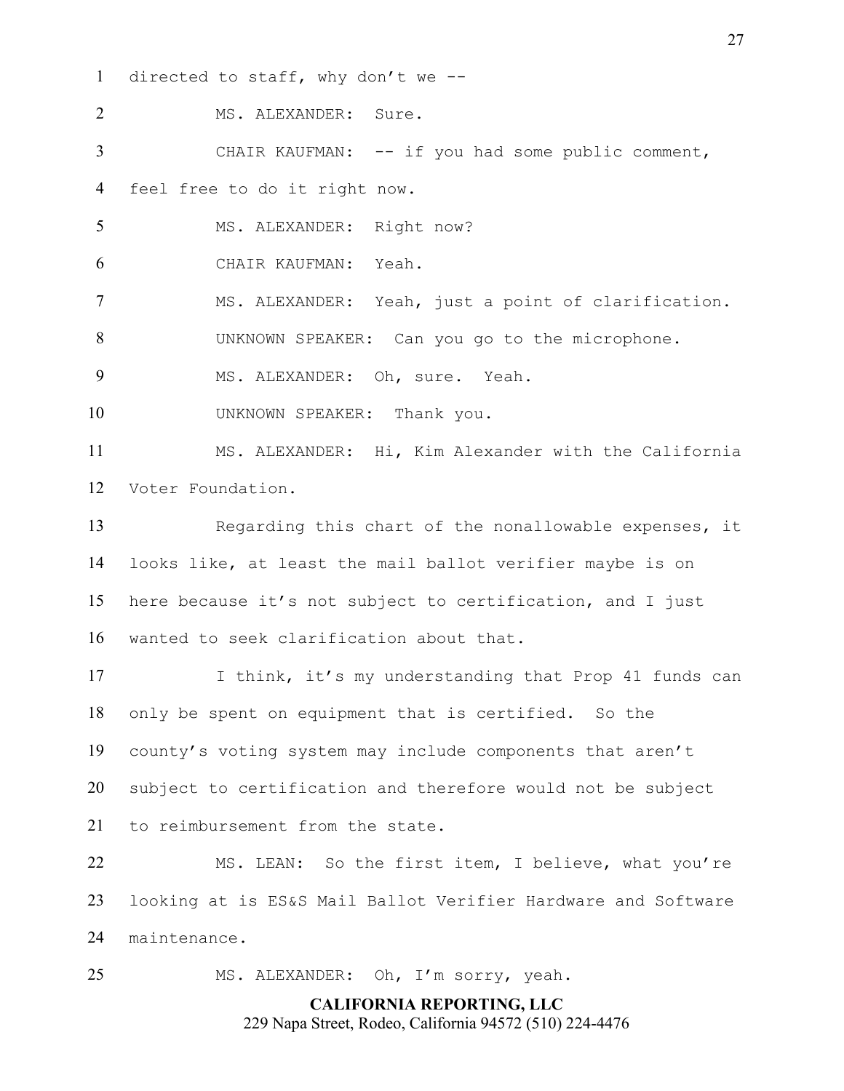directed to staff, why don't we --

 MS. ALEXANDER: Sure. CHAIR KAUFMAN: -- if you had some public comment, feel free to do it right now. 5 MS. ALEXANDER: Right now?

CHAIR KAUFMAN: Yeah.

MS. ALEXANDER: Yeah, just a point of clarification.

UNKNOWN SPEAKER: Can you go to the microphone.

MS. ALEXANDER: Oh, sure. Yeah.

10 UNKNOWN SPEAKER: Thank you.

 MS. ALEXANDER: Hi, Kim Alexander with the California Voter Foundation.

 Regarding this chart of the nonallowable expenses, it looks like, at least the mail ballot verifier maybe is on here because it's not subject to certification, and I just wanted to seek clarification about that.

17 I think, it's my understanding that Prop 41 funds can only be spent on equipment that is certified. So the county's voting system may include components that aren't subject to certification and therefore would not be subject to reimbursement from the state.

 MS. LEAN: So the first item, I believe, what you're looking at is ES&S Mail Ballot Verifier Hardware and Software maintenance.

MS. ALEXANDER: Oh, I'm sorry, yeah.

## **CALIFORNIA REPORTING, LLC** 229 Napa Street, Rodeo, California 94572 (510) 224-4476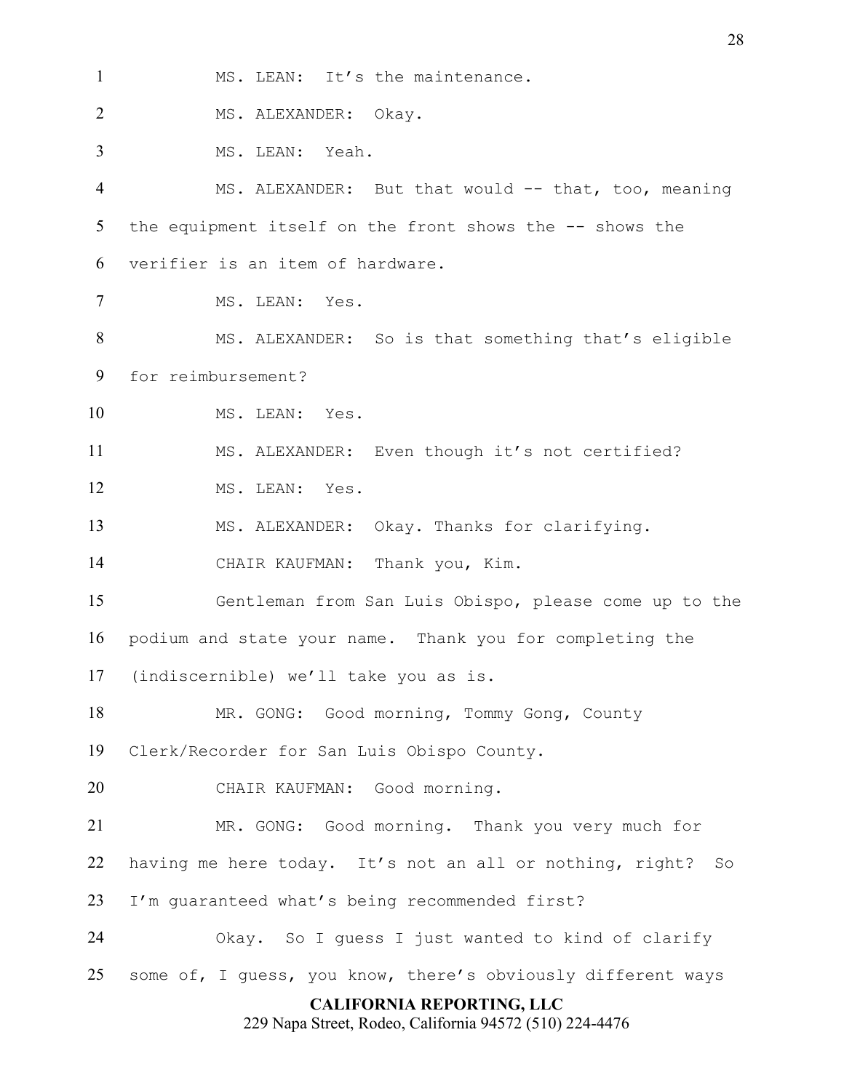**CALIFORNIA REPORTING, LLC** 229 Napa Street, Rodeo, California 94572 (510) 224-4476 1 MS. LEAN: It's the maintenance. MS. ALEXANDER: Okay. MS. LEAN: Yeah. MS. ALEXANDER: But that would -- that, too, meaning 5 the equipment itself on the front shows the -- shows the verifier is an item of hardware. MS. LEAN: Yes. MS. ALEXANDER: So is that something that's eligible for reimbursement? MS. LEAN: Yes. MS. ALEXANDER: Even though it's not certified? MS. LEAN: Yes. MS. ALEXANDER: Okay. Thanks for clarifying. CHAIR KAUFMAN: Thank you, Kim. Gentleman from San Luis Obispo, please come up to the podium and state your name. Thank you for completing the (indiscernible) we'll take you as is. MR. GONG: Good morning, Tommy Gong, County Clerk/Recorder for San Luis Obispo County. CHAIR KAUFMAN: Good morning. MR. GONG: Good morning. Thank you very much for having me here today. It's not an all or nothing, right? So I'm guaranteed what's being recommended first? Okay. So I guess I just wanted to kind of clarify some of, I guess, you know, there's obviously different ways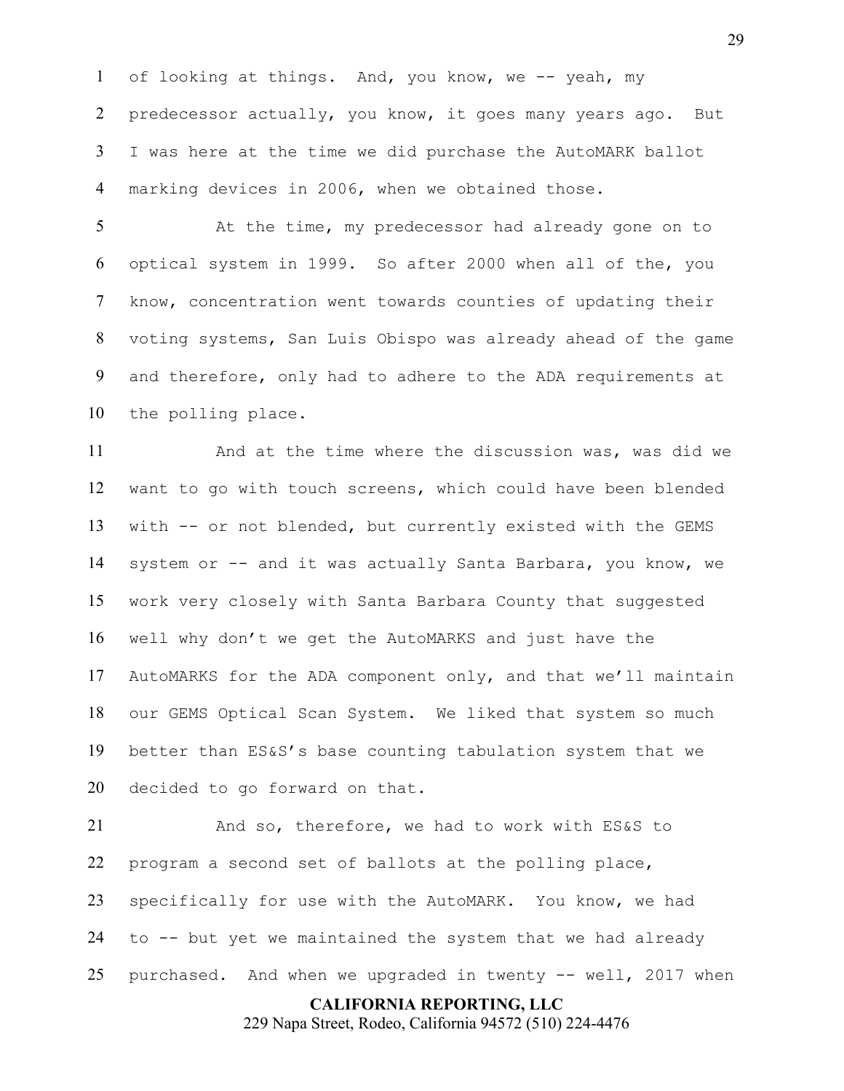of looking at things. And, you know, we -- yeah, my 2 predecessor actually, you know, it goes many years ago. But I was here at the time we did purchase the AutoMARK ballot marking devices in 2006, when we obtained those.

 At the time, my predecessor had already gone on to optical system in 1999. So after 2000 when all of the, you know, concentration went towards counties of updating their voting systems, San Luis Obispo was already ahead of the game and therefore, only had to adhere to the ADA requirements at the polling place.

 And at the time where the discussion was, was did we want to go with touch screens, which could have been blended with -- or not blended, but currently existed with the GEMS system or -- and it was actually Santa Barbara, you know, we work very closely with Santa Barbara County that suggested well why don't we get the AutoMARKS and just have the AutoMARKS for the ADA component only, and that we'll maintain our GEMS Optical Scan System. We liked that system so much better than ES&S's base counting tabulation system that we decided to go forward on that.

 And so, therefore, we had to work with ES&S to program a second set of ballots at the polling place, specifically for use with the AutoMARK. You know, we had to -- but yet we maintained the system that we had already purchased. And when we upgraded in twenty -- well, 2017 when

**CALIFORNIA REPORTING, LLC**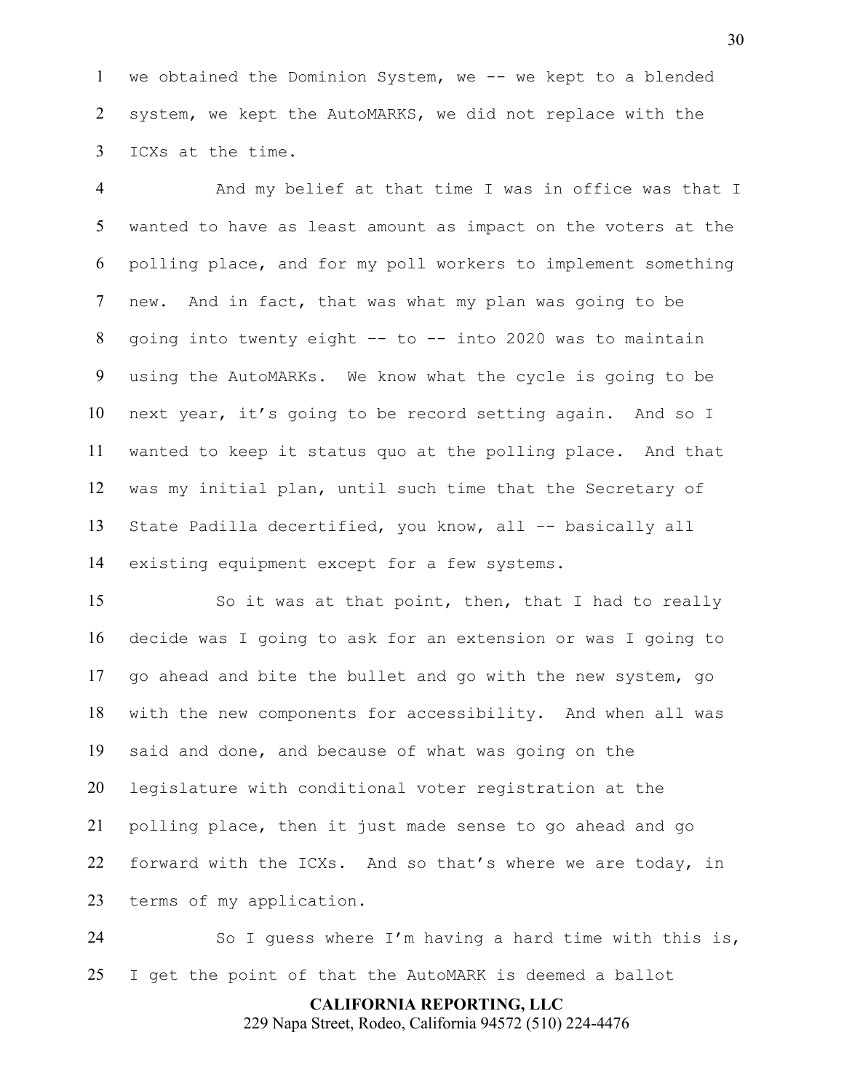1 we obtained the Dominion System, we -- we kept to a blended system, we kept the AutoMARKS, we did not replace with the ICXs at the time.

 And my belief at that time I was in office was that I wanted to have as least amount as impact on the voters at the polling place, and for my poll workers to implement something new. And in fact, that was what my plan was going to be going into twenty eight –- to -- into 2020 was to maintain using the AutoMARKs. We know what the cycle is going to be next year, it's going to be record setting again. And so I wanted to keep it status quo at the polling place. And that was my initial plan, until such time that the Secretary of State Padilla decertified, you know, all –- basically all existing equipment except for a few systems.

 So it was at that point, then, that I had to really decide was I going to ask for an extension or was I going to go ahead and bite the bullet and go with the new system, go with the new components for accessibility. And when all was said and done, and because of what was going on the legislature with conditional voter registration at the polling place, then it just made sense to go ahead and go forward with the ICXs. And so that's where we are today, in terms of my application.

 So I guess where I'm having a hard time with this is, I get the point of that the AutoMARK is deemed a ballot

**CALIFORNIA REPORTING, LLC**

229 Napa Street, Rodeo, California 94572 (510) 224-4476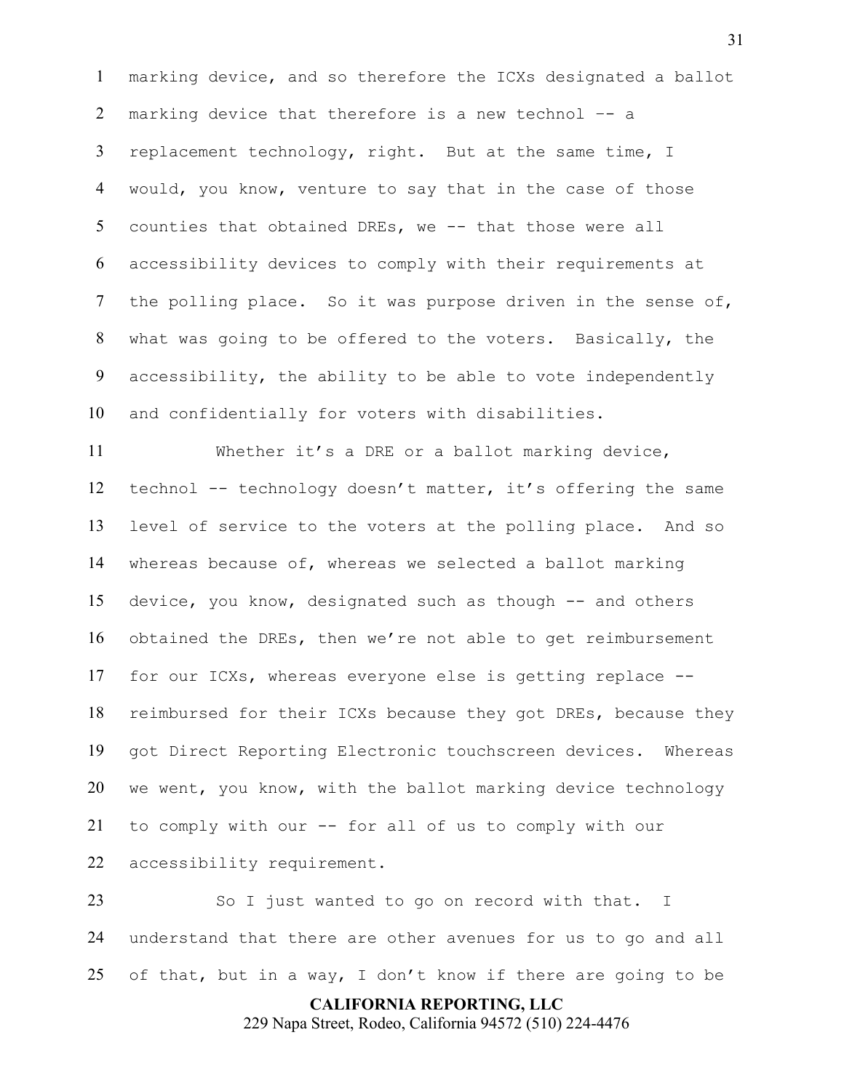marking device, and so therefore the ICXs designated a ballot marking device that therefore is a new technol –- a 3 replacement technology, right. But at the same time, I would, you know, venture to say that in the case of those counties that obtained DREs, we -- that those were all accessibility devices to comply with their requirements at the polling place. So it was purpose driven in the sense of, what was going to be offered to the voters. Basically, the accessibility, the ability to be able to vote independently and confidentially for voters with disabilities.

 Whether it's a DRE or a ballot marking device, 12 technol -- technology doesn't matter, it's offering the same level of service to the voters at the polling place. And so whereas because of, whereas we selected a ballot marking device, you know, designated such as though -- and others obtained the DREs, then we're not able to get reimbursement for our ICXs, whereas everyone else is getting replace -- reimbursed for their ICXs because they got DREs, because they got Direct Reporting Electronic touchscreen devices. Whereas we went, you know, with the ballot marking device technology to comply with our -- for all of us to comply with our accessibility requirement.

 So I just wanted to go on record with that. I understand that there are other avenues for us to go and all of that, but in a way, I don't know if there are going to be

**CALIFORNIA REPORTING, LLC**

229 Napa Street, Rodeo, California 94572 (510) 224-4476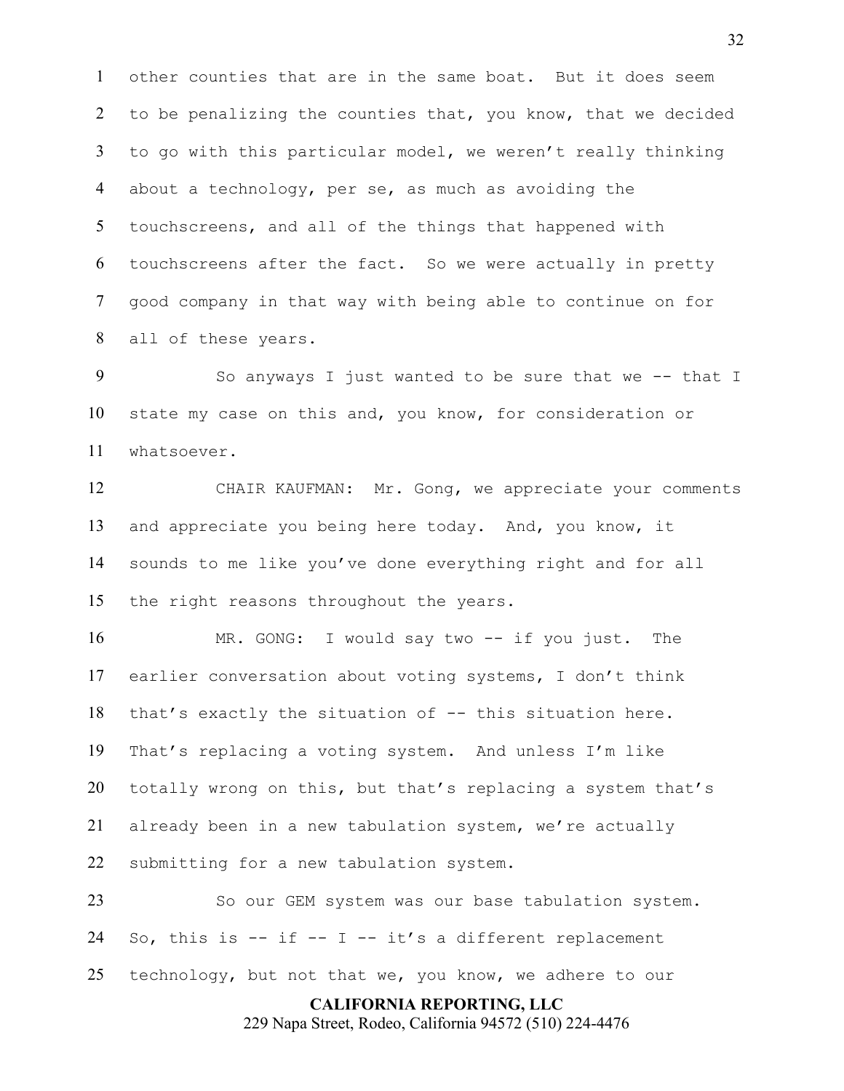other counties that are in the same boat. But it does seem to be penalizing the counties that, you know, that we decided to go with this particular model, we weren't really thinking about a technology, per se, as much as avoiding the touchscreens, and all of the things that happened with touchscreens after the fact. So we were actually in pretty good company in that way with being able to continue on for all of these years.

9 So anyways I just wanted to be sure that we -- that I state my case on this and, you know, for consideration or whatsoever.

 CHAIR KAUFMAN: Mr. Gong, we appreciate your comments and appreciate you being here today. And, you know, it sounds to me like you've done everything right and for all the right reasons throughout the years.

 MR. GONG: I would say two -- if you just. The earlier conversation about voting systems, I don't think that's exactly the situation of -- this situation here. That's replacing a voting system. And unless I'm like totally wrong on this, but that's replacing a system that's already been in a new tabulation system, we're actually submitting for a new tabulation system.

**CALIFORNIA REPORTING, LLC** So our GEM system was our base tabulation system. 24 So, this is  $-$  if  $-$  I  $-$  it's a different replacement technology, but not that we, you know, we adhere to our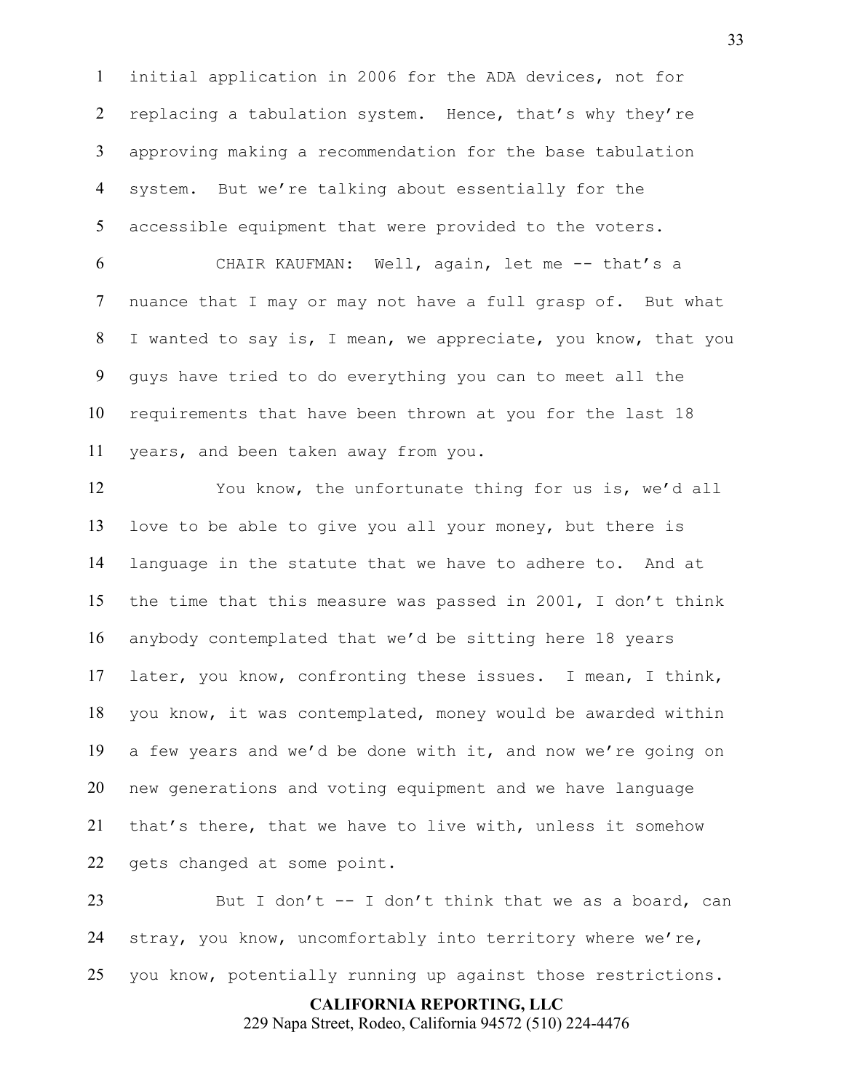initial application in 2006 for the ADA devices, not for 2 replacing a tabulation system. Hence, that's why they're approving making a recommendation for the base tabulation system. But we're talking about essentially for the accessible equipment that were provided to the voters.

 CHAIR KAUFMAN: Well, again, let me -- that's a nuance that I may or may not have a full grasp of. But what I wanted to say is, I mean, we appreciate, you know, that you guys have tried to do everything you can to meet all the requirements that have been thrown at you for the last 18 years, and been taken away from you.

 You know, the unfortunate thing for us is, we'd all love to be able to give you all your money, but there is language in the statute that we have to adhere to. And at the time that this measure was passed in 2001, I don't think anybody contemplated that we'd be sitting here 18 years later, you know, confronting these issues. I mean, I think, you know, it was contemplated, money would be awarded within a few years and we'd be done with it, and now we're going on new generations and voting equipment and we have language that's there, that we have to live with, unless it somehow gets changed at some point.

23 But I don't -- I don't think that we as a board, can stray, you know, uncomfortably into territory where we're, you know, potentially running up against those restrictions.

> **CALIFORNIA REPORTING, LLC** 229 Napa Street, Rodeo, California 94572 (510) 224-4476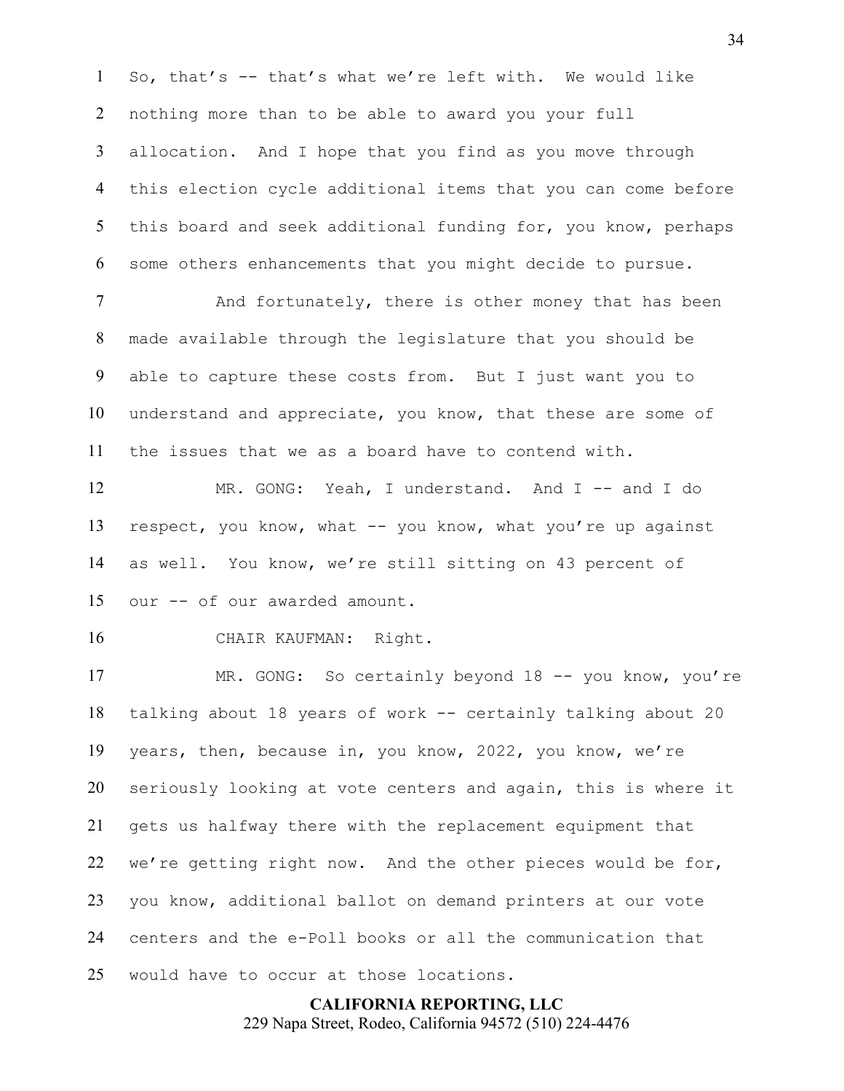So, that's -- that's what we're left with. We would like nothing more than to be able to award you your full allocation. And I hope that you find as you move through this election cycle additional items that you can come before 5 this board and seek additional funding for, you know, perhaps some others enhancements that you might decide to pursue.

7 And fortunately, there is other money that has been made available through the legislature that you should be able to capture these costs from. But I just want you to understand and appreciate, you know, that these are some of the issues that we as a board have to contend with.

 MR. GONG: Yeah, I understand. And I -- and I do 13 respect, you know, what -- you know, what you're up against as well. You know, we're still sitting on 43 percent of our -- of our awarded amount.

CHAIR KAUFMAN: Right.

 MR. GONG: So certainly beyond 18 -- you know, you're talking about 18 years of work -- certainly talking about 20 years, then, because in, you know, 2022, you know, we're seriously looking at vote centers and again, this is where it gets us halfway there with the replacement equipment that we're getting right now. And the other pieces would be for, you know, additional ballot on demand printers at our vote centers and the e-Poll books or all the communication that would have to occur at those locations.

> **CALIFORNIA REPORTING, LLC** 229 Napa Street, Rodeo, California 94572 (510) 224-4476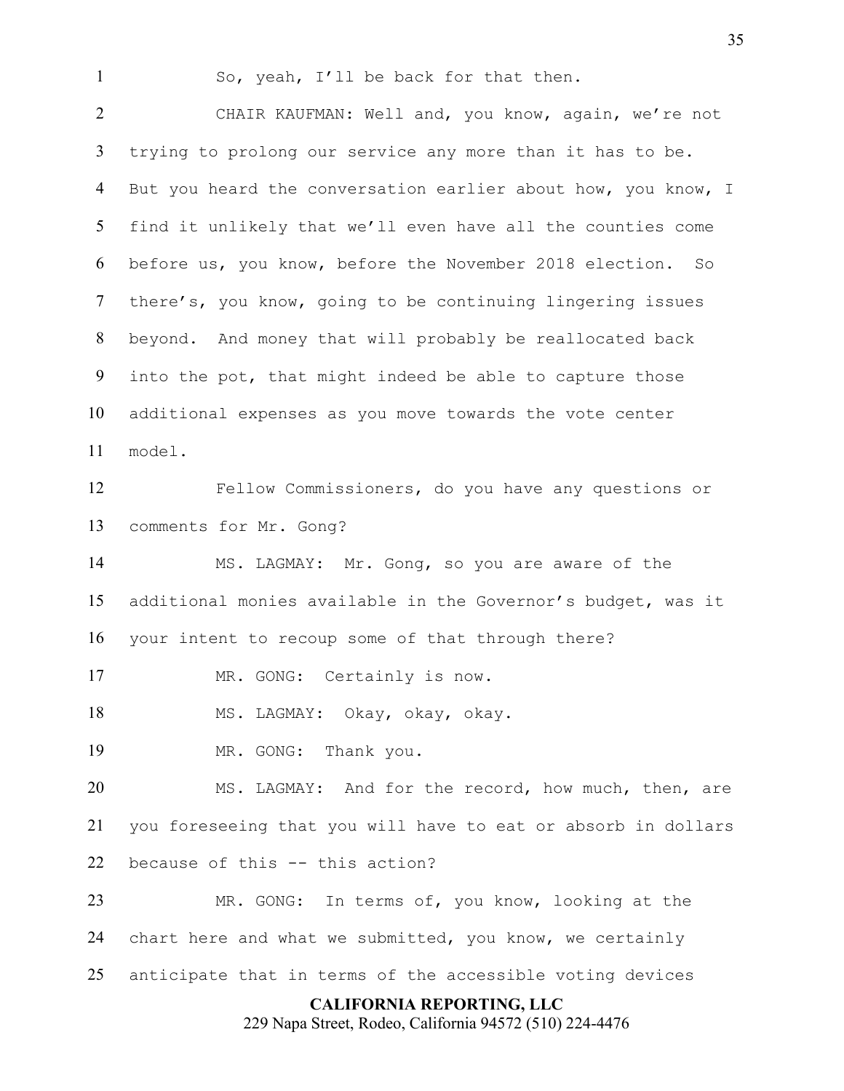So, yeah, I'll be back for that then.

 CHAIR KAUFMAN: Well and, you know, again, we're not trying to prolong our service any more than it has to be. But you heard the conversation earlier about how, you know, I find it unlikely that we'll even have all the counties come before us, you know, before the November 2018 election. So there's, you know, going to be continuing lingering issues beyond. And money that will probably be reallocated back into the pot, that might indeed be able to capture those additional expenses as you move towards the vote center model. Fellow Commissioners, do you have any questions or comments for Mr. Gong? MS. LAGMAY: Mr. Gong, so you are aware of the

 additional monies available in the Governor's budget, was it your intent to recoup some of that through there?

17 MR. GONG: Certainly is now.

MS. LAGMAY: Okay, okay, okay.

MR. GONG: Thank you.

 MS. LAGMAY: And for the record, how much, then, are you foreseeing that you will have to eat or absorb in dollars because of this -- this action?

 MR. GONG: In terms of, you know, looking at the chart here and what we submitted, you know, we certainly anticipate that in terms of the accessible voting devices

### **CALIFORNIA REPORTING, LLC**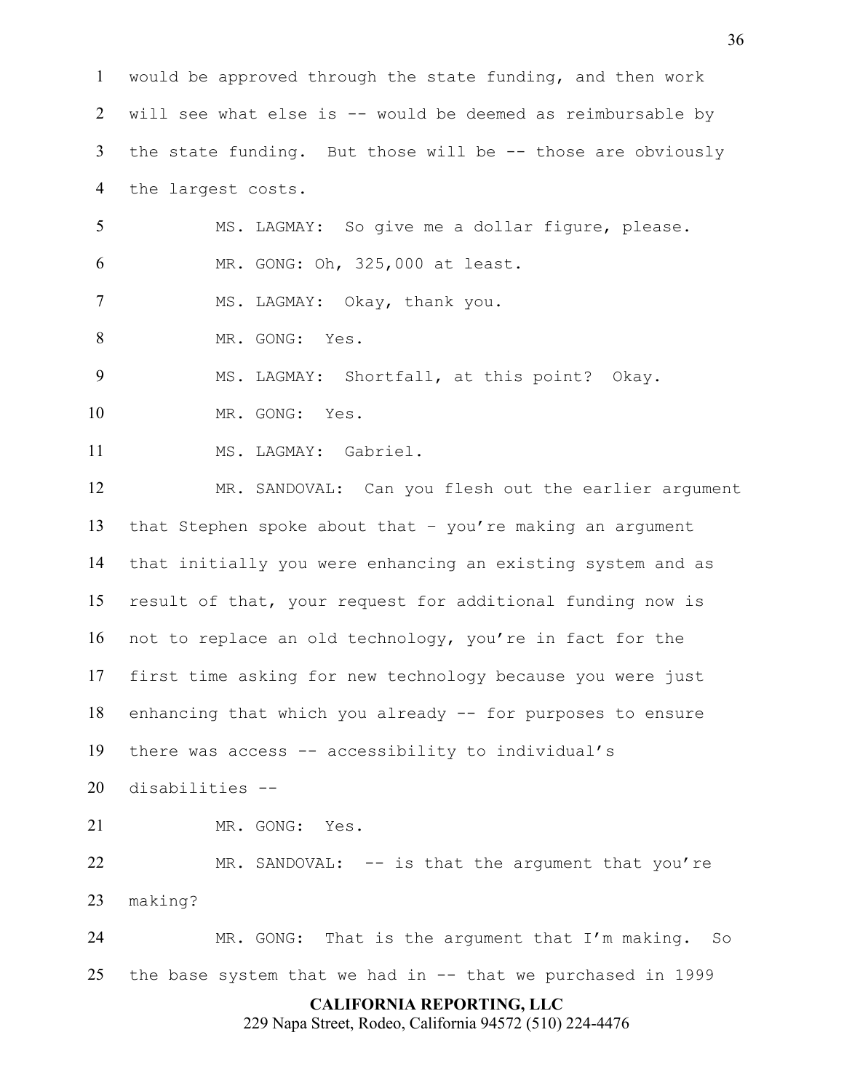**CALIFORNIA REPORTING, LLC** 229 Napa Street, Rodeo, California 94572 (510) 224-4476 would be approved through the state funding, and then work will see what else is -- would be deemed as reimbursable by the state funding. But those will be -- those are obviously the largest costs. MS. LAGMAY: So give me a dollar figure, please. MR. GONG: Oh, 325,000 at least. 7 MS. LAGMAY: Okay, thank you. MR. GONG: Yes. MS. LAGMAY: Shortfall, at this point? Okay. MR. GONG: Yes. 11 MS. LAGMAY: Gabriel. MR. SANDOVAL: Can you flesh out the earlier argument that Stephen spoke about that – you're making an argument that initially you were enhancing an existing system and as result of that, your request for additional funding now is not to replace an old technology, you're in fact for the first time asking for new technology because you were just enhancing that which you already -- for purposes to ensure there was access -- accessibility to individual's disabilities -- MR. GONG: Yes. 22 MR. SANDOVAL: -- is that the argument that you're making? MR. GONG: That is the argument that I'm making. So the base system that we had in -- that we purchased in 1999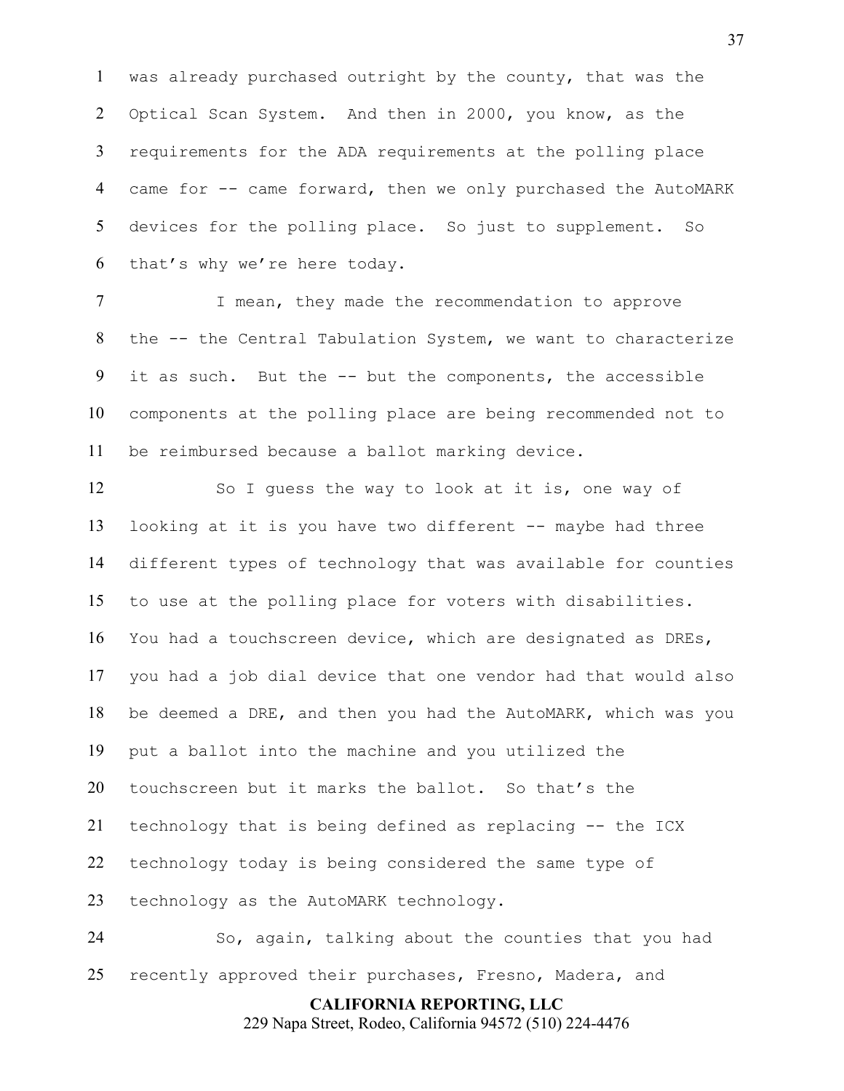was already purchased outright by the county, that was the Optical Scan System. And then in 2000, you know, as the requirements for the ADA requirements at the polling place 4 came for -- came forward, then we only purchased the AutoMARK devices for the polling place. So just to supplement. So that's why we're here today.

7 I mean, they made the recommendation to approve the -- the Central Tabulation System, we want to characterize it as such. But the -- but the components, the accessible components at the polling place are being recommended not to be reimbursed because a ballot marking device.

 So I guess the way to look at it is, one way of looking at it is you have two different -- maybe had three different types of technology that was available for counties to use at the polling place for voters with disabilities. You had a touchscreen device, which are designated as DREs, you had a job dial device that one vendor had that would also be deemed a DRE, and then you had the AutoMARK, which was you put a ballot into the machine and you utilized the touchscreen but it marks the ballot. So that's the technology that is being defined as replacing -- the ICX technology today is being considered the same type of technology as the AutoMARK technology.

 So, again, talking about the counties that you had recently approved their purchases, Fresno, Madera, and

> **CALIFORNIA REPORTING, LLC** 229 Napa Street, Rodeo, California 94572 (510) 224-4476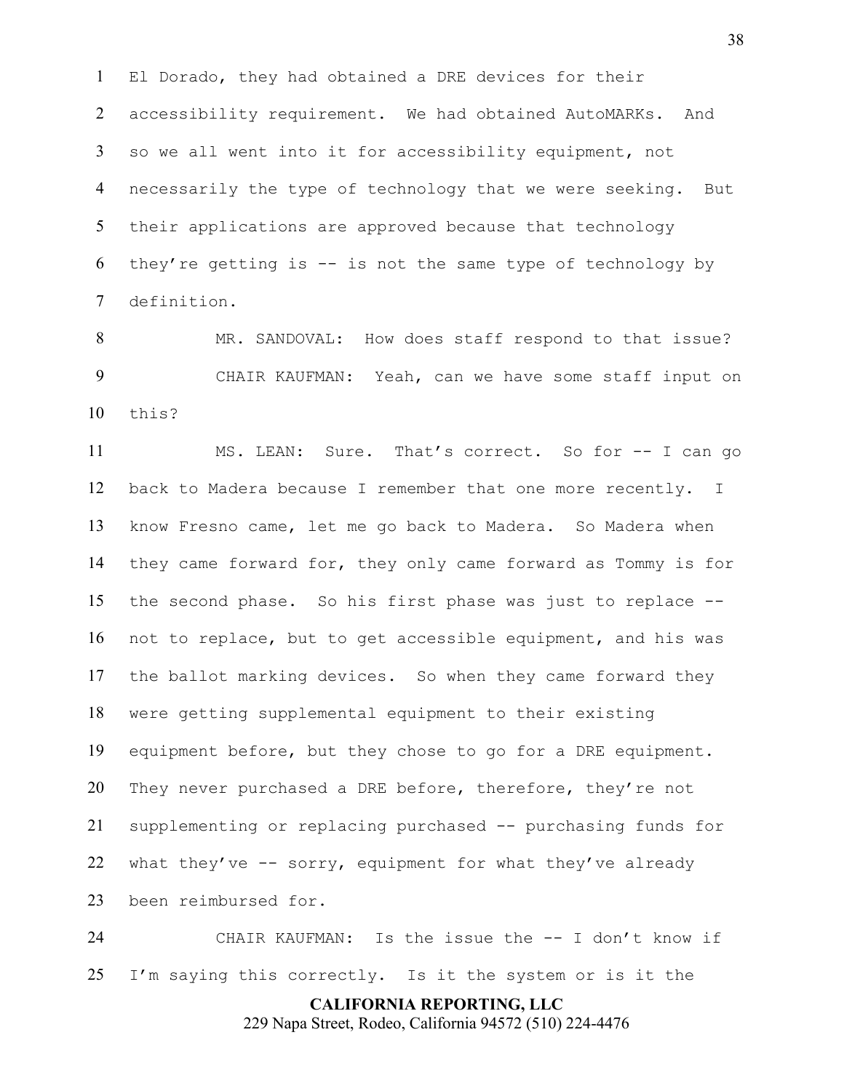El Dorado, they had obtained a DRE devices for their accessibility requirement. We had obtained AutoMARKs. And so we all went into it for accessibility equipment, not necessarily the type of technology that we were seeking. But their applications are approved because that technology 6 they're getting is  $-$  is not the same type of technology by definition.

 MR. SANDOVAL: How does staff respond to that issue? CHAIR KAUFMAN: Yeah, can we have some staff input on this?

 MS. LEAN: Sure. That's correct. So for -- I can go back to Madera because I remember that one more recently. I know Fresno came, let me go back to Madera. So Madera when they came forward for, they only came forward as Tommy is for the second phase. So his first phase was just to replace -- not to replace, but to get accessible equipment, and his was the ballot marking devices. So when they came forward they were getting supplemental equipment to their existing equipment before, but they chose to go for a DRE equipment. They never purchased a DRE before, therefore, they're not supplementing or replacing purchased -- purchasing funds for 22 what they've  $-$  sorry, equipment for what they've already been reimbursed for.

 CHAIR KAUFMAN: Is the issue the -- I don't know if I'm saying this correctly. Is it the system or is it the

> **CALIFORNIA REPORTING, LLC** 229 Napa Street, Rodeo, California 94572 (510) 224-4476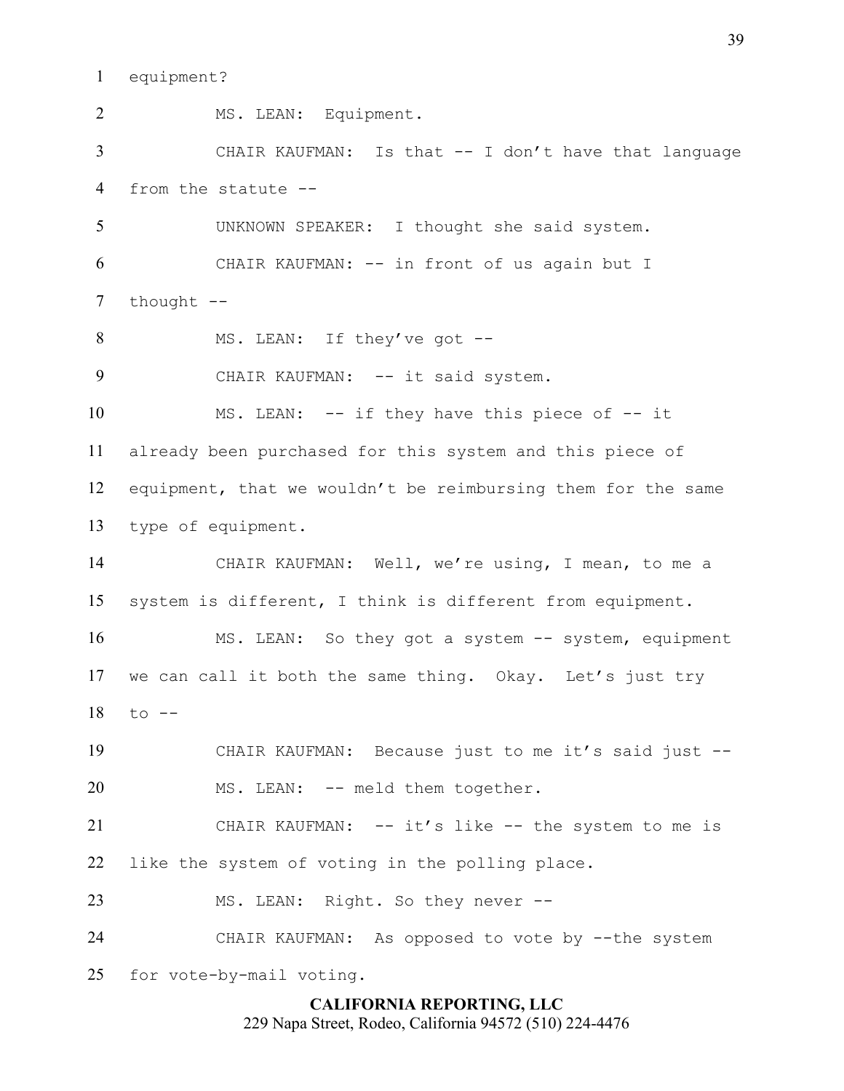equipment?

**CALIFORNIA REPORTING, LLC** MS. LEAN: Equipment. CHAIR KAUFMAN: Is that -- I don't have that language from the statute -- UNKNOWN SPEAKER: I thought she said system. CHAIR KAUFMAN: -- in front of us again but I 7 thought --8 MS. LEAN: If they've got --9 CHAIR KAUFMAN: -- it said system. MS. LEAN: -- if they have this piece of -- it already been purchased for this system and this piece of equipment, that we wouldn't be reimbursing them for the same type of equipment. CHAIR KAUFMAN: Well, we're using, I mean, to me a system is different, I think is different from equipment. MS. LEAN: So they got a system -- system, equipment we can call it both the same thing. Okay. Let's just try to  $-$  CHAIR KAUFMAN: Because just to me it's said just -- MS. LEAN: -- meld them together. CHAIR KAUFMAN: -- it's like -- the system to me is like the system of voting in the polling place. MS. LEAN: Right. So they never -- CHAIR KAUFMAN: As opposed to vote by --the system for vote-by-mail voting.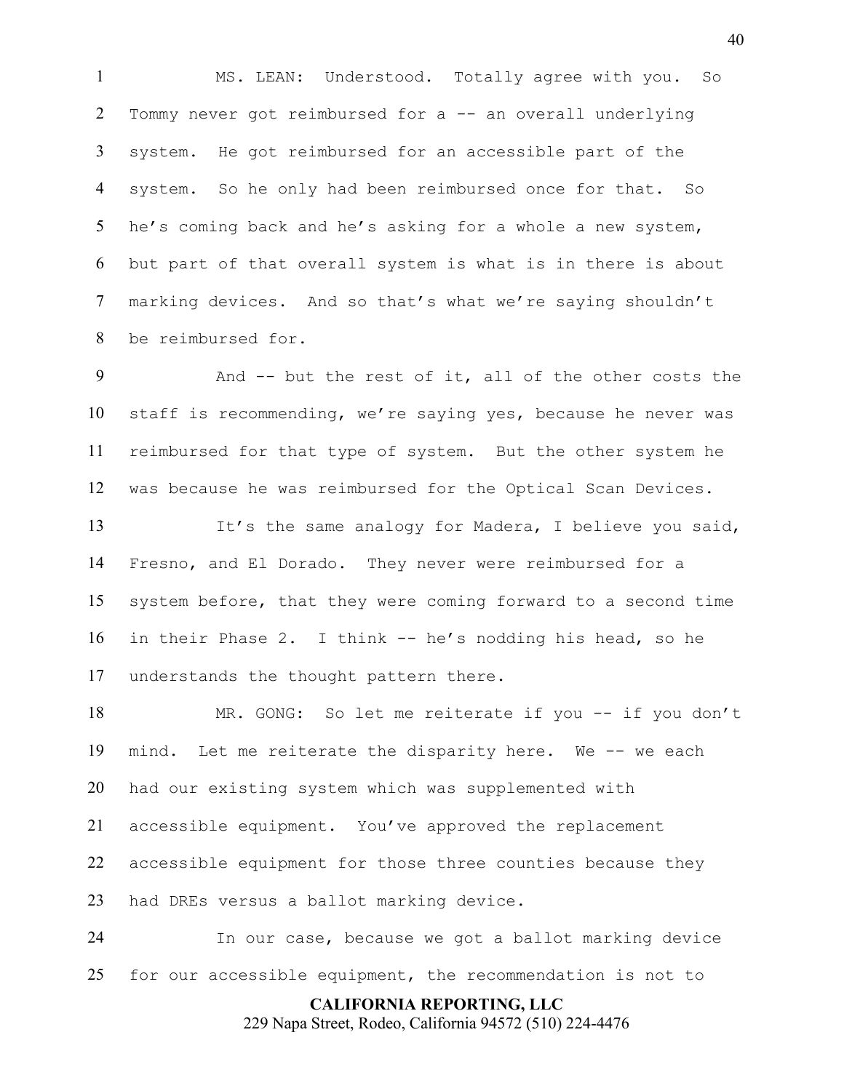MS. LEAN: Understood. Totally agree with you. So Tommy never got reimbursed for a -- an overall underlying system. He got reimbursed for an accessible part of the system. So he only had been reimbursed once for that. So he's coming back and he's asking for a whole a new system, but part of that overall system is what is in there is about marking devices. And so that's what we're saying shouldn't be reimbursed for.

 And -- but the rest of it, all of the other costs the staff is recommending, we're saying yes, because he never was reimbursed for that type of system. But the other system he was because he was reimbursed for the Optical Scan Devices.

13 It's the same analogy for Madera, I believe you said, Fresno, and El Dorado. They never were reimbursed for a system before, that they were coming forward to a second time in their Phase 2. I think -- he's nodding his head, so he understands the thought pattern there.

18 MR. GONG: So let me reiterate if you -- if you don't mind. Let me reiterate the disparity here. We -- we each had our existing system which was supplemented with accessible equipment. You've approved the replacement accessible equipment for those three counties because they had DREs versus a ballot marking device.

 In our case, because we got a ballot marking device for our accessible equipment, the recommendation is not to

**CALIFORNIA REPORTING, LLC**

229 Napa Street, Rodeo, California 94572 (510) 224-4476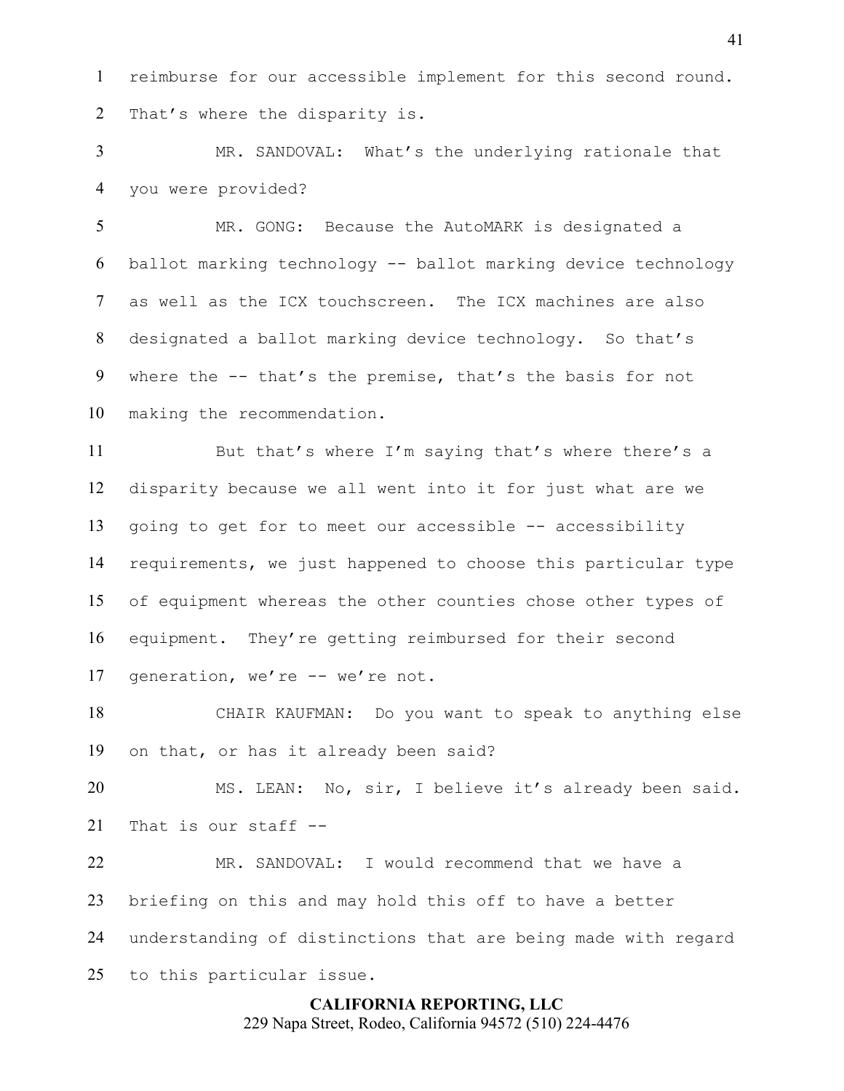reimburse for our accessible implement for this second round. That's where the disparity is.

 MR. SANDOVAL: What's the underlying rationale that you were provided?

 MR. GONG: Because the AutoMARK is designated a ballot marking technology -- ballot marking device technology as well as the ICX touchscreen. The ICX machines are also designated a ballot marking device technology. So that's where the -- that's the premise, that's the basis for not making the recommendation.

 But that's where I'm saying that's where there's a disparity because we all went into it for just what are we going to get for to meet our accessible -- accessibility requirements, we just happened to choose this particular type of equipment whereas the other counties chose other types of equipment. They're getting reimbursed for their second generation, we're -- we're not.

 CHAIR KAUFMAN: Do you want to speak to anything else on that, or has it already been said?

 MS. LEAN: No, sir, I believe it's already been said. That is our staff --

 MR. SANDOVAL: I would recommend that we have a briefing on this and may hold this off to have a better understanding of distinctions that are being made with regard to this particular issue.

# **CALIFORNIA REPORTING, LLC** 229 Napa Street, Rodeo, California 94572 (510) 224-4476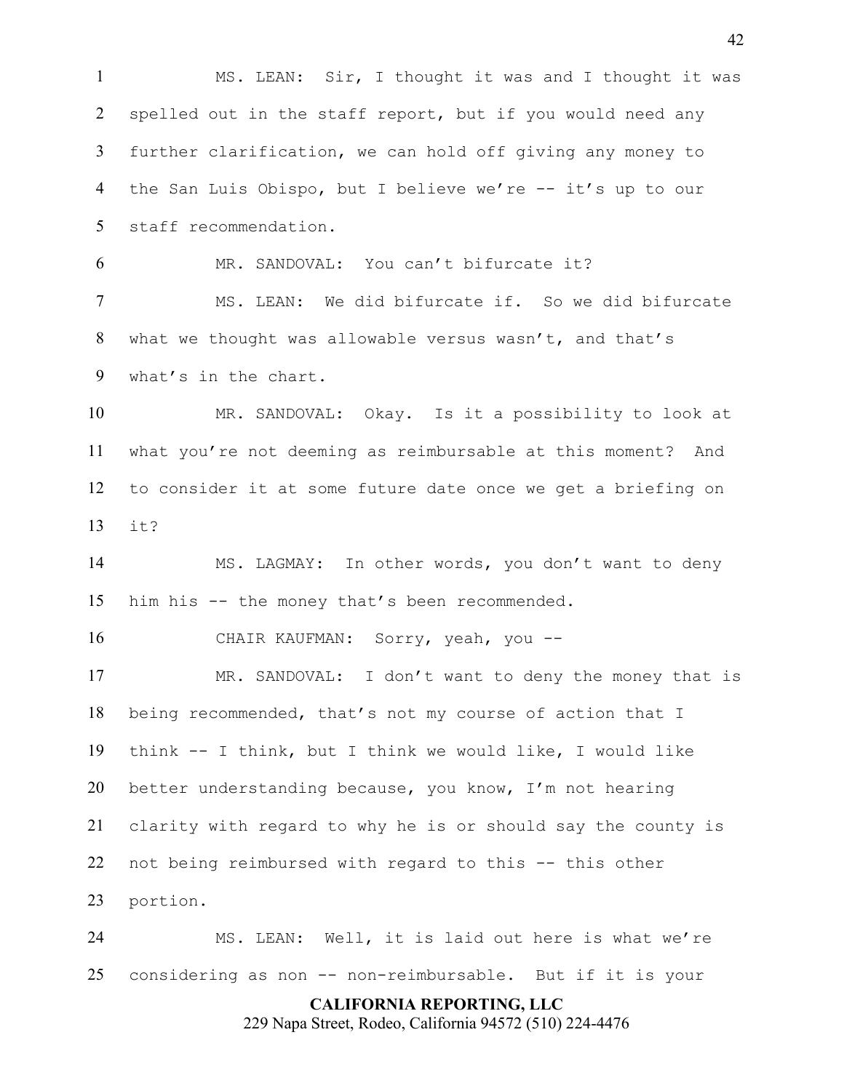**CALIFORNIA REPORTING, LLC** MS. LEAN: Sir, I thought it was and I thought it was 2 spelled out in the staff report, but if you would need any further clarification, we can hold off giving any money to 4 the San Luis Obispo, but I believe we're -- it's up to our staff recommendation. MR. SANDOVAL: You can't bifurcate it? MS. LEAN: We did bifurcate if. So we did bifurcate what we thought was allowable versus wasn't, and that's what's in the chart. MR. SANDOVAL: Okay. Is it a possibility to look at what you're not deeming as reimbursable at this moment? And to consider it at some future date once we get a briefing on it? MS. LAGMAY: In other words, you don't want to deny him his -- the money that's been recommended. CHAIR KAUFMAN: Sorry, yeah, you -- MR. SANDOVAL: I don't want to deny the money that is being recommended, that's not my course of action that I think -- I think, but I think we would like, I would like better understanding because, you know, I'm not hearing clarity with regard to why he is or should say the county is not being reimbursed with regard to this -- this other portion. MS. LEAN: Well, it is laid out here is what we're considering as non -- non-reimbursable. But if it is your

229 Napa Street, Rodeo, California 94572 (510) 224-4476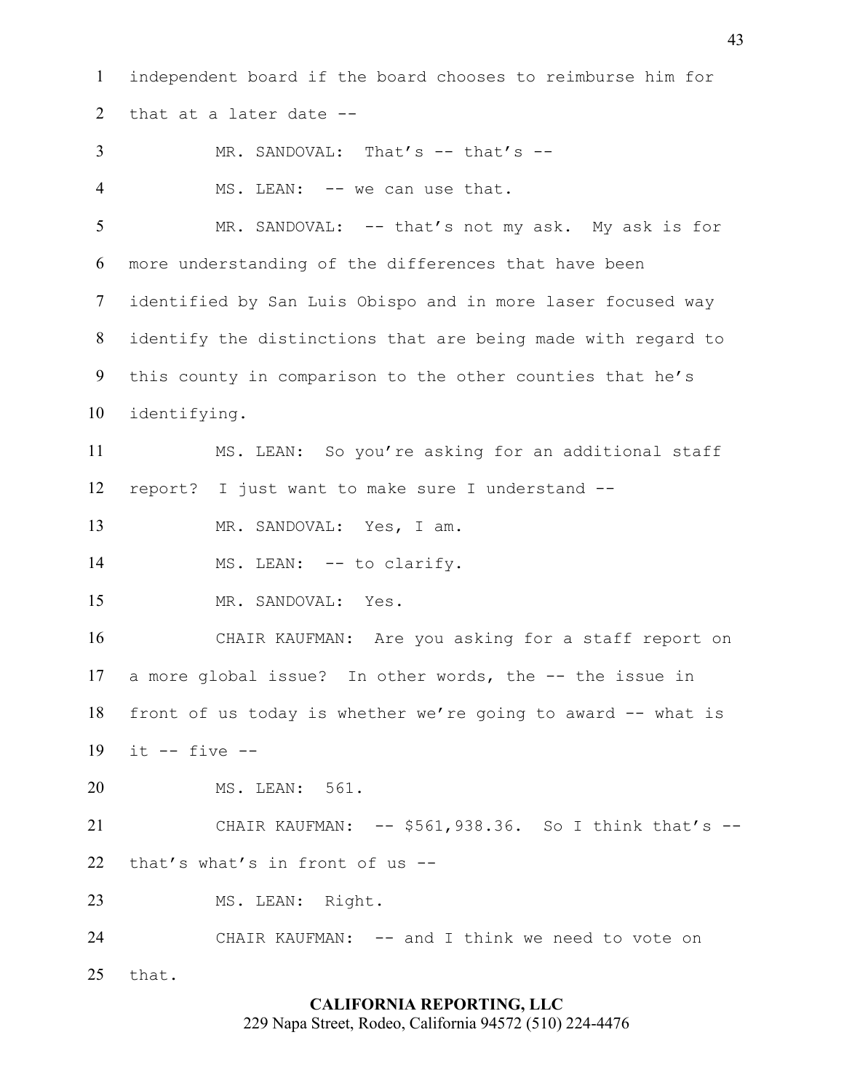independent board if the board chooses to reimburse him for that at a later date -- 3 MR. SANDOVAL: That's -- that's --4 MS. LEAN: -- we can use that. 5 MR. SANDOVAL: -- that's not my ask. My ask is for more understanding of the differences that have been identified by San Luis Obispo and in more laser focused way identify the distinctions that are being made with regard to this county in comparison to the other counties that he's identifying. MS. LEAN: So you're asking for an additional staff report? I just want to make sure I understand -- MR. SANDOVAL: Yes, I am. 14 MS. LEAN: -- to clarify. MR. SANDOVAL: Yes. CHAIR KAUFMAN: Are you asking for a staff report on a more global issue? In other words, the -- the issue in front of us today is whether we're going to award -- what is it -- five -- MS. LEAN: 561. CHAIR KAUFMAN: -- \$561,938.36. So I think that's -- that's what's in front of us -- MS. LEAN: Right. CHAIR KAUFMAN: -- and I think we need to vote on that.

## **CALIFORNIA REPORTING, LLC**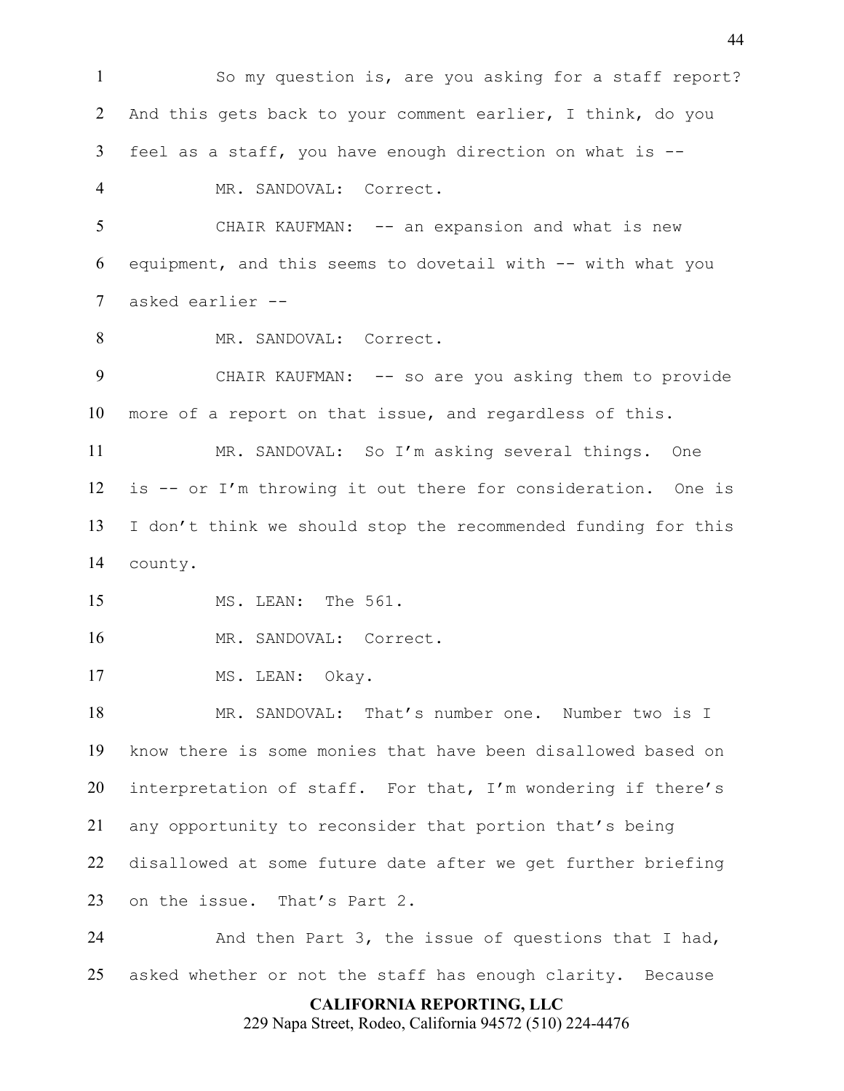So my question is, are you asking for a staff report? 2 And this gets back to your comment earlier, I think, do you feel as a staff, you have enough direction on what is -- MR. SANDOVAL: Correct. 5 CHAIR KAUFMAN: -- an expansion and what is new equipment, and this seems to dovetail with -- with what you asked earlier -- 8 MR. SANDOVAL: Correct. CHAIR KAUFMAN: -- so are you asking them to provide more of a report on that issue, and regardless of this. MR. SANDOVAL: So I'm asking several things. One is -- or I'm throwing it out there for consideration. One is I don't think we should stop the recommended funding for this county. MS. LEAN: The 561. 16 MR. SANDOVAL: Correct. 17 MS. LEAN: Okav. MR. SANDOVAL: That's number one. Number two is I know there is some monies that have been disallowed based on interpretation of staff. For that, I'm wondering if there's any opportunity to reconsider that portion that's being disallowed at some future date after we get further briefing on the issue. That's Part 2. And then Part 3, the issue of questions that I had, asked whether or not the staff has enough clarity. Because

### **CALIFORNIA REPORTING, LLC**

229 Napa Street, Rodeo, California 94572 (510) 224-4476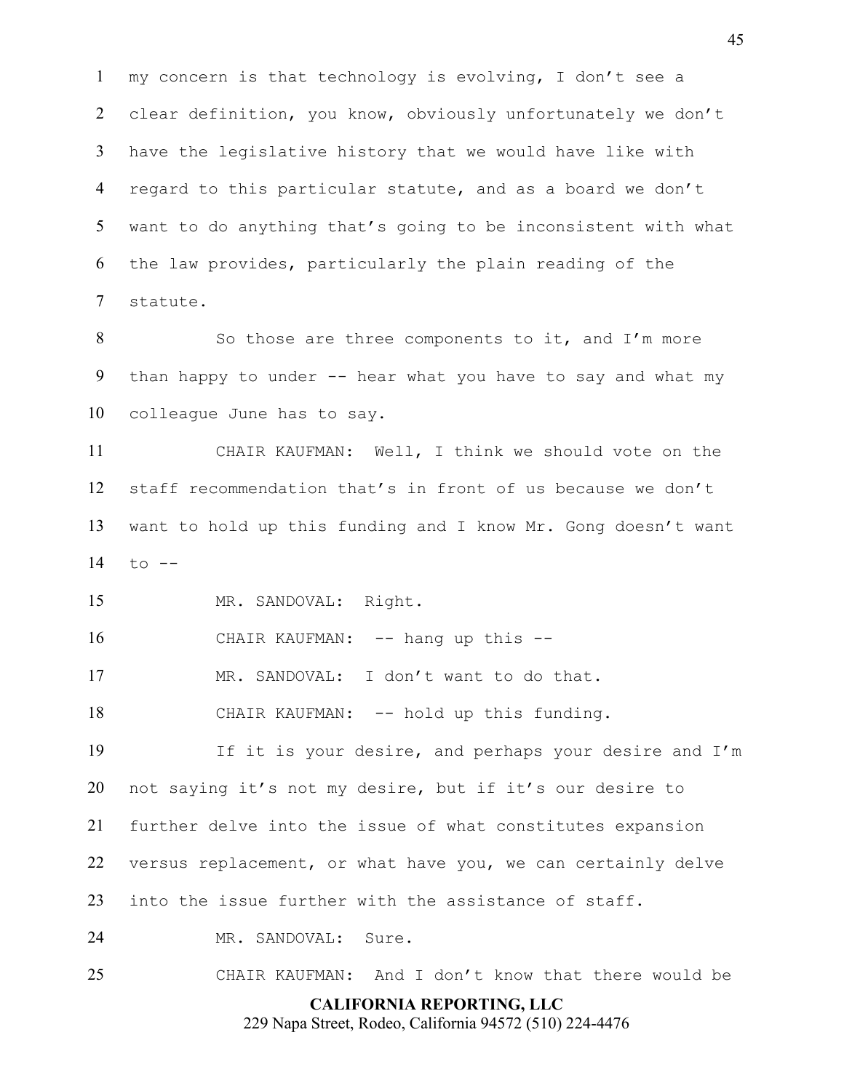my concern is that technology is evolving, I don't see a clear definition, you know, obviously unfortunately we don't have the legislative history that we would have like with regard to this particular statute, and as a board we don't want to do anything that's going to be inconsistent with what the law provides, particularly the plain reading of the statute.

8 So those are three components to it, and I'm more than happy to under -- hear what you have to say and what my colleague June has to say.

 CHAIR KAUFMAN: Well, I think we should vote on the staff recommendation that's in front of us because we don't want to hold up this funding and I know Mr. Gong doesn't want to --

MR. SANDOVAL: Right.

16 CHAIR KAUFMAN: -- hang up this --

MR. SANDOVAL: I don't want to do that.

CHAIR KAUFMAN: -- hold up this funding.

 If it is your desire, and perhaps your desire and I'm not saying it's not my desire, but if it's our desire to further delve into the issue of what constitutes expansion versus replacement, or what have you, we can certainly delve into the issue further with the assistance of staff.

MR. SANDOVAL: Sure.

CHAIR KAUFMAN: And I don't know that there would be

**CALIFORNIA REPORTING, LLC**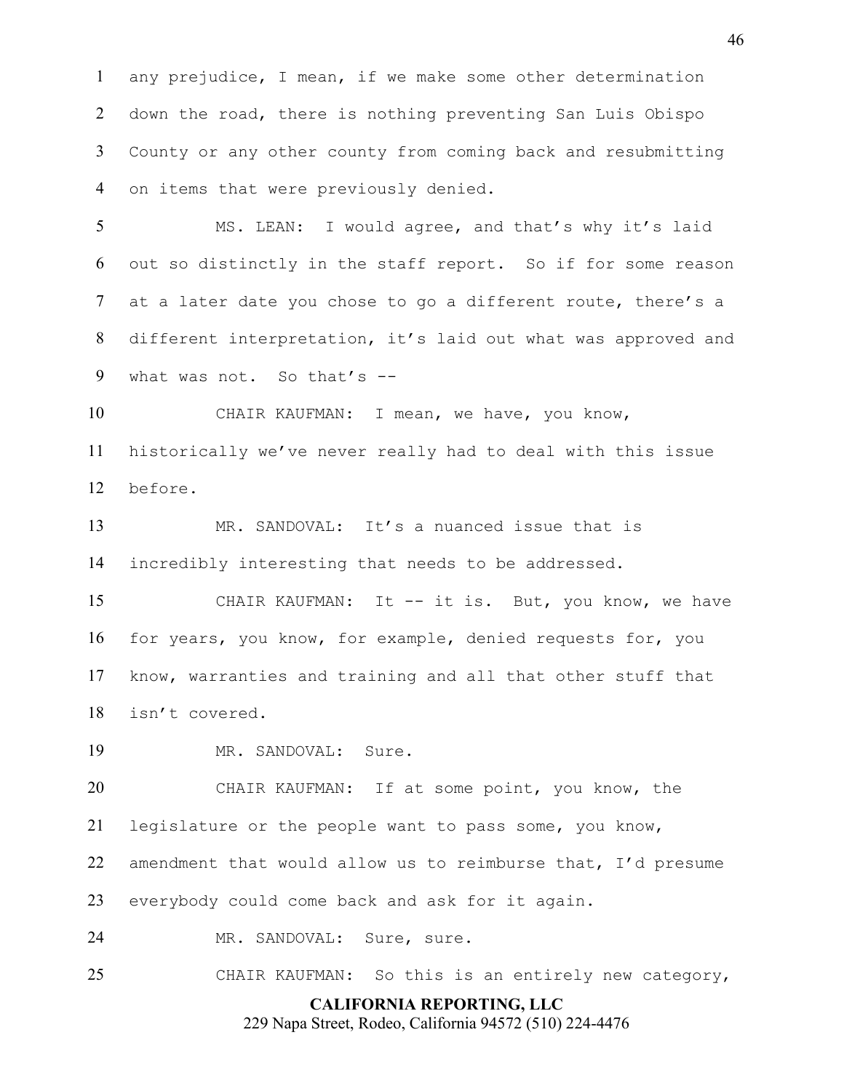any prejudice, I mean, if we make some other determination down the road, there is nothing preventing San Luis Obispo County or any other county from coming back and resubmitting on items that were previously denied.

 MS. LEAN: I would agree, and that's why it's laid out so distinctly in the staff report. So if for some reason at a later date you chose to go a different route, there's a different interpretation, it's laid out what was approved and what was not. So that's --

 CHAIR KAUFMAN: I mean, we have, you know, historically we've never really had to deal with this issue before.

 MR. SANDOVAL: It's a nuanced issue that is incredibly interesting that needs to be addressed.

 CHAIR KAUFMAN: It -- it is. But, you know, we have for years, you know, for example, denied requests for, you know, warranties and training and all that other stuff that isn't covered.

19 MR. SANDOVAL: Sure.

 CHAIR KAUFMAN: If at some point, you know, the legislature or the people want to pass some, you know,

amendment that would allow us to reimburse that, I'd presume

everybody could come back and ask for it again.

MR. SANDOVAL: Sure, sure.

CHAIR KAUFMAN: So this is an entirely new category,

## **CALIFORNIA REPORTING, LLC**

229 Napa Street, Rodeo, California 94572 (510) 224-4476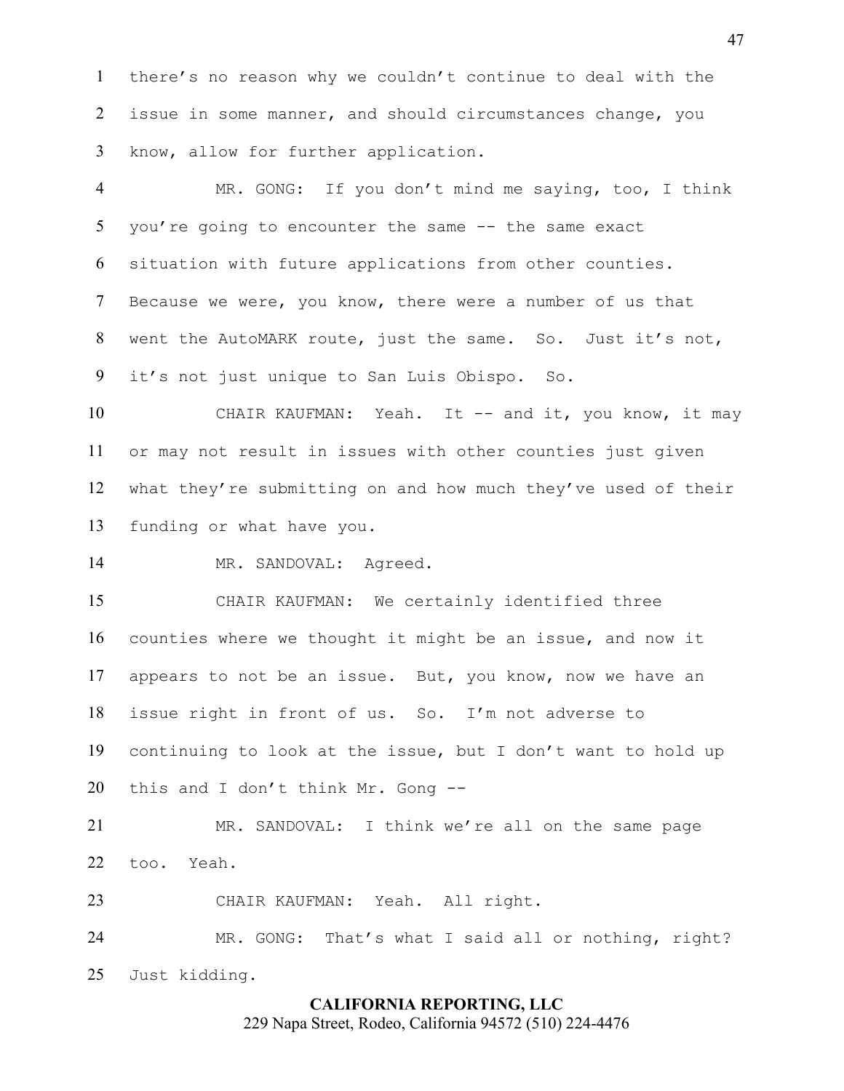there's no reason why we couldn't continue to deal with the issue in some manner, and should circumstances change, you know, allow for further application.

 MR. GONG: If you don't mind me saying, too, I think you're going to encounter the same -- the same exact situation with future applications from other counties. Because we were, you know, there were a number of us that went the AutoMARK route, just the same. So. Just it's not, it's not just unique to San Luis Obispo. So.

10 CHAIR KAUFMAN: Yeah. It -- and it, you know, it may or may not result in issues with other counties just given what they're submitting on and how much they've used of their funding or what have you.

14 MR. SANDOVAL: Agreed.

 CHAIR KAUFMAN: We certainly identified three counties where we thought it might be an issue, and now it appears to not be an issue. But, you know, now we have an issue right in front of us. So. I'm not adverse to continuing to look at the issue, but I don't want to hold up this and I don't think Mr. Gong --

 MR. SANDOVAL: I think we're all on the same page too. Yeah.

CHAIR KAUFMAN: Yeah. All right.

 MR. GONG: That's what I said all or nothing, right? Just kidding.

## **CALIFORNIA REPORTING, LLC**

229 Napa Street, Rodeo, California 94572 (510) 224-4476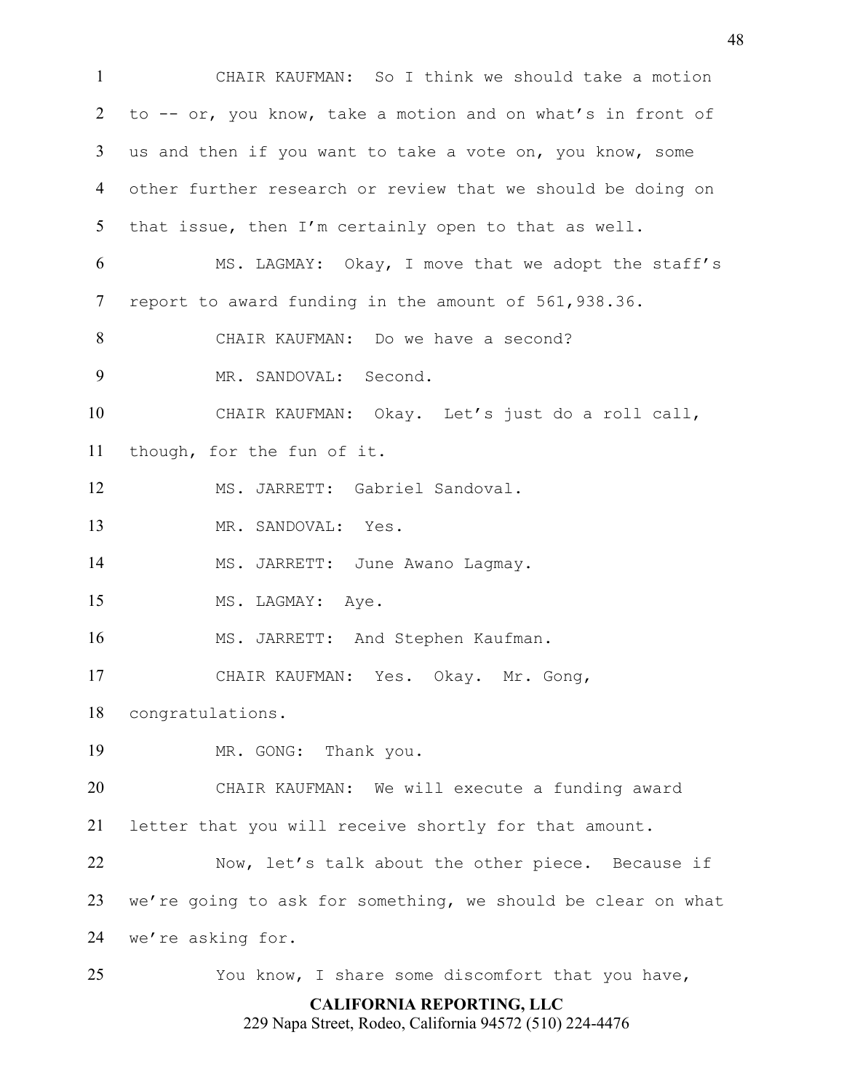**CALIFORNIA REPORTING, LLC** CHAIR KAUFMAN: So I think we should take a motion to -- or, you know, take a motion and on what's in front of us and then if you want to take a vote on, you know, some other further research or review that we should be doing on that issue, then I'm certainly open to that as well. MS. LAGMAY: Okay, I move that we adopt the staff's report to award funding in the amount of 561,938.36. CHAIR KAUFMAN: Do we have a second? MR. SANDOVAL: Second. CHAIR KAUFMAN: Okay. Let's just do a roll call, though, for the fun of it. MS. JARRETT: Gabriel Sandoval. MR. SANDOVAL: Yes. MS. JARRETT: June Awano Lagmay. 15 MS. LAGMAY: Aye. 16 MS. JARRETT: And Stephen Kaufman. CHAIR KAUFMAN: Yes. Okay. Mr. Gong, congratulations. MR. GONG: Thank you. CHAIR KAUFMAN: We will execute a funding award letter that you will receive shortly for that amount. 22 Now, let's talk about the other piece. Because if we're going to ask for something, we should be clear on what we're asking for. You know, I share some discomfort that you have,

229 Napa Street, Rodeo, California 94572 (510) 224-4476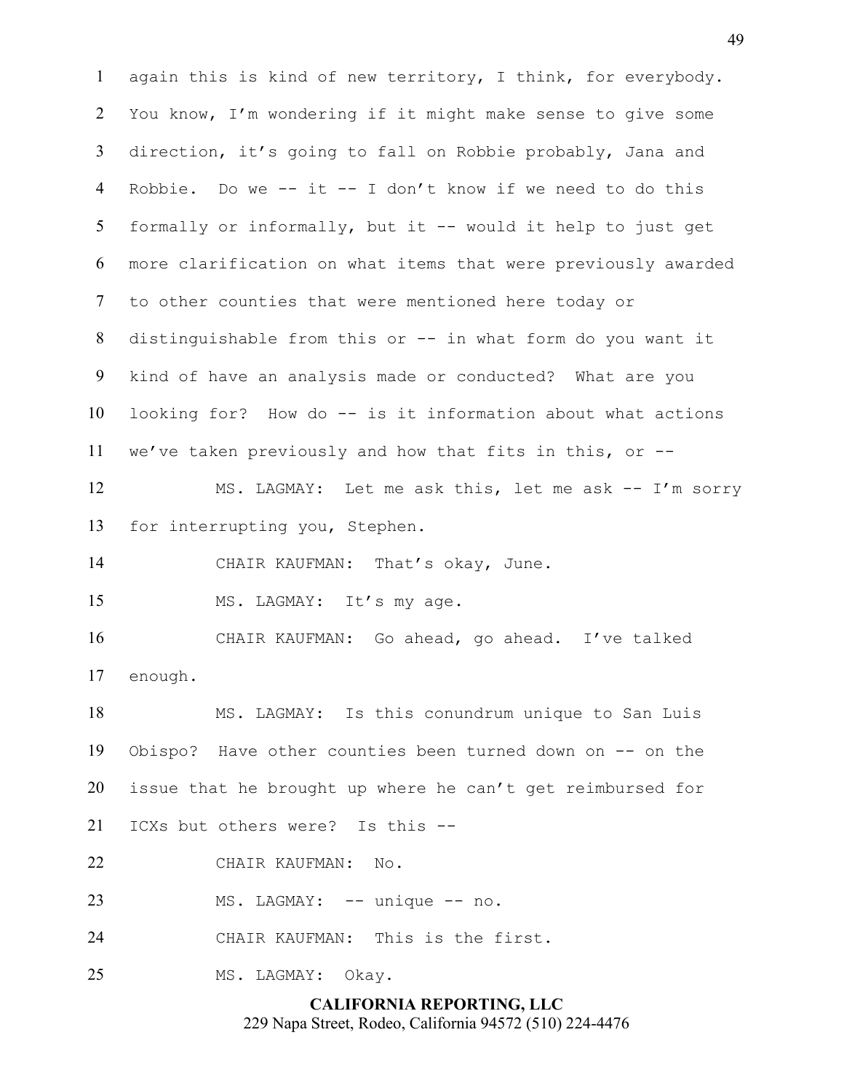**CALIFORNIA REPORTING, LLC** again this is kind of new territory, I think, for everybody. You know, I'm wondering if it might make sense to give some direction, it's going to fall on Robbie probably, Jana and Robbie. Do we -- it -- I don't know if we need to do this formally or informally, but it -- would it help to just get more clarification on what items that were previously awarded to other counties that were mentioned here today or distinguishable from this or -- in what form do you want it kind of have an analysis made or conducted? What are you looking for? How do -- is it information about what actions we've taken previously and how that fits in this, or -- MS. LAGMAY: Let me ask this, let me ask -- I'm sorry for interrupting you, Stephen. CHAIR KAUFMAN: That's okay, June. 15 MS. LAGMAY: It's my age. CHAIR KAUFMAN: Go ahead, go ahead. I've talked enough. MS. LAGMAY: Is this conundrum unique to San Luis Obispo? Have other counties been turned down on -- on the issue that he brought up where he can't get reimbursed for ICXs but others were? Is this -- CHAIR KAUFMAN: No. 23 MS. LAGMAY: -- unique -- no. CHAIR KAUFMAN: This is the first. MS. LAGMAY: Okay.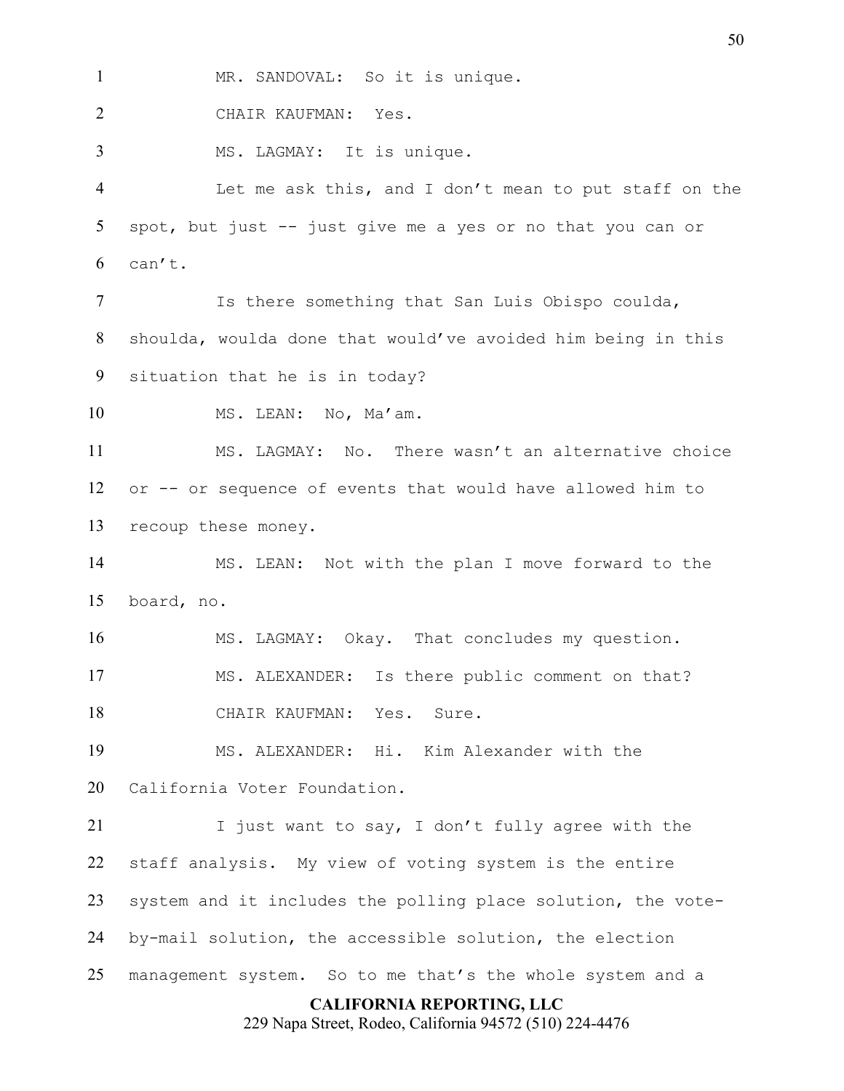1 MR. SANDOVAL: So it is unique.

CHAIR KAUFMAN: Yes.

MS. LAGMAY: It is unique.

 Let me ask this, and I don't mean to put staff on the spot, but just -- just give me a yes or no that you can or can't.

 Is there something that San Luis Obispo coulda, shoulda, woulda done that would've avoided him being in this situation that he is in today?

10 MS. LEAN: No, Ma'am.

 MS. LAGMAY: No. There wasn't an alternative choice or -- or sequence of events that would have allowed him to recoup these money.

 MS. LEAN: Not with the plan I move forward to the board, no.

 MS. LAGMAY: Okay. That concludes my question. MS. ALEXANDER: Is there public comment on that? CHAIR KAUFMAN: Yes. Sure.

 MS. ALEXANDER: Hi. Kim Alexander with the California Voter Foundation.

21 I just want to say, I don't fully agree with the staff analysis. My view of voting system is the entire system and it includes the polling place solution, the vote- by-mail solution, the accessible solution, the election management system. So to me that's the whole system and a

## **CALIFORNIA REPORTING, LLC**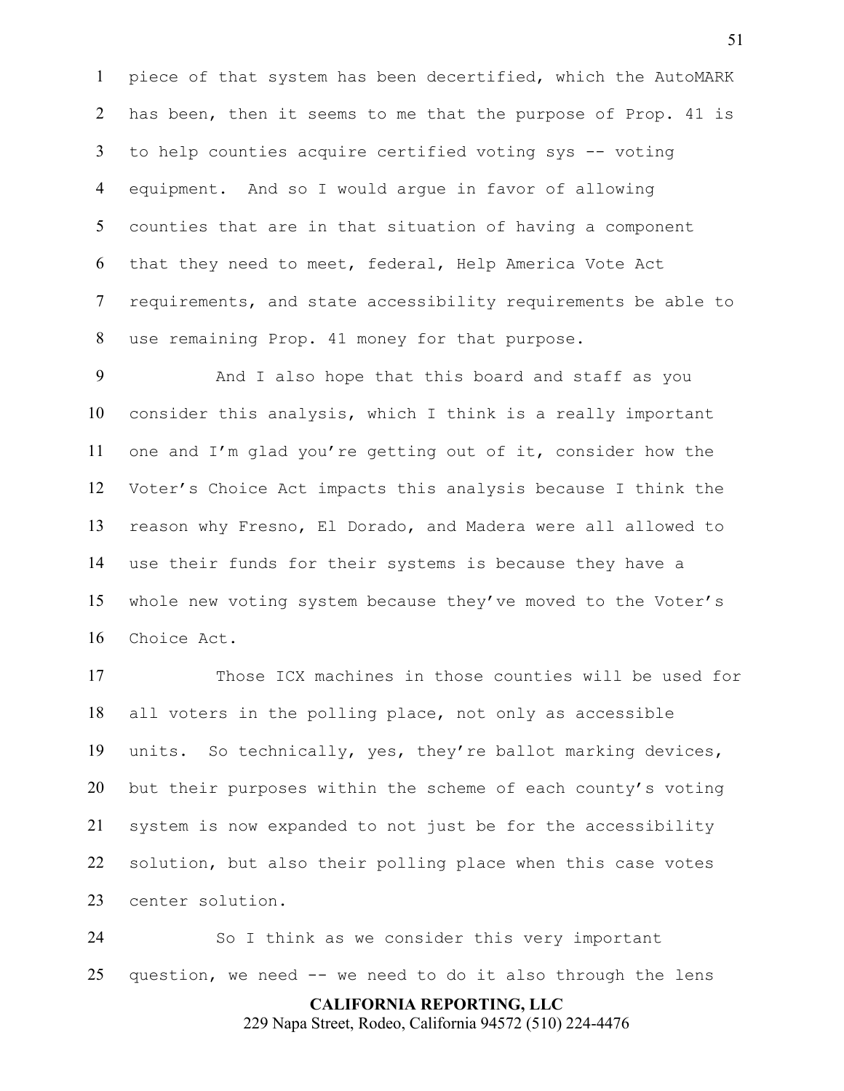piece of that system has been decertified, which the AutoMARK has been, then it seems to me that the purpose of Prop. 41 is to help counties acquire certified voting sys -- voting equipment. And so I would argue in favor of allowing counties that are in that situation of having a component that they need to meet, federal, Help America Vote Act requirements, and state accessibility requirements be able to use remaining Prop. 41 money for that purpose.

 And I also hope that this board and staff as you consider this analysis, which I think is a really important one and I'm glad you're getting out of it, consider how the Voter's Choice Act impacts this analysis because I think the reason why Fresno, El Dorado, and Madera were all allowed to use their funds for their systems is because they have a whole new voting system because they've moved to the Voter's Choice Act.

 Those ICX machines in those counties will be used for all voters in the polling place, not only as accessible units. So technically, yes, they're ballot marking devices, but their purposes within the scheme of each county's voting system is now expanded to not just be for the accessibility solution, but also their polling place when this case votes center solution.

 So I think as we consider this very important question, we need -- we need to do it also through the lens

**CALIFORNIA REPORTING, LLC**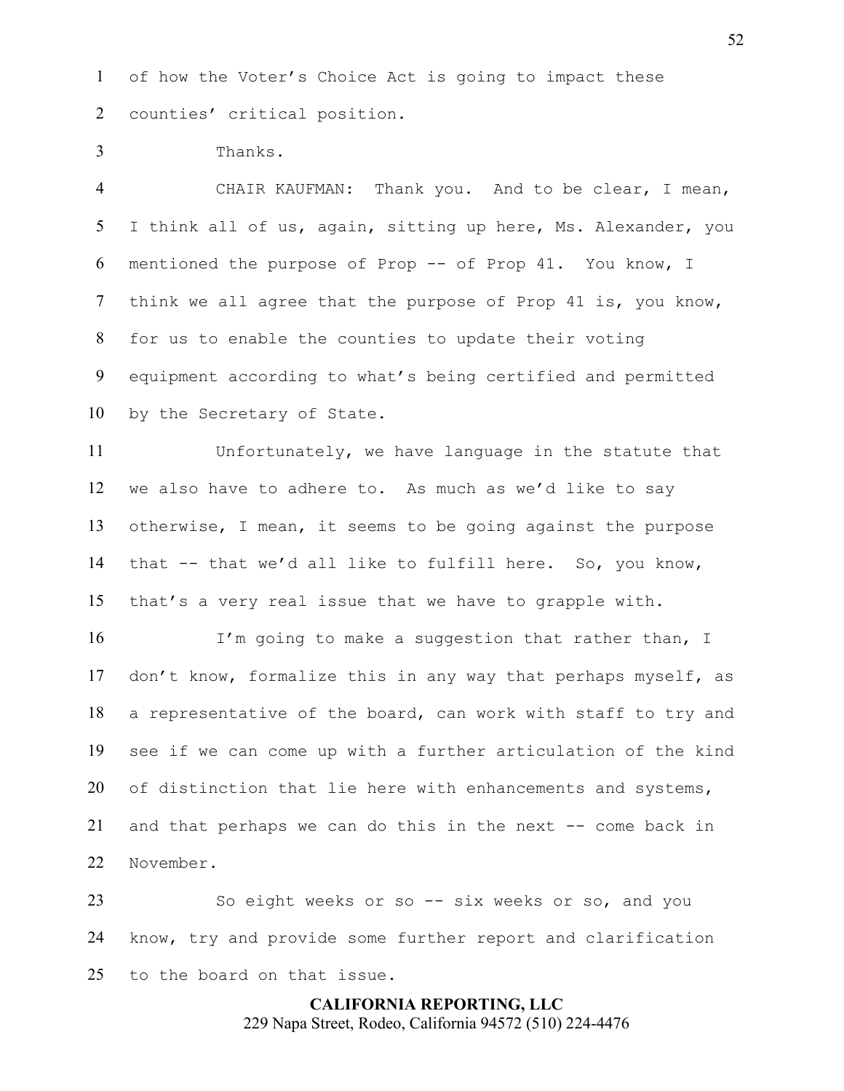of how the Voter's Choice Act is going to impact these counties' critical position.

Thanks.

 CHAIR KAUFMAN: Thank you. And to be clear, I mean, I think all of us, again, sitting up here, Ms. Alexander, you mentioned the purpose of Prop -- of Prop 41. You know, I think we all agree that the purpose of Prop 41 is, you know, for us to enable the counties to update their voting equipment according to what's being certified and permitted by the Secretary of State.

 Unfortunately, we have language in the statute that we also have to adhere to. As much as we'd like to say otherwise, I mean, it seems to be going against the purpose that -- that we'd all like to fulfill here. So, you know, that's a very real issue that we have to grapple with.

16 I'm going to make a suggestion that rather than, I don't know, formalize this in any way that perhaps myself, as a representative of the board, can work with staff to try and see if we can come up with a further articulation of the kind 20 of distinction that lie here with enhancements and systems, and that perhaps we can do this in the next -- come back in November.

 So eight weeks or so -- six weeks or so, and you know, try and provide some further report and clarification to the board on that issue.

> **CALIFORNIA REPORTING, LLC** 229 Napa Street, Rodeo, California 94572 (510) 224-4476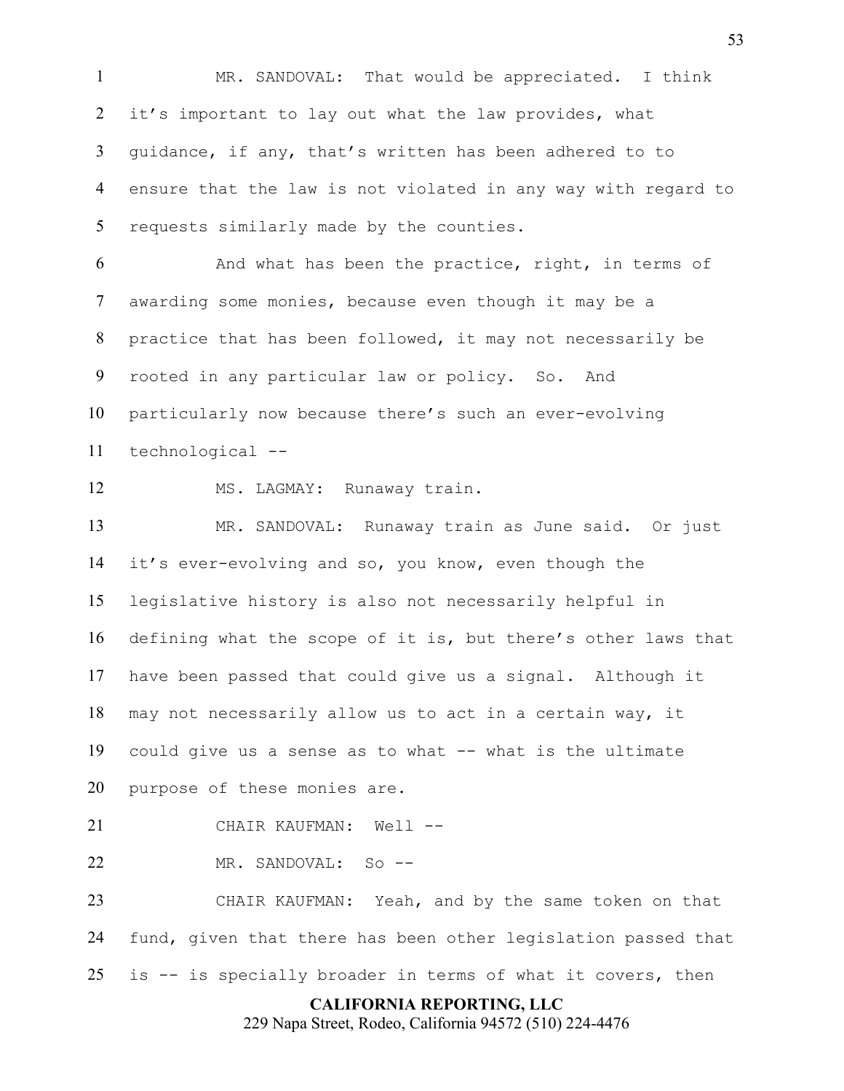MR. SANDOVAL: That would be appreciated. I think 2 it's important to lay out what the law provides, what guidance, if any, that's written has been adhered to to ensure that the law is not violated in any way with regard to 5 requests similarly made by the counties. And what has been the practice, right, in terms of awarding some monies, because even though it may be a practice that has been followed, it may not necessarily be rooted in any particular law or policy. So. And particularly now because there's such an ever-evolving technological -- MS. LAGMAY: Runaway train. MR. SANDOVAL: Runaway train as June said. Or just it's ever-evolving and so, you know, even though the legislative history is also not necessarily helpful in defining what the scope of it is, but there's other laws that have been passed that could give us a signal. Although it may not necessarily allow us to act in a certain way, it could give us a sense as to what -- what is the ultimate purpose of these monies are. CHAIR KAUFMAN: Well -- MR. SANDOVAL: So -- CHAIR KAUFMAN: Yeah, and by the same token on that fund, given that there has been other legislation passed that

is -- is specially broader in terms of what it covers, then

## **CALIFORNIA REPORTING, LLC**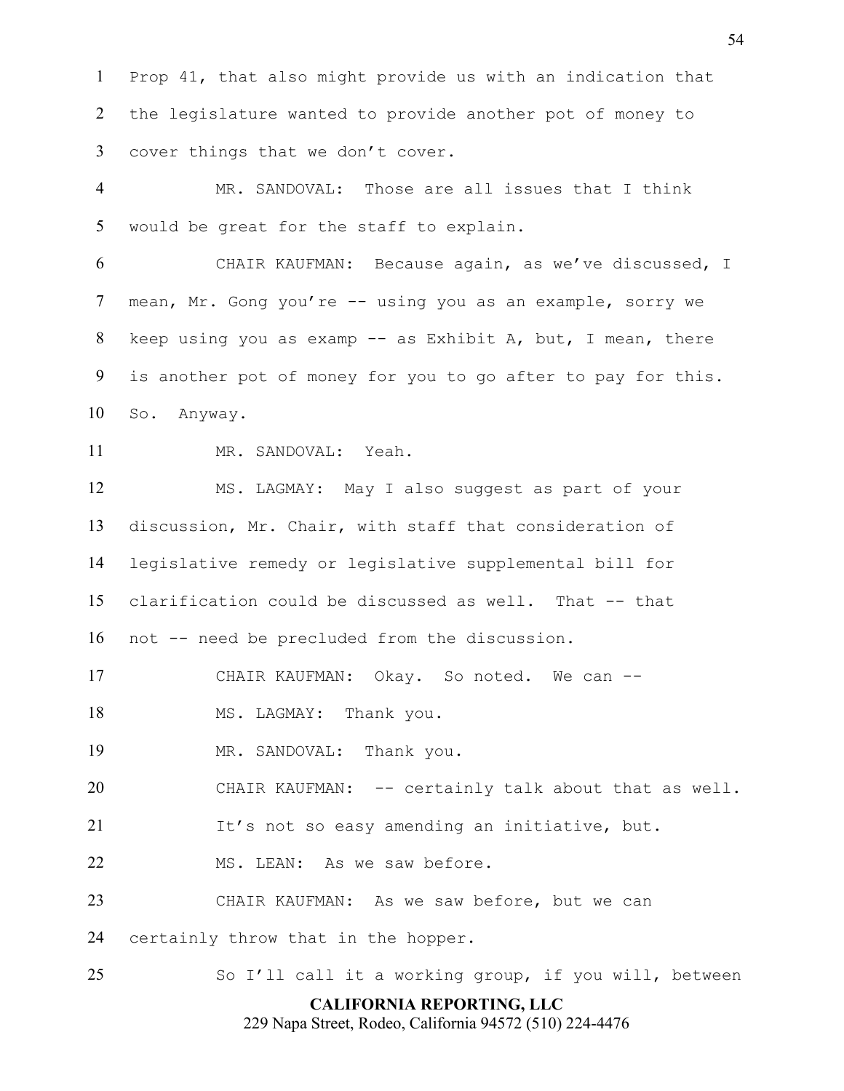Prop 41, that also might provide us with an indication that the legislature wanted to provide another pot of money to cover things that we don't cover.

 MR. SANDOVAL: Those are all issues that I think would be great for the staff to explain.

 CHAIR KAUFMAN: Because again, as we've discussed, I mean, Mr. Gong you're -- using you as an example, sorry we keep using you as examp -- as Exhibit A, but, I mean, there is another pot of money for you to go after to pay for this. So. Anyway.

MR. SANDOVAL: Yeah.

 MS. LAGMAY: May I also suggest as part of your discussion, Mr. Chair, with staff that consideration of legislative remedy or legislative supplemental bill for clarification could be discussed as well. That -- that not -- need be precluded from the discussion.

17 CHAIR KAUFMAN: Okay. So noted. We can --

18 MS. LAGMAY: Thank you.

MR. SANDOVAL: Thank you.

CHAIR KAUFMAN: -- certainly talk about that as well.

21 It's not so easy amending an initiative, but.

MS. LEAN: As we saw before.

CHAIR KAUFMAN: As we saw before, but we can

certainly throw that in the hopper.

So I'll call it a working group, if you will, between

## **CALIFORNIA REPORTING, LLC**

229 Napa Street, Rodeo, California 94572 (510) 224-4476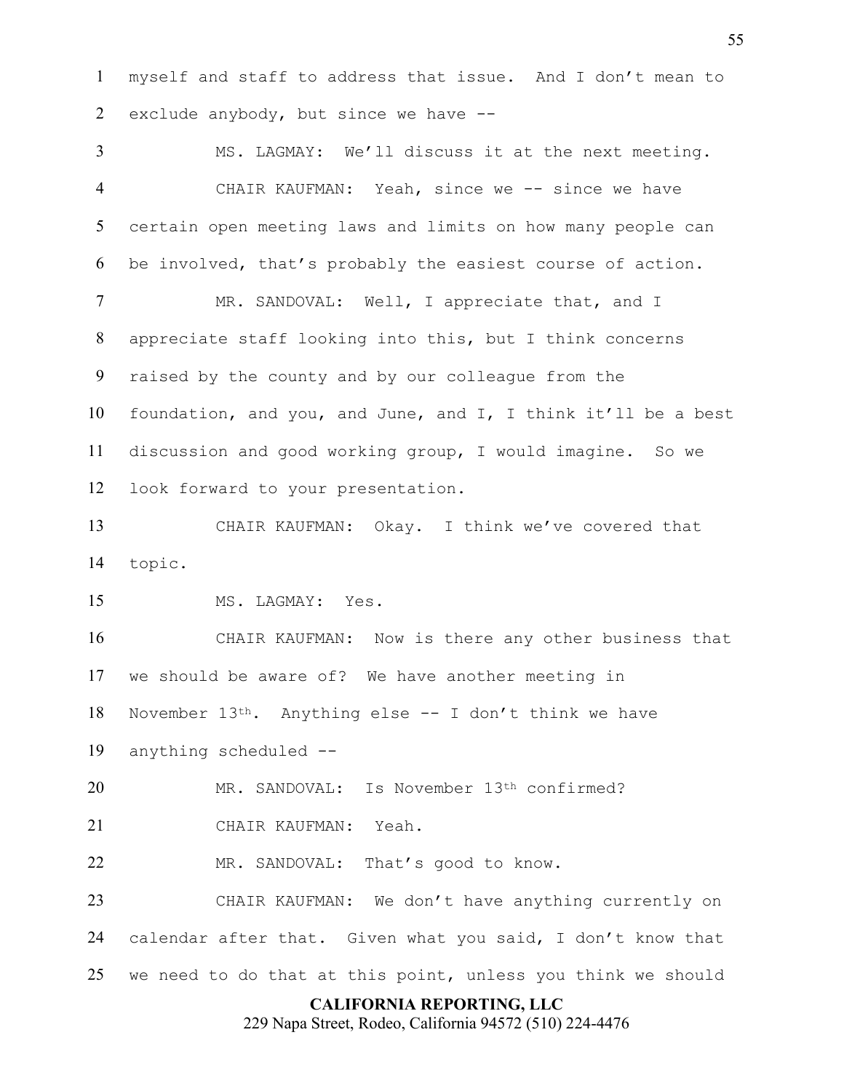myself and staff to address that issue. And I don't mean to exclude anybody, but since we have --

 MS. LAGMAY: We'll discuss it at the next meeting. 4 CHAIR KAUFMAN: Yeah, since we -- since we have certain open meeting laws and limits on how many people can be involved, that's probably the easiest course of action. 7 MR. SANDOVAL: Well, I appreciate that, and I appreciate staff looking into this, but I think concerns raised by the county and by our colleague from the foundation, and you, and June, and I, I think it'll be a best discussion and good working group, I would imagine. So we look forward to your presentation. CHAIR KAUFMAN: Okay. I think we've covered that topic. MS. LAGMAY: Yes. CHAIR KAUFMAN: Now is there any other business that we should be aware of? We have another meeting in November 13th. Anything else -- I don't think we have anything scheduled -- MR. SANDOVAL: Is November 13th confirmed? CHAIR KAUFMAN: Yeah. 22 MR. SANDOVAL: That's good to know. CHAIR KAUFMAN: We don't have anything currently on calendar after that. Given what you said, I don't know that we need to do that at this point, unless you think we should

### **CALIFORNIA REPORTING, LLC**

229 Napa Street, Rodeo, California 94572 (510) 224-4476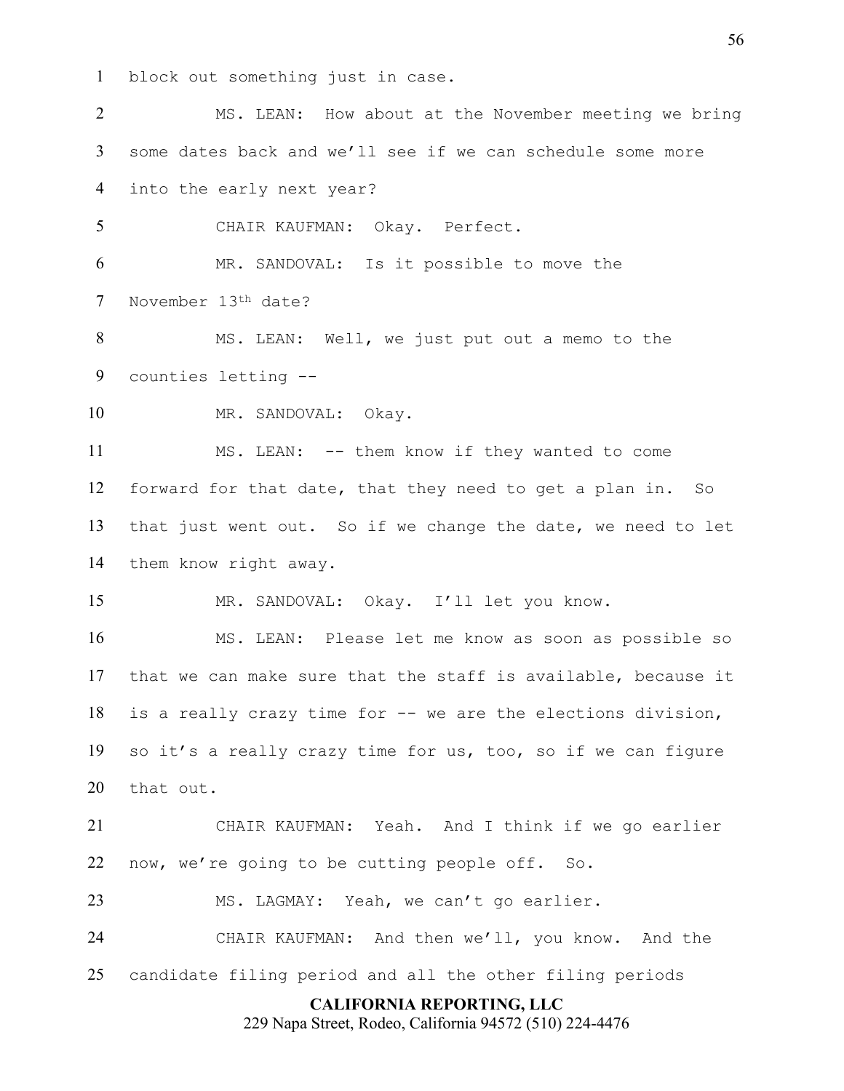block out something just in case.

**CALIFORNIA REPORTING, LLC** MS. LEAN: How about at the November meeting we bring some dates back and we'll see if we can schedule some more into the early next year? CHAIR KAUFMAN: Okay. Perfect. MR. SANDOVAL: Is it possible to move the November 13th date? MS. LEAN: Well, we just put out a memo to the counties letting -- MR. SANDOVAL: Okay. MS. LEAN: -- them know if they wanted to come forward for that date, that they need to get a plan in. So that just went out. So if we change the date, we need to let them know right away. MR. SANDOVAL: Okay. I'll let you know. MS. LEAN: Please let me know as soon as possible so that we can make sure that the staff is available, because it is a really crazy time for -- we are the elections division, so it's a really crazy time for us, too, so if we can figure that out. CHAIR KAUFMAN: Yeah. And I think if we go earlier now, we're going to be cutting people off. So. MS. LAGMAY: Yeah, we can't go earlier. CHAIR KAUFMAN: And then we'll, you know. And the candidate filing period and all the other filing periods

229 Napa Street, Rodeo, California 94572 (510) 224-4476